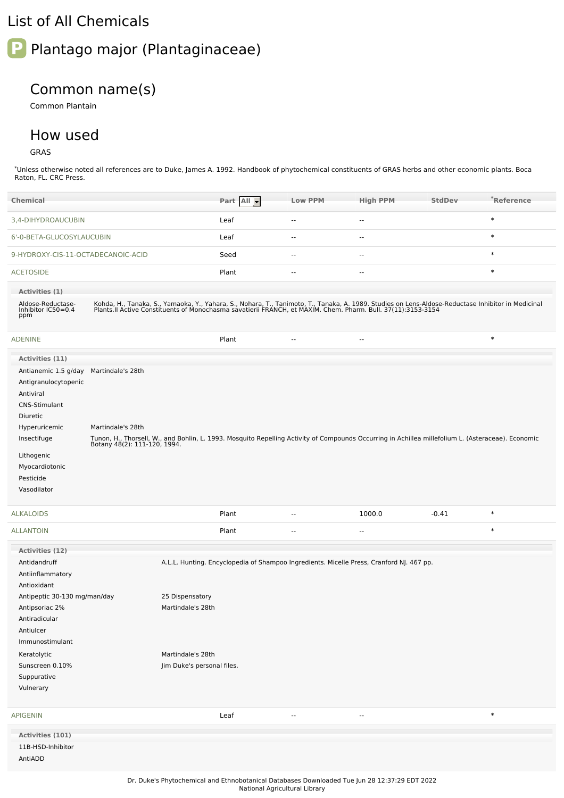## List of All Chemicals



## Common name(s)

Common Plantain

## How used

GRAS

\*Unless otherwise noted all references are to Duke, James A. 1992. Handbook of phytochemical constituents of GRAS herbs and other economic plants. Boca Raton, FL. CRC Press.

| <b>Chemical</b>                                                                                                 |                   |                                                 | Part All - | <b>Low PPM</b>           | <b>High PPM</b>                                                                                                                                                                                                                   | <b>StdDev</b> | *Reference |
|-----------------------------------------------------------------------------------------------------------------|-------------------|-------------------------------------------------|------------|--------------------------|-----------------------------------------------------------------------------------------------------------------------------------------------------------------------------------------------------------------------------------|---------------|------------|
| 3,4-DIHYDROAUCUBIN                                                                                              |                   |                                                 | Leaf       | $\overline{a}$           | $\overline{\phantom{a}}$                                                                                                                                                                                                          |               | $\ast$     |
| 6'-0-BETA-GLUCOSYLAUCUBIN                                                                                       |                   |                                                 | Leaf       | --                       | ۰.                                                                                                                                                                                                                                |               | $\ast$     |
| 9-HYDROXY-CIS-11-OCTADECANOIC-ACID                                                                              |                   |                                                 | Seed       | н.                       | --                                                                                                                                                                                                                                |               | $\ast$     |
| <b>ACETOSIDE</b>                                                                                                |                   |                                                 | Plant      | $\overline{a}$           | н.                                                                                                                                                                                                                                |               | $\ast$     |
| Activities (1)                                                                                                  |                   |                                                 |            |                          |                                                                                                                                                                                                                                   |               |            |
| Aldose-Reductase-<br>Inhibitor IC50=0.4<br>ppm                                                                  |                   |                                                 |            |                          | Kohda, H., Tanaka, S., Yamaoka, Y., Yahara, S., Nohara, T., Tanimoto, T., Tanaka, A. 1989. Studies on Lens-Aldose-Reductase Inhibitor in Medicinal<br>Plants.II Active Constituents of Monochasma savatierii FRANCH, et MAXIM. Ch |               |            |
| <b>ADENINE</b>                                                                                                  |                   |                                                 | Plant      | $\overline{\phantom{a}}$ | $\overline{\phantom{a}}$                                                                                                                                                                                                          |               | $\ast$     |
| Activities (11)                                                                                                 |                   |                                                 |            |                          |                                                                                                                                                                                                                                   |               |            |
| Antianemic 1.5 g/day Martindale's 28th<br>Antigranulocytopenic<br>Antiviral<br><b>CNS-Stimulant</b><br>Diuretic |                   |                                                 |            |                          |                                                                                                                                                                                                                                   |               |            |
| Hyperuricemic                                                                                                   | Martindale's 28th |                                                 |            |                          |                                                                                                                                                                                                                                   |               |            |
| Insectifuge                                                                                                     |                   |                                                 |            |                          | Tunon, H., Thorsell, W., and Bohlin, L. 1993. Mosquito Repelling Activity of Compounds Occurring in Achillea millefolium L. (Asteraceae). Economic<br>Botany 48(2): 111-120, 1994.                                                |               |            |
| Lithogenic<br>Myocardiotonic<br>Pesticide<br>Vasodilator                                                        |                   |                                                 |            |                          |                                                                                                                                                                                                                                   |               |            |
| <b>ALKALOIDS</b>                                                                                                |                   |                                                 | Plant      |                          | 1000.0                                                                                                                                                                                                                            | $-0.41$       | $\ast$     |
| <b>ALLANTOIN</b>                                                                                                |                   |                                                 | Plant      | --                       | $\overline{\phantom{a}}$                                                                                                                                                                                                          |               | $\ast$     |
| Activities (12)                                                                                                 |                   |                                                 |            |                          |                                                                                                                                                                                                                                   |               |            |
| Antidandruff<br>Antiinflammatory<br>Antioxidant                                                                 |                   |                                                 |            |                          | A.L.L. Hunting. Encyclopedia of Shampoo Ingredients. Micelle Press, Cranford NJ. 467 pp.                                                                                                                                          |               |            |
| Antipeptic 30-130 mg/man/day<br>Antipsoriac 2%<br>Antiradicular<br>Antiulcer<br>Immunostimulant                 |                   | 25 Dispensatory<br>Martindale's 28th            |            |                          |                                                                                                                                                                                                                                   |               |            |
| Keratolytic<br>Sunscreen 0.10%<br>Suppurative<br>Vulnerary                                                      |                   | Martindale's 28th<br>Jim Duke's personal files. |            |                          |                                                                                                                                                                                                                                   |               |            |
| <b>APIGENIN</b>                                                                                                 |                   |                                                 | Leaf       | --                       | --                                                                                                                                                                                                                                |               | $\ast$     |
| Activities (101)                                                                                                |                   |                                                 |            |                          |                                                                                                                                                                                                                                   |               |            |
| 11B-HSD-Inhibitor<br>AntiADD                                                                                    |                   |                                                 |            |                          |                                                                                                                                                                                                                                   |               |            |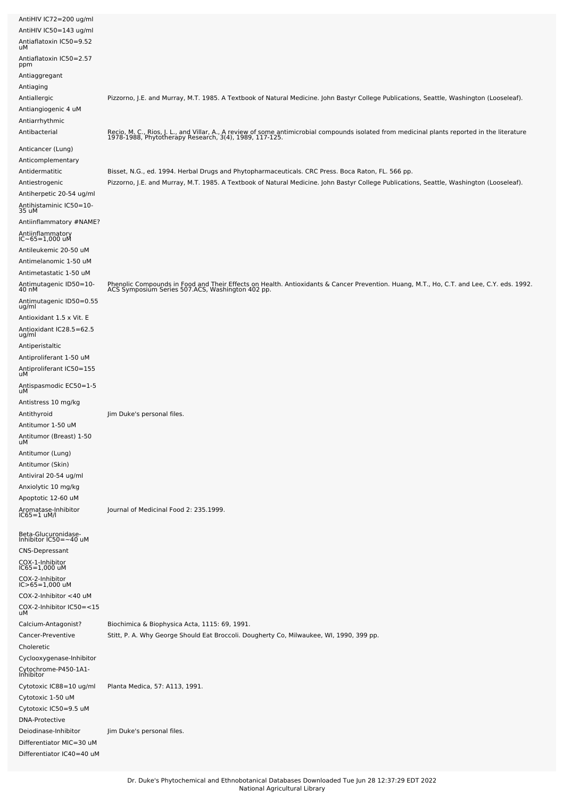| AntiHIV IC72=200 ug/ml<br>AntiHIV IC50=143 ug/ml<br>Antiaflatoxin IC50=9.52 |                                                                                                                                                                                                                                               |
|-----------------------------------------------------------------------------|-----------------------------------------------------------------------------------------------------------------------------------------------------------------------------------------------------------------------------------------------|
| uМ                                                                          |                                                                                                                                                                                                                                               |
| Antiaflatoxin IC50=2.57<br>ppm                                              |                                                                                                                                                                                                                                               |
| Antiaggregant<br>Antiaging                                                  |                                                                                                                                                                                                                                               |
| Antiallergic                                                                | Pizzorno, J.E. and Murray, M.T. 1985. A Textbook of Natural Medicine. John Bastyr College Publications, Seattle, Washington (Looseleaf).                                                                                                      |
| Antiangiogenic 4 uM                                                         |                                                                                                                                                                                                                                               |
| Antiarrhythmic                                                              |                                                                                                                                                                                                                                               |
| Antibacterial                                                               | Recio, M. C., Rios, J. L., and Villar, A., A review of some antimicrobial compounds isolated from medicinal plants reported in the literature<br>1978-1988, Phytotherapy Research, 3(4), 1989, 117-125.                                       |
| Anticancer (Lung)                                                           |                                                                                                                                                                                                                                               |
| Anticomplementary                                                           |                                                                                                                                                                                                                                               |
| Antidermatitic<br>Antiestrogenic                                            | Bisset, N.G., ed. 1994. Herbal Drugs and Phytopharmaceuticals. CRC Press. Boca Raton, FL. 566 pp.<br>Pizzorno, J.E. and Murray, M.T. 1985. A Textbook of Natural Medicine. John Bastyr College Publications, Seattle, Washington (Looseleaf). |
| Antiherpetic 20-54 ug/ml                                                    |                                                                                                                                                                                                                                               |
| Antihistaminic IC50=10-<br>35 uM                                            |                                                                                                                                                                                                                                               |
| Antiinflammatory #NAME?                                                     |                                                                                                                                                                                                                                               |
| Antiinflammatory<br>IC~65=1,000 uM                                          |                                                                                                                                                                                                                                               |
| Antileukemic 20-50 uM                                                       |                                                                                                                                                                                                                                               |
| Antimelanomic 1-50 uM                                                       |                                                                                                                                                                                                                                               |
| Antimetastatic 1-50 uM                                                      |                                                                                                                                                                                                                                               |
| Antimutagenic ID50=10-<br>40 nM                                             | Phenolic Compounds in Food and Their Effects on Health. Antioxidants & Cancer Prevention. Huang, M.T., Ho, C.T. and Lee, C.Y. eds. 1992.<br>ACS Symposium Series 507.ACS, Washington 402 pp.                                                  |
| Antimutagenic ID50=0.55<br>ug/ml                                            |                                                                                                                                                                                                                                               |
| Antioxidant 1.5 x Vit. E                                                    |                                                                                                                                                                                                                                               |
| Antioxidant IC28.5=62.5<br>ug/ml                                            |                                                                                                                                                                                                                                               |
| Antiperistaltic                                                             |                                                                                                                                                                                                                                               |
| Antiproliferant 1-50 uM                                                     |                                                                                                                                                                                                                                               |
| Antiproliferant IC50=155<br>uМ                                              |                                                                                                                                                                                                                                               |
| Antispasmodic EC50=1-5<br>uМ                                                |                                                                                                                                                                                                                                               |
| Antistress 10 mg/kg                                                         |                                                                                                                                                                                                                                               |
| Antithyroid                                                                 | Jim Duke's personal files.                                                                                                                                                                                                                    |
| Antitumor 1-50 uM                                                           |                                                                                                                                                                                                                                               |
| Antitumor (Breast) 1-50<br>uм                                               |                                                                                                                                                                                                                                               |
| Antitumor (Lung)                                                            |                                                                                                                                                                                                                                               |
| Antitumor (Skin)<br>Antiviral 20-54 ug/ml                                   |                                                                                                                                                                                                                                               |
| Anxiolytic 10 mg/kg                                                         |                                                                                                                                                                                                                                               |
| Apoptotic 12-60 uM                                                          |                                                                                                                                                                                                                                               |
| Aromatase-Inhibitor<br>$IC65 = 1$ uM/l                                      | Journal of Medicinal Food 2: 235.1999.                                                                                                                                                                                                        |
| Beta-Glucuronidase-<br>Inhibitor IC50=~40 uM                                |                                                                                                                                                                                                                                               |
| <b>CNS-Depressant</b>                                                       |                                                                                                                                                                                                                                               |
| COX-1-Inhibitor<br>IC65=1,000 uM                                            |                                                                                                                                                                                                                                               |
| COX-2-Inhibitor<br>$IC > 65 = 1,000$ uM                                     |                                                                                                                                                                                                                                               |
| COX-2-Inhibitor <40 uM                                                      |                                                                                                                                                                                                                                               |
| COX-2-Inhibitor IC50=<15<br>uМ                                              |                                                                                                                                                                                                                                               |
| Calcium-Antagonist?                                                         | Biochimica & Biophysica Acta, 1115: 69, 1991.                                                                                                                                                                                                 |
| Cancer-Preventive                                                           | Stitt, P. A. Why George Should Eat Broccoli. Dougherty Co, Milwaukee, WI, 1990, 399 pp.                                                                                                                                                       |
| Choleretic                                                                  |                                                                                                                                                                                                                                               |
| Cyclooxygenase-Inhibitor<br>Cytochrome-P450-1A1-<br>Inhibitor               |                                                                                                                                                                                                                                               |
| Cytotoxic IC88=10 ug/ml                                                     | Planta Medica, 57: A113, 1991.                                                                                                                                                                                                                |
| Cytotoxic 1-50 uM                                                           |                                                                                                                                                                                                                                               |
| Cytotoxic IC50=9.5 uM                                                       |                                                                                                                                                                                                                                               |
| <b>DNA-Protective</b><br>Deiodinase-Inhibitor                               | Jim Duke's personal files.                                                                                                                                                                                                                    |
| Differentiator MIC=30 uM                                                    |                                                                                                                                                                                                                                               |
| Differentiator IC40=40 uM                                                   |                                                                                                                                                                                                                                               |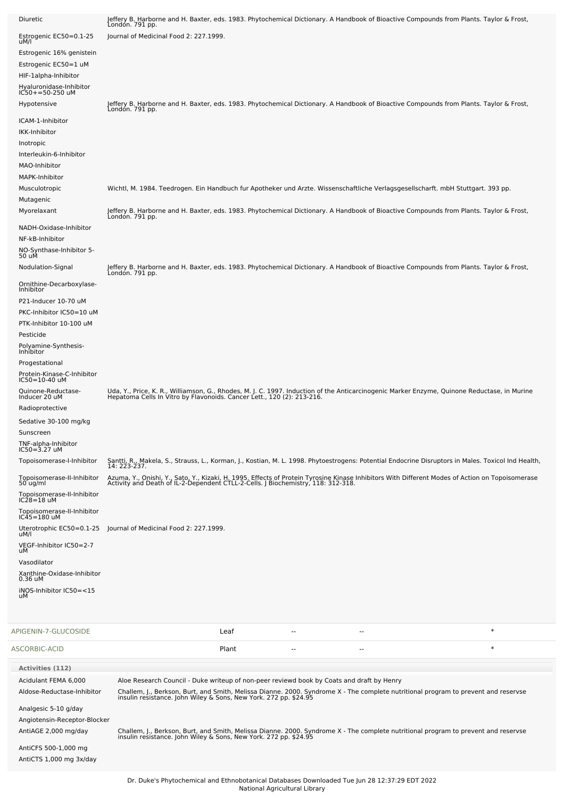| Diuretic                                                                                                                              | Jeffery B. Harborne and H. Baxter, eds. 1983. Phytochemical Dictionary. A Handbook of Bioactive Compounds from Plants. Taylor & Frost,<br>London. 791 pp.                                                                                                                                           |
|---------------------------------------------------------------------------------------------------------------------------------------|-----------------------------------------------------------------------------------------------------------------------------------------------------------------------------------------------------------------------------------------------------------------------------------------------------|
| Estrogenic EC50=0.1-25<br>uM/l                                                                                                        | Journal of Medicinal Food 2: 227.1999.                                                                                                                                                                                                                                                              |
| Estrogenic 16% genistein<br>Estrogenic EC50=1 uM<br>HIF-1alpha-Inhibitor<br>Hyaluronidase-Inhibitor<br>IC50+=50-250 uM<br>Hypotensive | Jeffery B. Harborne and H. Baxter, eds. 1983. Phytochemical Dictionary. A Handbook of Bioactive Compounds from Plants. Taylor & Frost,<br>Londón. 791 pp.                                                                                                                                           |
| ICAM-1-Inhibitor<br>IKK-Inhibitor<br>Inotropic<br>Interleukin-6-Inhibitor<br>MAO-Inhibitor<br>MAPK-Inhibitor                          |                                                                                                                                                                                                                                                                                                     |
| Musculotropic<br>Mutagenic                                                                                                            | Wichtl, M. 1984. Teedrogen. Ein Handbuch fur Apotheker und Arzte. Wissenschaftliche Verlagsgesellscharft. mbH Stuttgart. 393 pp.                                                                                                                                                                    |
| Myorelaxant<br>NADH-Oxidase-Inhibitor<br>NF-kB-Inhibitor<br>NO-Synthase-Inhibitor 5-<br>50 uM                                         | Jeffery B. Harborne and H. Baxter, eds. 1983. Phytochemical Dictionary. A Handbook of Bioactive Compounds from Plants. Taylor & Frost,<br>London. 791 pp.                                                                                                                                           |
| Nodulation-Signal                                                                                                                     | Jeffery B. Harborne and H. Baxter, eds. 1983. Phytochemical Dictionary. A Handbook of Bioactive Compounds from Plants. Taylor & Frost,<br>London. 791 pp.                                                                                                                                           |
| Ornithine-Decarboxylase-<br>Inhibitor<br>P21-Inducer 10-70 uM<br>PKC-Inhibitor IC50=10 uM<br>PTK-Inhibitor 10-100 uM<br>Pesticide     |                                                                                                                                                                                                                                                                                                     |
| Polyamine-Synthesis-<br>Inhibitor<br>Progestational<br>Protein-Kinase-C-Inhibitor<br>IC50=10-40 uM                                    |                                                                                                                                                                                                                                                                                                     |
| Quinone-Reductase-<br>Inducer 20 uM<br>Radioprotective<br>Sedative 30-100 mg/kg<br>Sunscreen<br>TNF-alpha-Inhibitor<br>IC50=3.27 uM   | Uda, Y., Price, K. R., Williamson, G., Rhodes, M. J. C. 1997. Induction of the Anticarcinogenic Marker Enzyme, Quinone Reductase, in Murine<br>Hepatoma Cells In Vitro by Flavonoids. Cancer Lett., 120 (2): 213-216.                                                                               |
| Topoisomerase-I-Inhibitor                                                                                                             | Santti, R., Makela, S., Strauss, L., Korman, J., Kostian, M. L. 1998. Phytoestrogens: Potential Endocrine Disruptors in Males. Toxicol Ind Health,<br>14: 223-237.                                                                                                                                  |
| Topoisomerase-II-Inhibitor<br>$50$ ug/ml<br>Topoisomerase-II-Inhibitor<br>$IC28=18$ uM<br>Topoisomerase-II-Inhibitor<br>IC45=180 uM   | Azuma, Y., Onishi, Y., Sato, Y., Kizaki, H. 1995. Effects of Protein Tyrosine Kinase Inhibitors With Different Modes of Action on Topoisomerase<br>Activity and Death of IL-2-Dependent CTLL-2-Cells. J Biochemistry, 118: 312-31                                                                   |
| Uterotrophic EC50=0.1-25<br>uM/l                                                                                                      | Journal of Medicinal Food 2: 227.1999.                                                                                                                                                                                                                                                              |
| VEGF-Inhibitor IC50=2-7<br>uМ                                                                                                         |                                                                                                                                                                                                                                                                                                     |
| Vasodilator<br>Xanthine-Oxidase-Inhibitor<br>0.36 uM                                                                                  |                                                                                                                                                                                                                                                                                                     |
| iNOS-Inhibitor IC50=<15<br>uМ                                                                                                         |                                                                                                                                                                                                                                                                                                     |
| APIGENIN-7-GLUCOSIDE                                                                                                                  | $\ast$<br>Leaf<br>٠.<br>$-$                                                                                                                                                                                                                                                                         |
| ASCORBIC-ACID                                                                                                                         | $\ast$<br>Plant                                                                                                                                                                                                                                                                                     |
| <b>Activities (112)</b><br>Acidulant FEMA 6,000<br>Aldose-Reductase-Inhibitor                                                         | Aloe Research Council - Duke writeup of non-peer reviewd book by Coats and draft by Henry<br>Challem, J., Berkson, Burt, and Smith, Melissa Dianne. 2000. Syndrome X - The complete nutritional program to prevent and reservse<br>insulin resistance. John Wiley & Sons, New York. 272 pp. \$24.95 |
| Analgesic 5-10 g/day<br>Angiotensin-Receptor-Blocker<br>AntiAGE 2,000 mg/day<br>AntiCFS 500-1,000 mg                                  | Challem, J., Berkson, Burt, and Smith, Melissa Dianne. 2000. Syndrome X - The complete nutritional program to prevent and reservse<br>insulin resistance. John Wiley & Sons, New York. 272 pp. \$24.95                                                                                              |

AntiCTS 1,000 mg 3x/day

L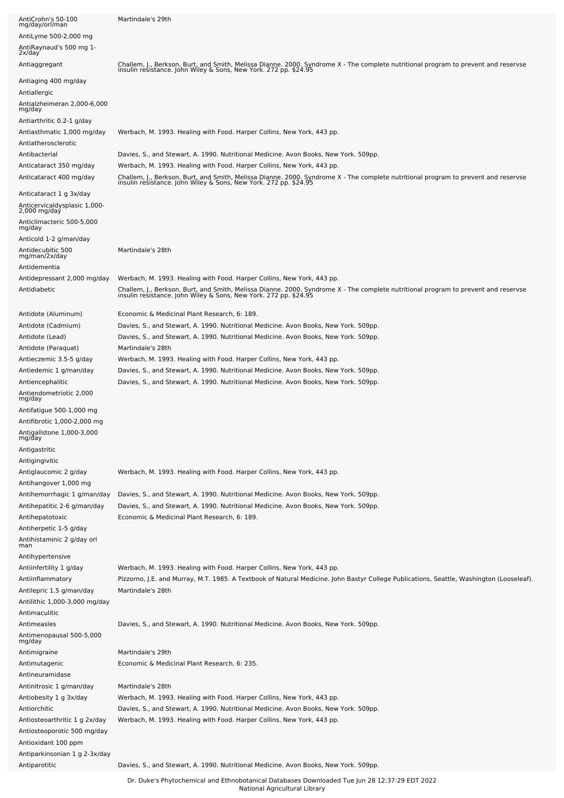| AntiCrohn's 50-100<br>mg/day/orl/man                       | Martindale's 29th                                                                                                                                                                                                  |
|------------------------------------------------------------|--------------------------------------------------------------------------------------------------------------------------------------------------------------------------------------------------------------------|
| AntiLyme 500-2,000 mg                                      |                                                                                                                                                                                                                    |
| AntiRaynaud's 500 mg 1-<br>2x/day                          |                                                                                                                                                                                                                    |
| Antiaggregant                                              | Challem, J., Berkson, Burt, and Smith, Melissa Dianne. 2000. Syndrome X - The complete nutritional program to prevent and reservse<br>insulin resistance. John Wiley & Sons, New York. 272 pp. \$24.95             |
| Antiaging 400 mg/day                                       |                                                                                                                                                                                                                    |
| Antiallergic<br>Antialzheimeran 2,000-6,000<br>mg/day      |                                                                                                                                                                                                                    |
| Antiarthritic 0.2-1 g/day                                  |                                                                                                                                                                                                                    |
| Antiasthmatic 1,000 mg/day                                 | Werbach, M. 1993. Healing with Food. Harper Collins, New York, 443 pp.                                                                                                                                             |
| Antiatherosclerotic                                        |                                                                                                                                                                                                                    |
| Antibacterial                                              | Davies, S., and Stewart, A. 1990. Nutritional Medicine. Avon Books, New York. 509pp.                                                                                                                               |
| Anticataract 350 mg/day                                    | Werbach, M. 1993. Healing with Food. Harper Collins, New York, 443 pp.                                                                                                                                             |
| Anticataract 400 mg/day                                    | Challem, J., Berkson, Burt, and Smith, Melissa Dianne. 2000. Syndrome X - The complete nutritional program to prevent and reservse<br>insulin resistance. John Wiley & Sons, New York. 272 pp. \$24.95             |
| Anticataract 1 g 3x/day                                    |                                                                                                                                                                                                                    |
| Anticervicaldysplasic 1,000-<br>2,000 mg/day               |                                                                                                                                                                                                                    |
| Anticlimacteric 500-5,000<br>mg/day                        |                                                                                                                                                                                                                    |
| Anticold 1-2 g/man/day                                     |                                                                                                                                                                                                                    |
| Antidecubitic 500<br>mg/man/2x/day                         | Martindale's 28th                                                                                                                                                                                                  |
| Antidementia                                               |                                                                                                                                                                                                                    |
| Antidepressant 2,000 mg/day                                | Werbach, M. 1993. Healing with Food. Harper Collins, New York, 443 pp.                                                                                                                                             |
| Antidiabetic                                               | Challem, J., Berkson, Burt, and Smith, Melissa Dianne. 2000. Syndrome X - The complete nutritional program to prevent and reservse<br>insulin resistance. John Wiley & Sons, New York. 272 pp. \$24.95             |
| Antidote (Aluminum)                                        | Economic & Medicinal Plant Research, 6: 189.                                                                                                                                                                       |
| Antidote (Cadmium)                                         | Davies, S., and Stewart, A. 1990. Nutritional Medicine. Avon Books, New York. 509pp.                                                                                                                               |
| Antidote (Lead)                                            | Davies, S., and Stewart, A. 1990. Nutritional Medicine. Avon Books, New York. 509pp.                                                                                                                               |
| Antidote (Paraquat)                                        | Martindale's 28th                                                                                                                                                                                                  |
| Antieczemic 3.5-5 g/day                                    | Werbach, M. 1993. Healing with Food. Harper Collins, New York, 443 pp.                                                                                                                                             |
| Antiedemic 1 g/man/day                                     | Davies, S., and Stewart, A. 1990. Nutritional Medicine. Avon Books, New York. 509pp.                                                                                                                               |
| Antiencephalitic<br>Antiendometriotic 2,000<br>mg/day      | Davies, S., and Stewart, A. 1990. Nutritional Medicine. Avon Books, New York. 509pp.                                                                                                                               |
| Antifatigue 500-1,000 mg                                   |                                                                                                                                                                                                                    |
| Antifibrotic 1,000-2,000 mg                                |                                                                                                                                                                                                                    |
| Antigallstone 1,000-3,000<br>mg/day                        |                                                                                                                                                                                                                    |
| Antigastritic                                              |                                                                                                                                                                                                                    |
| Antigingivitic                                             |                                                                                                                                                                                                                    |
| Antiglaucomic 2 g/day                                      | Werbach, M. 1993. Healing with Food. Harper Collins, New York, 443 pp.                                                                                                                                             |
| Antihangover 1,000 mg                                      |                                                                                                                                                                                                                    |
| Antihemorrhagic 1 g/man/day<br>Antihepatitic 2-6 g/man/day | Davies, S., and Stewart, A. 1990. Nutritional Medicine. Avon Books, New York. 509pp.<br>Davies, S., and Stewart, A. 1990. Nutritional Medicine. Avon Books, New York. 509pp.                                       |
| Antihepatotoxic                                            | Economic & Medicinal Plant Research, 6: 189.                                                                                                                                                                       |
| Antiherpetic 1-5 g/day                                     |                                                                                                                                                                                                                    |
| Antihistaminic 2 g/day orl<br>man                          |                                                                                                                                                                                                                    |
| Antihypertensive                                           |                                                                                                                                                                                                                    |
| Antiinfertility 1 g/day<br>Antiinflammatory                | Werbach, M. 1993. Healing with Food. Harper Collins, New York, 443 pp.<br>Pizzorno, J.E. and Murray, M.T. 1985. A Textbook of Natural Medicine. John Bastyr College Publications, Seattle, Washington (Looseleaf). |
| Antilepric 1.5 g/man/day                                   | Martindale's 28th                                                                                                                                                                                                  |
| Antilithic 1,000-3,000 mg/day                              |                                                                                                                                                                                                                    |
| Antimaculitic                                              |                                                                                                                                                                                                                    |
| Antimeasles                                                | Davies, S., and Stewart, A. 1990. Nutritional Medicine. Avon Books, New York. 509pp.                                                                                                                               |
| Antimenopausal 500-5,000<br>mg/day                         |                                                                                                                                                                                                                    |
| Antimigraine                                               | Martindale's 29th                                                                                                                                                                                                  |
| Antimutagenic                                              | Economic & Medicinal Plant Research, 6: 235.                                                                                                                                                                       |
| Antineuramidase                                            |                                                                                                                                                                                                                    |
| Antinitrosic 1 g/man/day                                   | Martindale's 28th                                                                                                                                                                                                  |
| Antiobesity 1 g 3x/day                                     | Werbach, M. 1993. Healing with Food. Harper Collins, New York, 443 pp.                                                                                                                                             |
| Antiorchitic                                               | Davies, S., and Stewart, A. 1990. Nutritional Medicine. Avon Books, New York. 509pp.                                                                                                                               |
| Antiosteoarthritic 1 g 2x/day                              | Werbach, M. 1993. Healing with Food. Harper Collins, New York, 443 pp.                                                                                                                                             |
| Antiosteoporotic 500 mg/day<br>Antioxidant 100 ppm         |                                                                                                                                                                                                                    |
| Antiparkinsonian 1 g 2-3x/day                              |                                                                                                                                                                                                                    |
| Antiparotitic                                              | Davies, S., and Stewart, A. 1990. Nutritional Medicine. Avon Books, New York. 509pp.                                                                                                                               |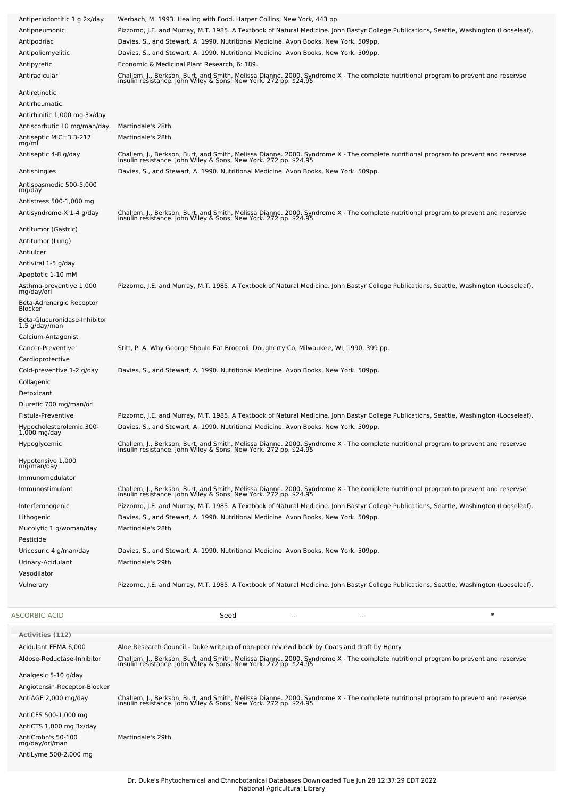| Antiperiodontitic 1 g 2x/day               | Werbach, M. 1993. Healing with Food. Harper Collins, New York, 443 pp.                                                                                                                                 |
|--------------------------------------------|--------------------------------------------------------------------------------------------------------------------------------------------------------------------------------------------------------|
| Antipneumonic                              | Pizzorno, J.E. and Murray, M.T. 1985. A Textbook of Natural Medicine. John Bastyr College Publications, Seattle, Washington (Looseleaf).                                                               |
| Antipodriac                                | Davies, S., and Stewart, A. 1990. Nutritional Medicine. Avon Books, New York. 509pp.                                                                                                                   |
| Antipoliomyelitic                          | Davies, S., and Stewart, A. 1990. Nutritional Medicine. Avon Books, New York. 509pp.                                                                                                                   |
| Antipyretic                                | Economic & Medicinal Plant Research, 6: 189.                                                                                                                                                           |
| Antiradicular                              |                                                                                                                                                                                                        |
|                                            | Challem, J., Berkson, Burt, and Smith, Melissa Dianne. 2000. Syndrome X - The complete nutritional program to prevent and reservse<br>insulin resistance. John Wiley & Sons, New York. 272 pp. \$24.95 |
| Antiretinotic                              |                                                                                                                                                                                                        |
| Antirheumatic                              |                                                                                                                                                                                                        |
| Antirhinitic 1,000 mg 3x/day               |                                                                                                                                                                                                        |
| Antiscorbutic 10 mg/man/day                | Martindale's 28th                                                                                                                                                                                      |
| Antiseptic MIC=3.3-217                     | Martindale's 28th                                                                                                                                                                                      |
| mg/ml                                      |                                                                                                                                                                                                        |
| Antiseptic 4-8 g/day                       | Challem, J., Berkson, Burt, and Smith, Melissa Dianne. 2000. Syndrome X - The complete nutritional program to prevent and reservse<br>insulin resistance. John Wiley & Sons, New York. 272 pp. \$24.95 |
| Antishingles                               | Davies, S., and Stewart, A. 1990. Nutritional Medicine. Avon Books, New York. 509pp.                                                                                                                   |
|                                            |                                                                                                                                                                                                        |
| Antispasmodic 500-5,000<br>mg/day          |                                                                                                                                                                                                        |
| Antistress 500-1,000 mg                    |                                                                                                                                                                                                        |
| Antisyndrome-X 1-4 g/day                   |                                                                                                                                                                                                        |
|                                            | Challem, J., Berkson, Burt, and Smith, Melissa Dianne. 2000. Syndrome X - The complete nutritional program to prevent and reservse<br>insulin resistance. John Wiley & Sons, New York. 272 pp. \$24.95 |
| Antitumor (Gastric)                        |                                                                                                                                                                                                        |
| Antitumor (Lung)                           |                                                                                                                                                                                                        |
| Antiulcer                                  |                                                                                                                                                                                                        |
| Antiviral 1-5 g/day                        |                                                                                                                                                                                                        |
| Apoptotic 1-10 mM                          |                                                                                                                                                                                                        |
| Asthma-preventive 1,000                    | Pizzorno, J.E. and Murray, M.T. 1985. A Textbook of Natural Medicine. John Bastyr College Publications, Seattle, Washington (Looseleaf).                                                               |
| mg/day/orl                                 |                                                                                                                                                                                                        |
| Beta-Adrenergic Receptor<br><b>Blocker</b> |                                                                                                                                                                                                        |
| Beta-Glucuronidase-Inhibitor               |                                                                                                                                                                                                        |
| 1.5 g/day/man                              |                                                                                                                                                                                                        |
| Calcium-Antagonist                         |                                                                                                                                                                                                        |
| Cancer-Preventive                          | Stitt, P. A. Why George Should Eat Broccoli. Dougherty Co, Milwaukee, WI, 1990, 399 pp.                                                                                                                |
| Cardioprotective                           |                                                                                                                                                                                                        |
| Cold-preventive 1-2 g/day                  | Davies, S., and Stewart, A. 1990. Nutritional Medicine. Avon Books, New York. 509pp.                                                                                                                   |
| Collagenic                                 |                                                                                                                                                                                                        |
| Detoxicant                                 |                                                                                                                                                                                                        |
|                                            |                                                                                                                                                                                                        |
|                                            |                                                                                                                                                                                                        |
| Diuretic 700 mg/man/orl                    |                                                                                                                                                                                                        |
| Fistula-Preventive                         | Pizzorno, J.E. and Murray, M.T. 1985. A Textbook of Natural Medicine. John Bastyr College Publications, Seattle, Washington (Looseleaf).                                                               |
| Hypocholesterolemic 300-<br>1,000 mg/day   | Davies, S., and Stewart, A. 1990. Nutritional Medicine. Avon Books, New York. 509pp.                                                                                                                   |
| Hypoglycemic                               |                                                                                                                                                                                                        |
|                                            | Challem, J., Berkson, Burt, and Smith, Melissa Dianne. 2000. Syndrome X - The complete nutritional program to prevent and reservse<br>insulin resistance. John Wiley & Sons, New York. 272 pp. \$24.95 |
| Hypotensive 1,000                          |                                                                                                                                                                                                        |
| mg/man/day                                 |                                                                                                                                                                                                        |
| Immunomodulator                            |                                                                                                                                                                                                        |
| Immunostimulant                            | Challem, J., Berkson, Burt, and Smith, Melissa Dianne. 2000. Syndrome X - The complete nutritional program to prevent and reservse<br>insulin resistance. John Wiley & Sons, New York. 272 pp. \$24.95 |
| Interferonogenic                           | Pizzorno, J.E. and Murray, M.T. 1985. A Textbook of Natural Medicine. John Bastyr College Publications, Seattle, Washington (Looseleaf).                                                               |
| Lithogenic                                 | Davies, S., and Stewart, A. 1990. Nutritional Medicine. Avon Books, New York. 509pp.                                                                                                                   |
| Mucolytic 1 g/woman/day                    | Martindale's 28th                                                                                                                                                                                      |
| Pesticide                                  |                                                                                                                                                                                                        |
|                                            |                                                                                                                                                                                                        |
| Uricosuric 4 g/man/day                     | Davies, S., and Stewart, A. 1990. Nutritional Medicine. Avon Books, New York. 509pp.<br>Martindale's 29th                                                                                              |
| Urinary-Acidulant                          |                                                                                                                                                                                                        |
| Vasodilator                                |                                                                                                                                                                                                        |
| Vulnerary                                  | Pizzorno, J.E. and Murray, M.T. 1985. A Textbook of Natural Medicine. John Bastyr College Publications, Seattle, Washington (Looseleaf).                                                               |
|                                            |                                                                                                                                                                                                        |
| ASCORBIC-ACID                              | $\ast$<br>Seed<br>--                                                                                                                                                                                   |
|                                            |                                                                                                                                                                                                        |
| <b>Activities (112)</b>                    |                                                                                                                                                                                                        |
| Acidulant FEMA 6,000                       | Aloe Research Council - Duke writeup of non-peer reviewd book by Coats and draft by Henry                                                                                                              |
| Aldose-Reductase-Inhibitor                 |                                                                                                                                                                                                        |
|                                            | Challem, J., Berkson, Burt, and Smith, Melissa Dianne. 2000. Syndrome X - The complete nutritional program to prevent and reservse insulin resistance. John Wiley & Sons, New York. 272 pp. \$24.95    |
| Analgesic 5-10 g/day                       |                                                                                                                                                                                                        |
| Angiotensin-Receptor-Blocker               |                                                                                                                                                                                                        |
| AntiAGE 2,000 mg/day                       | Challem, J., Berkson, Burt, and Smith, Melissa Dianne. 2000. Syndrome X - The complete nutritional program to prevent and reservse<br>insulin resistance. John Wiley & Sons, New York. 272 pp. \$24.95 |
| AntiCFS 500-1,000 mg                       |                                                                                                                                                                                                        |
| AntiCTS 1,000 mg 3x/day                    |                                                                                                                                                                                                        |
| AntiCrohn's 50-100<br>mg/day/orl/man       | Martindale's 29th                                                                                                                                                                                      |

AntiLyme 500-2,000 mg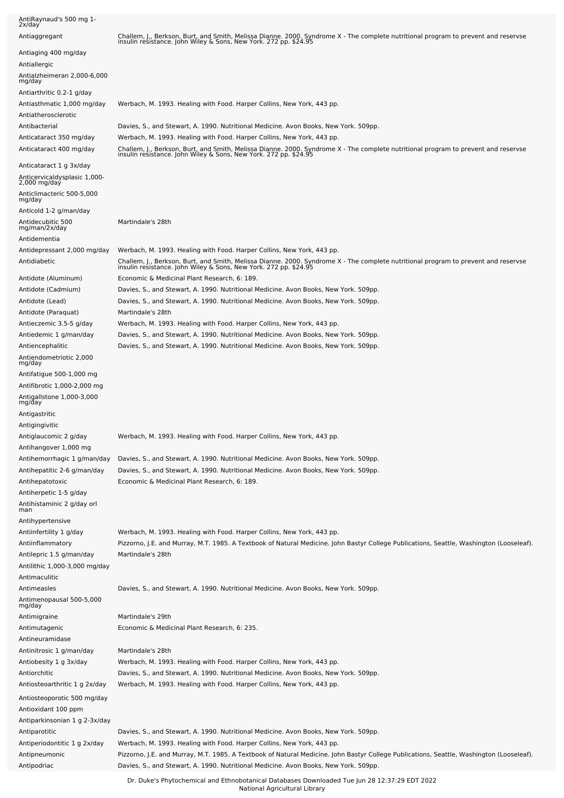| 2x/day                                                                        |                                                                                                                                                                                                        |
|-------------------------------------------------------------------------------|--------------------------------------------------------------------------------------------------------------------------------------------------------------------------------------------------------|
| Antiaggregant                                                                 | Challem, J., Berkson, Burt, and Smith, Melissa Dianne. 2000. Syndrome X - The complete nutritional program to prevent and reservse<br>insulin resistance. John Wiley & Sons, New York. 272 pp. \$24.95 |
| Antiaging 400 mg/day<br>Antiallergic<br>Antialzheimeran 2,000-6,000           |                                                                                                                                                                                                        |
| mg/day                                                                        |                                                                                                                                                                                                        |
| Antiarthritic 0.2-1 g/day<br>Antiasthmatic 1,000 mg/day                       | Werbach, M. 1993. Healing with Food. Harper Collins, New York, 443 pp.                                                                                                                                 |
| Antiatherosclerotic                                                           |                                                                                                                                                                                                        |
| Antibacterial                                                                 | Davies, S., and Stewart, A. 1990. Nutritional Medicine. Avon Books, New York. 509pp.                                                                                                                   |
| Anticataract 350 mg/day                                                       | Werbach, M. 1993. Healing with Food. Harper Collins, New York, 443 pp.                                                                                                                                 |
| Anticataract 400 mg/day                                                       | Challem, J., Berkson, Burt, and Smith, Melissa Dianne. 2000. Syndrome X - The complete nutritional program to prevent and reservse<br>insulin resistance. John Wiley & Sons, New York. 272 pp. \$24.95 |
| Anticataract 1 g 3x/day<br>Anticervicaldysplasic 1,000-<br>2,000 mg/day       |                                                                                                                                                                                                        |
| Anticlimacteric 500-5,000<br>mg/day                                           |                                                                                                                                                                                                        |
| Anticold 1-2 g/man/day                                                        |                                                                                                                                                                                                        |
| Antidecubitic 500<br>mg/man/2x/day<br>Antidementia                            | Martindale's 28th                                                                                                                                                                                      |
| Antidepressant 2,000 mg/day                                                   | Werbach, M. 1993. Healing with Food. Harper Collins, New York, 443 pp.                                                                                                                                 |
| Antidiabetic                                                                  | Challem, J., Berkson, Burt, and Smith, Melissa Dianne. 2000. Syndrome X - The complete nutritional program to prevent and reservse<br>insulin resistance. John Wiley & Sons, New York. 272 pp. \$24.95 |
| Antidote (Aluminum)                                                           | Economic & Medicinal Plant Research, 6: 189.                                                                                                                                                           |
| Antidote (Cadmium)<br>Antidote (Lead)                                         | Davies, S., and Stewart, A. 1990. Nutritional Medicine. Avon Books, New York. 509pp.<br>Davies, S., and Stewart, A. 1990. Nutritional Medicine. Avon Books, New York. 509pp.                           |
| Antidote (Paraquat)                                                           | Martindale's 28th                                                                                                                                                                                      |
| Antieczemic 3.5-5 g/day                                                       | Werbach, M. 1993. Healing with Food. Harper Collins, New York, 443 pp.                                                                                                                                 |
| Antiedemic 1 g/man/day                                                        | Davies, S., and Stewart, A. 1990. Nutritional Medicine. Avon Books, New York. 509pp.                                                                                                                   |
| Antiencephalitic<br>Antiendometriotic 2,000                                   | Davies, S., and Stewart, A. 1990. Nutritional Medicine. Avon Books, New York. 509pp.                                                                                                                   |
| mg/day<br>Antifatigue 500-1,000 mg                                            |                                                                                                                                                                                                        |
| Antifibrotic 1,000-2,000 mg<br>Antigallstone 1,000-3,000                      |                                                                                                                                                                                                        |
| mg/day<br>Antigastritic                                                       |                                                                                                                                                                                                        |
| Antigingivitic                                                                |                                                                                                                                                                                                        |
| Antiglaucomic 2 g/day                                                         | Werbach, M. 1993. Healing with Food. Harper Collins, New York, 443 pp.                                                                                                                                 |
| Antihangover 1,000 mg                                                         |                                                                                                                                                                                                        |
| Antihemorrhagic 1 g/man/day<br>Antihepatitic 2-6 g/man/day                    | Davies, S., and Stewart, A. 1990. Nutritional Medicine. Avon Books, New York. 509pp.<br>Davies, S., and Stewart, A. 1990. Nutritional Medicine. Avon Books, New York. 509pp.                           |
|                                                                               |                                                                                                                                                                                                        |
| Antihepatotoxic                                                               | Economic & Medicinal Plant Research, 6: 189.                                                                                                                                                           |
| Antiherpetic 1-5 g/day                                                        |                                                                                                                                                                                                        |
| Antihistaminic 2 g/day orl<br>man                                             |                                                                                                                                                                                                        |
| Antihypertensive                                                              |                                                                                                                                                                                                        |
| Antiinfertility 1 g/day                                                       | Werbach, M. 1993. Healing with Food. Harper Collins, New York, 443 pp.                                                                                                                                 |
| Antiinflammatory<br>Antilepric 1.5 g/man/day<br>Antilithic 1,000-3,000 mg/day | Pizzorno, J.E. and Murray, M.T. 1985. A Textbook of Natural Medicine. John Bastyr College Publications, Seattle, Washington (Looseleaf).<br>Martindale's 28th                                          |
| Antimaculitic                                                                 |                                                                                                                                                                                                        |
| Antimeasles                                                                   | Davies, S., and Stewart, A. 1990. Nutritional Medicine. Avon Books, New York. 509pp.                                                                                                                   |
| Antimenopausal 500-5,000<br>mg/day                                            |                                                                                                                                                                                                        |
| Antimigraine<br>Antimutagenic                                                 | Martindale's 29th<br>Economic & Medicinal Plant Research, 6: 235.                                                                                                                                      |
| Antineuramidase                                                               |                                                                                                                                                                                                        |
| Antinitrosic 1 g/man/day                                                      | Martindale's 28th                                                                                                                                                                                      |
| Antiobesity 1 g 3x/day                                                        | Werbach, M. 1993. Healing with Food. Harper Collins, New York, 443 pp.                                                                                                                                 |
| Antiorchitic<br>Antiosteoarthritic 1 g 2x/day                                 | Davies, S., and Stewart, A. 1990. Nutritional Medicine. Avon Books, New York. 509pp.<br>Werbach, M. 1993. Healing with Food. Harper Collins, New York, 443 pp.                                         |
| Antiosteoporotic 500 mg/day                                                   |                                                                                                                                                                                                        |
| Antioxidant 100 ppm                                                           |                                                                                                                                                                                                        |
| Antiparkinsonian 1 g 2-3x/day                                                 |                                                                                                                                                                                                        |
| Antiparotitic<br>Antiperiodontitic 1 g 2x/day                                 | Davies, S., and Stewart, A. 1990. Nutritional Medicine. Avon Books, New York. 509pp.<br>Werbach, M. 1993. Healing with Food. Harper Collins, New York, 443 pp.                                         |
| Antipneumonic                                                                 | Pizzorno, J.E. and Murray, M.T. 1985. A Textbook of Natural Medicine. John Bastyr College Publications, Seattle, Washington (Looseleaf).                                                               |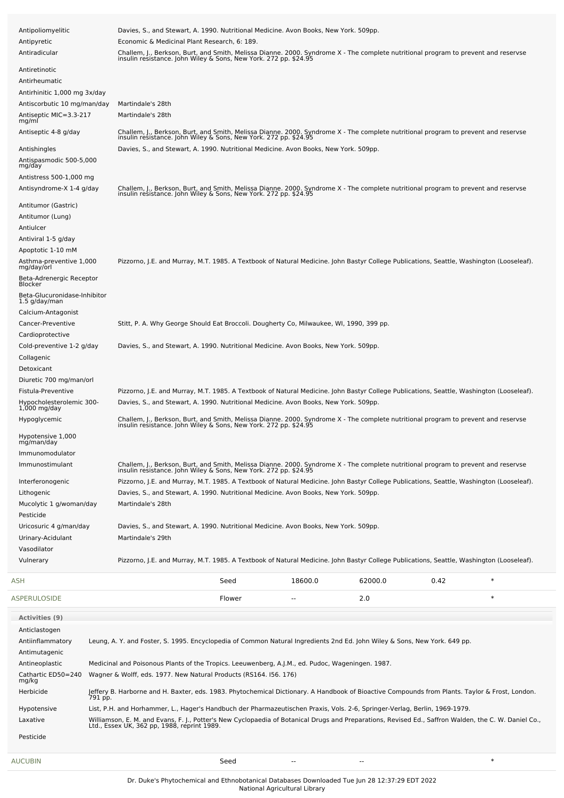| Antipoliomyelitic<br>Antipyretic<br>Antiradicular                                                                   | Davies, S., and Stewart, A. 1990. Nutritional Medicine. Avon Books, New York. 509pp.<br>Economic & Medicinal Plant Research, 6: 189.<br>Challem, J., Berkson, Burt, and Smith, Melissa Dianne. 2000. Syndrome X - The complete nutritional program to prevent and reservse<br>insulin resistance. John Wiley & Sons, New York. 272 pp. \$24.95                                                                                                                                                 |         |         |      |        |  |
|---------------------------------------------------------------------------------------------------------------------|------------------------------------------------------------------------------------------------------------------------------------------------------------------------------------------------------------------------------------------------------------------------------------------------------------------------------------------------------------------------------------------------------------------------------------------------------------------------------------------------|---------|---------|------|--------|--|
| Antiretinotic<br>Antirheumatic                                                                                      |                                                                                                                                                                                                                                                                                                                                                                                                                                                                                                |         |         |      |        |  |
| Antirhinitic 1,000 mg 3x/day<br>Antiscorbutic 10 mg/man/day<br>Antiseptic MIC=3.3-217<br>mg/ml                      | Martindale's 28th<br>Martindale's 28th                                                                                                                                                                                                                                                                                                                                                                                                                                                         |         |         |      |        |  |
| Antiseptic 4-8 g/day<br>Antishingles                                                                                | Challem, J., Berkson, Burt, and Smith, Melissa Dianne. 2000. Syndrome X - The complete nutritional program to prevent and reservse<br>insulin resistance. John Wiley & Sons, New York. 272 pp. \$24.95<br>Davies, S., and Stewart, A. 1990. Nutritional Medicine. Avon Books, New York. 509pp.                                                                                                                                                                                                 |         |         |      |        |  |
| Antispasmodic 500-5,000<br>mg/day<br>Antistress 500-1,000 mg<br>Antisyndrome-X 1-4 g/day                            |                                                                                                                                                                                                                                                                                                                                                                                                                                                                                                |         |         |      |        |  |
| Antitumor (Gastric)<br>Antitumor (Lung)<br>Antiulcer<br>Antiviral 1-5 g/day<br>Apoptotic 1-10 mM                    | Challem, J., Berkson, Burt, and Smith, Melissa Dianne. 2000. Syndrome X - The complete nutritional program to prevent and reservse insulin resistance. John Wiley & Sons, New York. 272 pp. \$24.95                                                                                                                                                                                                                                                                                            |         |         |      |        |  |
| Asthma-preventive 1,000<br>mg/day/orl<br>Beta-Adrenergic Receptor<br><b>Blocker</b><br>Beta-Glucuronidase-Inhibitor | Pizzorno, J.E. and Murray, M.T. 1985. A Textbook of Natural Medicine. John Bastyr College Publications, Seattle, Washington (Looseleaf).                                                                                                                                                                                                                                                                                                                                                       |         |         |      |        |  |
| 1.5 g/day/man<br>Calcium-Antagonist<br>Cancer-Preventive<br>Cardioprotective                                        | Stitt, P. A. Why George Should Eat Broccoli. Dougherty Co, Milwaukee, WI, 1990, 399 pp.                                                                                                                                                                                                                                                                                                                                                                                                        |         |         |      |        |  |
| Cold-preventive 1-2 g/day<br>Collagenic<br>Detoxicant                                                               | Davies, S., and Stewart, A. 1990. Nutritional Medicine. Avon Books, New York. 509pp.                                                                                                                                                                                                                                                                                                                                                                                                           |         |         |      |        |  |
| Diuretic 700 mg/man/orl<br>Fistula-Preventive<br>Hypocholesterolemic 300-<br>$1,000$ mg/day                         | Pizzorno, J.E. and Murray, M.T. 1985. A Textbook of Natural Medicine. John Bastyr College Publications, Seattle, Washington (Looseleaf).<br>Davies, S., and Stewart, A. 1990. Nutritional Medicine. Avon Books, New York. 509pp.                                                                                                                                                                                                                                                               |         |         |      |        |  |
| Hypoglycemic<br>Hypotensive 1,000<br>mg/man/day                                                                     | Challem, J., Berkson, Burt, and Smith, Melissa Dianne. 2000. Syndrome X - The complete nutritional program to prevent and reservse<br>insulin resistance. John Wiley & Sons, New York. 272 pp. \$24.95                                                                                                                                                                                                                                                                                         |         |         |      |        |  |
| Immunomodulator<br>Immunostimulant<br>Interferonogenic<br>Lithogenic<br>Mucolytic 1 g/woman/day                     | Challem, J., Berkson, Burt, and Smith, Melissa Dianne. 2000. Syndrome X - The complete nutritional program to prevent and reservse<br>insulin resistance. John Wiley & Sons, New York. 272 pp. \$24.95<br>Pizzorno, J.E. and Murray, M.T. 1985. A Textbook of Natural Medicine. John Bastyr College Publications, Seattle, Washington (Looseleaf).<br>Davies, S., and Stewart, A. 1990. Nutritional Medicine. Avon Books, New York. 509pp.<br>Martindale's 28th                                |         |         |      |        |  |
| Pesticide<br>Uricosuric 4 g/man/day<br>Urinary-Acidulant                                                            | Davies, S., and Stewart, A. 1990. Nutritional Medicine. Avon Books, New York. 509pp.<br>Martindale's 29th                                                                                                                                                                                                                                                                                                                                                                                      |         |         |      |        |  |
| Vasodilator<br>Vulnerary                                                                                            | Pizzorno, J.E. and Murray, M.T. 1985. A Textbook of Natural Medicine. John Bastyr College Publications, Seattle, Washington (Looseleaf).                                                                                                                                                                                                                                                                                                                                                       |         |         |      |        |  |
| ASH                                                                                                                 | Seed                                                                                                                                                                                                                                                                                                                                                                                                                                                                                           | 18600.0 | 62000.0 | 0.42 | $\ast$ |  |
| ASPERULOSIDE                                                                                                        | Flower                                                                                                                                                                                                                                                                                                                                                                                                                                                                                         |         | 2.0     |      | $\ast$ |  |
| Activities (9)<br>Anticlastogen<br>Antiinflammatory<br>Antimutagenic<br>Antineoplastic                              | Leung, A. Y. and Foster, S. 1995. Encyclopedia of Common Natural Ingredients 2nd Ed. John Wiley & Sons, New York. 649 pp.<br>Medicinal and Poisonous Plants of the Tropics. Leeuwenberg, A.J.M., ed. Pudoc, Wageningen. 1987.                                                                                                                                                                                                                                                                  |         |         |      |        |  |
| Cathartic ED50=240<br>mg/kg                                                                                         | Wagner & Wolff, eds. 1977. New Natural Products (RS164. 156. 176)                                                                                                                                                                                                                                                                                                                                                                                                                              |         |         |      |        |  |
| Herbicide<br>Hypotensive<br>Laxative                                                                                | Jeffery B. Harborne and H. Baxter, eds. 1983. Phytochemical Dictionary. A Handbook of Bioactive Compounds from Plants. Taylor & Frost, London.<br>791 pp.<br>List, P.H. and Horhammer, L., Hager's Handbuch der Pharmazeutischen Praxis, Vols. 2-6, Springer-Verlag, Berlin, 1969-1979.<br>Williamson, E. M. and Evans, F. J., Potter's New Cyclopaedia of Botanical Drugs and Preparations, Revised Ed., Saffron Walden, the C. W. Daniel Co.,<br>Ltd., Essex UK, 362 pp, 1988, reprint 1989. |         |         |      |        |  |
| Pesticide                                                                                                           |                                                                                                                                                                                                                                                                                                                                                                                                                                                                                                |         |         |      |        |  |
| AUCUBIN                                                                                                             | Seed                                                                                                                                                                                                                                                                                                                                                                                                                                                                                           |         |         |      | $\ast$ |  |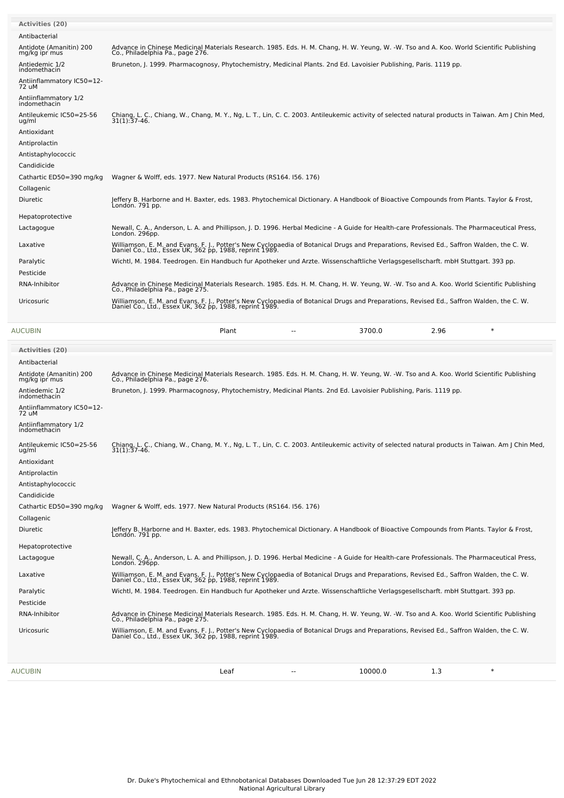| <b>Activities (20)</b>                   |                                                                                                                                                                                                     |
|------------------------------------------|-----------------------------------------------------------------------------------------------------------------------------------------------------------------------------------------------------|
| Antibacterial                            |                                                                                                                                                                                                     |
| Antidote (Amanitin) 200<br>mg/kg ipr mus | Advance in Chinese Medicinal Materials Research. 1985. Eds. H. M. Chang, H. W. Yeung, W. -W. Tso and A. Koo. World Scientific Publishing<br>Co., Philadelphia Pa., page 276.                        |
| Antiedemic 1/2<br>indomethacin           | Bruneton, J. 1999. Pharmacognosy, Phytochemistry, Medicinal Plants. 2nd Ed. Lavoisier Publishing, Paris. 1119 pp.                                                                                   |
| Antiinflammatory IC50=12-<br>72 uM       |                                                                                                                                                                                                     |
| Antiinflammatory 1/2<br>indomethacin     |                                                                                                                                                                                                     |
| Antileukemic IC50=25-56<br>ug/ml         | Chiang, L. C., Chiang, W., Chang, M. Y., Ng, L. T., Lin, C. C. 2003. Antileukemic activity of selected natural products in Taiwan. Am J Chin Med,<br>$31(1):37-46.$                                 |
| Antioxidant                              |                                                                                                                                                                                                     |
| Antiprolactin                            |                                                                                                                                                                                                     |
| Antistaphylococcic                       |                                                                                                                                                                                                     |
| Candidicide                              |                                                                                                                                                                                                     |
| Cathartic ED50=390 mg/kg                 | Wagner & Wolff, eds. 1977. New Natural Products (RS164. 156. 176)                                                                                                                                   |
| Collagenic                               |                                                                                                                                                                                                     |
| <b>Diuretic</b>                          | Jeffery B. Harborne and H. Baxter, eds. 1983. Phytochemical Dictionary. A Handbook of Bioactive Compounds from Plants. Taylor & Frost,<br>Londón. 791 pp.                                           |
| Hepatoprotective                         |                                                                                                                                                                                                     |
| Lactagogue                               | Newall, C. A., Anderson, L. A. and Phillipson, J. D. 1996. Herbal Medicine - A Guide for Health-care Professionals. The Pharmaceutical Press,<br>London. 296pp.                                     |
| Laxative                                 | Williamson, E. M. and Evans, F. J., Potter's New Cyclopaedia of Botanical Drugs and Preparations, Revised Ed., Saffron Walden, the C. W.<br>Daniel Co., Ltd., Essex UK, 362 pp, 1988, reprint 1989. |
| Paralytic                                | Wichtl, M. 1984. Teedrogen. Ein Handbuch fur Apotheker und Arzte. Wissenschaftliche Verlagsgesellscharft. mbH Stuttgart. 393 pp.                                                                    |
| Pesticide                                |                                                                                                                                                                                                     |
| RNA-Inhibitor                            | Advance in Chinese Medicinal Materials Research. 1985. Eds. H. M. Chang, H. W. Yeung, W. -W. Tso and A. Koo. World Scientific Publishing<br>Co., Philadelphia Pa., page 275.                        |
| Uricosuric                               | Williamson, E. M. and Evans, F. J., Potter's New Cyclopaedia of Botanical Drugs and Preparations, Revised Ed., Saffron Walden, the C. W.<br>Daniel Co., Ltd., Essex UK, 362 pp, 1988, reprint 1989. |
| <b>AUCUBIN</b>                           | $\ast$<br>Plant<br>3700.0<br>2.96                                                                                                                                                                   |
| <b>Activities (20)</b>                   |                                                                                                                                                                                                     |

| <b>AUCUBIN</b> |                                          | 10000.0<br>1.3<br>$\ast$<br>Leaf<br>$-$                                                                                                                                                             |
|----------------|------------------------------------------|-----------------------------------------------------------------------------------------------------------------------------------------------------------------------------------------------------|
|                |                                          | Daniel Co., Ltd., Essex UK, 362 pp, 1988, reprint 1989.                                                                                                                                             |
| Uricosuric     |                                          | Williamson, E. M. and Evans, F. J., Potter's New Cyclopaedia of Botanical Drugs and Preparations, Revised Ed., Saffron Walden, the C. W.                                                            |
|                | RNA-Inhibitor                            | Advance in Chinese Medicinal Materials Research. 1985. Eds. H. M. Chang, H. W. Yeung, W. -W. Tso and A. Koo. World Scientific Publishing<br>Co., Philadelphia Pa., page 275.                        |
| Pesticide      |                                          |                                                                                                                                                                                                     |
| Paralytic      |                                          | Wichtl, M. 1984. Teedrogen. Ein Handbuch fur Apotheker und Arzte. Wissenschaftliche Verlagsgesellscharft. mbH Stuttgart. 393 pp.                                                                    |
| Laxative       |                                          | Williamson, E. M. and Evans, F. J., Potter's New Cyclopaedia of Botanical Drugs and Preparations, Revised Ed., Saffron Walden, the C. W.<br>Daniel Co., Ltd., Essex UK, 362 pp, 1988, reprint 1989. |
| Lactagogue     |                                          | Newall, C. A., Anderson, L. A. and Phillipson, J. D. 1996. Herbal Medicine - A Guide for Health-care Professionals. The Pharmaceutical Press,<br>London. 296pp.                                     |
|                | Hepatoprotective                         |                                                                                                                                                                                                     |
| Diuretic       |                                          | Jeffery B. Harborne and H. Baxter, eds. 1983. Phytochemical Dictionary. A Handbook of Bioactive Compounds from Plants. Taylor & Frost,<br>Londón. 791 pp.                                           |
| Collagenic     |                                          |                                                                                                                                                                                                     |
|                | Cathartic ED50=390 mg/kg                 | Wagner & Wolff, eds. 1977. New Natural Products (RS164. 156. 176)                                                                                                                                   |
| Candidicide    |                                          |                                                                                                                                                                                                     |
|                | Antistaphylococcic                       |                                                                                                                                                                                                     |
|                | Antiprolactin                            |                                                                                                                                                                                                     |
| Antioxidant    |                                          |                                                                                                                                                                                                     |
| ug/ml          | Antileukemic IC50=25-56                  | Chiang, L. C., Chiang, W., Chang, M. Y., Ng, L. T., Lin, C. C. 2003. Antileukemic activity of selected natural products in Taiwan. Am J Chin Med,<br>$31(1):37-46.$                                 |
|                | Antiinflammatory 1/2<br>indomethacin     |                                                                                                                                                                                                     |
| 72 uM          | Antiinflammatory IC50=12-                |                                                                                                                                                                                                     |
|                | Antiedemic 1/2<br>indomethacin           | Bruneton, J. 1999. Pharmacognosy, Phytochemistry, Medicinal Plants. 2nd Ed. Lavoisier Publishing, Paris. 1119 pp.                                                                                   |
|                | Antidote (Amanitin) 200<br>mg/kg ipr mus | Advance in Chinese Medicinal Materials Research, 1985. Eds. H. M. Chang, H. W. Yeung, W. -W. Tso and A. Koo. World Scientific Publishing<br>Co., Philadelphia Pa., page 276.                        |
|                | Antibacterial                            |                                                                                                                                                                                                     |
|                | ,,,,,,,,,,,,,,,,                         |                                                                                                                                                                                                     |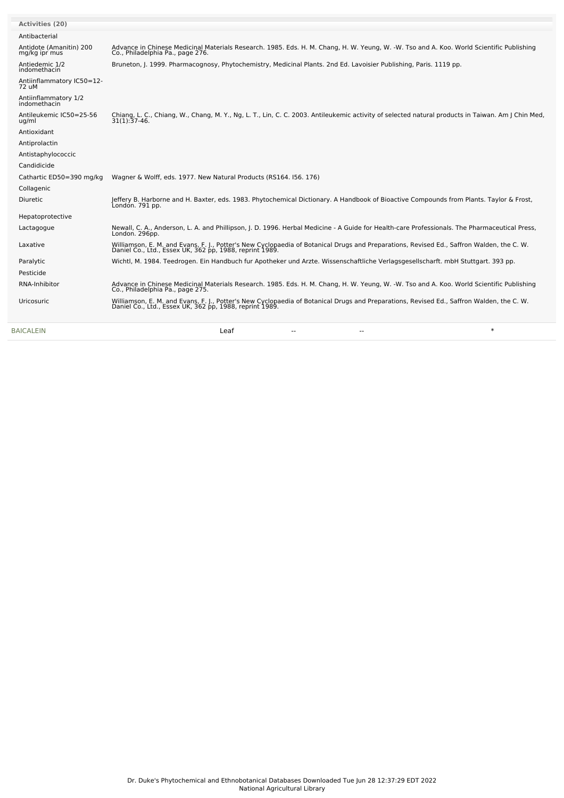| <b>Activities (20)</b>                   |                                                                                                                                                                                                     |
|------------------------------------------|-----------------------------------------------------------------------------------------------------------------------------------------------------------------------------------------------------|
| Antibacterial                            |                                                                                                                                                                                                     |
| Antidote (Amanitin) 200<br>mg/kg ipr mus | Advance in Chinese Medicinal Materials Research, 1985. Eds. H. M. Chang, H. W. Yeung, W. -W. Tso and A. Koo. World Scientific Publishing<br>Co., Philadelphia Pa., page 276.                        |
| Antiedemic 1/2<br>indomethacin           | Bruneton, J. 1999. Pharmacognosy, Phytochemistry, Medicinal Plants. 2nd Ed. Lavoisier Publishing, Paris. 1119 pp.                                                                                   |
| Antiinflammatory IC50=12-<br>72 uM       |                                                                                                                                                                                                     |
| Antiinflammatory 1/2<br>indomethacin     |                                                                                                                                                                                                     |
| Antileukemic IC50=25-56<br>ug/ml         | Chiang, L. C., Chiang, W., Chang, M. Y., Ng, L. T., Lin, C. C. 2003. Antileukemic activity of selected natural products in Taiwan. Am J Chin Med,<br>$31(1):37-46.$                                 |
| Antioxidant                              |                                                                                                                                                                                                     |
| Antiprolactin                            |                                                                                                                                                                                                     |
| Antistaphylococcic                       |                                                                                                                                                                                                     |
| Candidicide                              |                                                                                                                                                                                                     |
| Cathartic ED50=390 mg/kg                 | Wagner & Wolff, eds. 1977. New Natural Products (RS164. 156. 176)                                                                                                                                   |
| Collagenic                               |                                                                                                                                                                                                     |
| <b>Diuretic</b>                          | Jeffery B. Harborne and H. Baxter, eds. 1983. Phytochemical Dictionary. A Handbook of Bioactive Compounds from Plants. Taylor & Frost,<br>Londón. 791 pp.                                           |
| Hepatoprotective                         |                                                                                                                                                                                                     |
| Lactagogue                               | Newall, C. A., Anderson, L. A. and Phillipson, J. D. 1996. Herbal Medicine - A Guide for Health-care Professionals. The Pharmaceutical Press,<br>London. 296pp.                                     |
| Laxative                                 | Williamson, E. M. and Evans, F. J., Potter's New Cyclopaedia of Botanical Drugs and Preparations, Revised Ed., Saffron Walden, the C. W.<br>Daniel Co., Ltd., Essex UK, 362 pp, 1988, reprint 1989. |
| Paralytic                                | Wichtl, M. 1984. Teedrogen. Ein Handbuch fur Apotheker und Arzte. Wissenschaftliche Verlagsgesellscharft. mbH Stuttgart. 393 pp.                                                                    |
| Pesticide                                |                                                                                                                                                                                                     |
| RNA-Inhibitor                            | Advance in Chinese Medicinal Materials Research, 1985. Eds. H. M. Chang, H. W. Yeung, W. -W. Tso and A. Koo. World Scientific Publishing<br>Co., Philadelphia Pa., page 275.                        |
| Uricosuric                               | Williamson, E. M. and Evans, F. J., Potter's New Cyclopaedia of Botanical Drugs and Preparations, Revised Ed., Saffron Walden, the C. W.<br>Daniel Co., Ltd., Essex UK, 362 pp, 1988, reprint 1989. |
| <b>BAICALEIN</b>                         | $\ast$<br>Leaf                                                                                                                                                                                      |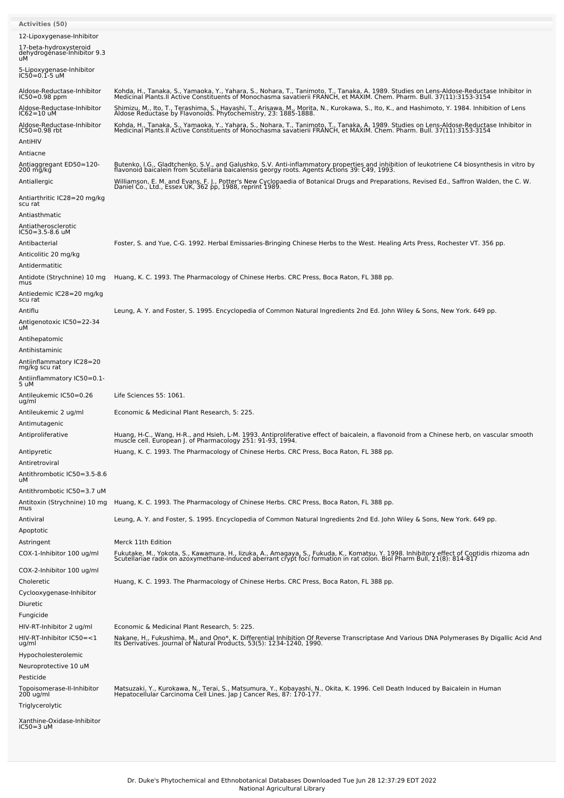| <b>Activities (50)</b>                                                                   |                                                                                                                                                                                                                                                                                                    |
|------------------------------------------------------------------------------------------|----------------------------------------------------------------------------------------------------------------------------------------------------------------------------------------------------------------------------------------------------------------------------------------------------|
| 12-Lipoxygenase-Inhibitor<br>17-beta-hydroxysteroid<br>dehydrogenase-Inhibitor 9.3<br>uМ |                                                                                                                                                                                                                                                                                                    |
| 5-Lipoxygenase-Inhibitor<br>IC50=0.1-5 uM                                                |                                                                                                                                                                                                                                                                                                    |
| Aldose-Reductase-Inhibitor<br>IC50=0.98 ppm                                              | Kohda, H., Tanaka, S., Yamaoka, Y., Yahara, S., Nohara, T., Tanimoto, T., Tanaka, A. 1989. Studies on Lens-Aldose-Reductase Inhibitor in<br>Medicinal Plants.II Active Constituents of Monochasma savatierii FRANCH, et MAXIM. Ch                                                                  |
| Aldose-Reductase-Inhibitor<br>IC62=10 uM                                                 | Shimizu, M., Ito, T., Terashima, S., Hayashi, T., Arisawa, M., Morita, N., Kurokawa, S., Ito, K., and Hashimoto, Y. 1984. Inhibition of Lens<br>Aldose Reductase by Flavonoids. Phytochemistry, 23: 1885-1888.                                                                                     |
| Aldose-Reductase-Inhibitor<br>IC50=0.98 rbt                                              | Kohda, H., Tanaka, S., Yamaoka, Y., Yahara, S., Nohara, T., Tanimoto, T., Tanaka, A. 1989. Studies on Lens-Aldose-Reductase Inhibitor in<br>Medicinal Plants.II Active Constituents of Monochasma savatierii FRANCH, et MAXIM. Ch                                                                  |
| AntiHIV                                                                                  |                                                                                                                                                                                                                                                                                                    |
| Antiacne                                                                                 |                                                                                                                                                                                                                                                                                                    |
| Antiaggregant ED50=120-<br>200 mg/kg                                                     | Butenko, I.G., Gladtchenko, S.V., and Galushko, S.V. Anti-inflammatory properties and inhibition of leukotriene C4 biosynthesis in vitro by<br>flavonoid baicalein from Scutellaria baicalensis georgy roots. Agents Actions 39: C49, 1993.                                                        |
| Antiallergic                                                                             | Williamson, E. M. and Evans, F. J., Potter's New Cyclopaedia of Botanical Drugs and Preparations, Revised Ed., Saffron Walden, the C. W.<br>Daniel Co., Ltd., Essex UK, 362 pp, 1988, reprint 1989.                                                                                                |
| Antiarthritic IC28=20 mg/kg<br>scu rat                                                   |                                                                                                                                                                                                                                                                                                    |
| Antiasthmatic                                                                            |                                                                                                                                                                                                                                                                                                    |
| Antiatherosclerotic<br>IC50=3.5-8.6 uM                                                   |                                                                                                                                                                                                                                                                                                    |
| Antibacterial                                                                            | Foster, S. and Yue, C-G. 1992. Herbal Emissaries-Bringing Chinese Herbs to the West. Healing Arts Press, Rochester VT. 356 pp.                                                                                                                                                                     |
| Anticolitic 20 mg/kg                                                                     |                                                                                                                                                                                                                                                                                                    |
| Antidermatitic<br>Antidote (Strychnine) 10 mg                                            | Huang, K. C. 1993. The Pharmacology of Chinese Herbs. CRC Press, Boca Raton, FL 388 pp.                                                                                                                                                                                                            |
| mus<br>Antiedemic IC28=20 mg/kg                                                          |                                                                                                                                                                                                                                                                                                    |
| scu rat                                                                                  |                                                                                                                                                                                                                                                                                                    |
| Antiflu<br>Antigenotoxic IC50=22-34                                                      | Leung, A. Y. and Foster, S. 1995. Encyclopedia of Common Natural Ingredients 2nd Ed. John Wiley & Sons, New York. 649 pp.                                                                                                                                                                          |
| uМ<br>Antihepatomic                                                                      |                                                                                                                                                                                                                                                                                                    |
| Antihistaminic                                                                           |                                                                                                                                                                                                                                                                                                    |
| Antiinflammatory IC28=20<br>mg/kg scu rat                                                |                                                                                                                                                                                                                                                                                                    |
| Antiinflammatory IC50=0.1-<br>5 uM                                                       |                                                                                                                                                                                                                                                                                                    |
| Antileukemic IC50=0.26<br>ug/ml                                                          | Life Sciences 55: 1061.                                                                                                                                                                                                                                                                            |
| Antileukemic 2 ug/ml                                                                     | Economic & Medicinal Plant Research, 5: 225.                                                                                                                                                                                                                                                       |
| Antimutagenic<br>Antiproliferative                                                       |                                                                                                                                                                                                                                                                                                    |
|                                                                                          | Huang, H-C., Wang, H-R., and Hsieh, L-M. 1993. Antiproliferative effect of baicalein, a flavonoid from a Chinese herb, on vascular smooth<br>muscle cell. European J. of Pharmacology 251: 91-93, 1994.<br>Huang, K. C. 1993. The Pharmacology of Chinese Herbs. CRC Press, Boca Raton, FL 388 pp. |
| Antipyretic<br>Antiretroviral                                                            |                                                                                                                                                                                                                                                                                                    |
| Antithrombotic IC50=3.5-8.6<br>uМ                                                        |                                                                                                                                                                                                                                                                                                    |
| Antithrombotic IC50=3.7 uM                                                               |                                                                                                                                                                                                                                                                                                    |
| Antitoxin (Strychnine) 10 mg<br>mus                                                      | Huang, K. C. 1993. The Pharmacology of Chinese Herbs. CRC Press, Boca Raton, FL 388 pp.                                                                                                                                                                                                            |
| Antiviral<br>Apoptotic                                                                   | Leung, A. Y. and Foster, S. 1995. Encyclopedia of Common Natural Ingredients 2nd Ed. John Wiley & Sons, New York. 649 pp.                                                                                                                                                                          |
| Astringent                                                                               | Merck 11th Edition                                                                                                                                                                                                                                                                                 |
| COX-1-Inhibitor 100 ug/ml                                                                | Fukutake, M., Yokota, S., Kawamura, H., Iizuka, A., Amagaya, S., Fukuda, K., Komatsu, Y. 1998. Inhibitory effect of Coptidis rhizoma adn<br>Scutellariae radix on azoxymethane-induced aberrant crypt foci formation in rat colon                                                                  |
| COX-2-Inhibitor 100 ug/ml<br>Choleretic                                                  | Huang, K. C. 1993. The Pharmacology of Chinese Herbs. CRC Press, Boca Raton, FL 388 pp.                                                                                                                                                                                                            |
| Cyclooxygenase-Inhibitor                                                                 |                                                                                                                                                                                                                                                                                                    |
| Diuretic                                                                                 |                                                                                                                                                                                                                                                                                                    |
| Fungicide                                                                                |                                                                                                                                                                                                                                                                                                    |
| HIV-RT-Inhibitor 2 ug/ml<br>HIV-RT-Inhibitor IC50=<1                                     | Economic & Medicinal Plant Research, 5: 225.                                                                                                                                                                                                                                                       |
| ug/ml                                                                                    | Nakane, H., Fukushima, M., and Ono*, K. Differential Inhibition Of Reverse Transcriptase And Various DNA Polymerases By Digallic Acid And<br>Its Derivatives. Journal of Natural Products, 53(5): 1234-1240, 1990.                                                                                 |
| Hypocholesterolemic<br>Neuroprotective 10 uM                                             |                                                                                                                                                                                                                                                                                                    |
| Pesticide                                                                                |                                                                                                                                                                                                                                                                                                    |
| Topoisomerase-II-Inhibitor<br>200 ug/ml                                                  | Matsuzaki, Y., Kurokawa, N., Terai, S., Matsumura, Y., Kobayashi, N., Okita, K. 1996. Cell Death Induced by Baicalein in Human<br>Hepatocellular Carcinoma Cell Lines. Jap J Cancer Res, 87: 170-177.                                                                                              |
| Triglycerolytic                                                                          |                                                                                                                                                                                                                                                                                                    |
| Xanthine-Oxidase-Inhibitor<br>IC50=3 uM                                                  |                                                                                                                                                                                                                                                                                                    |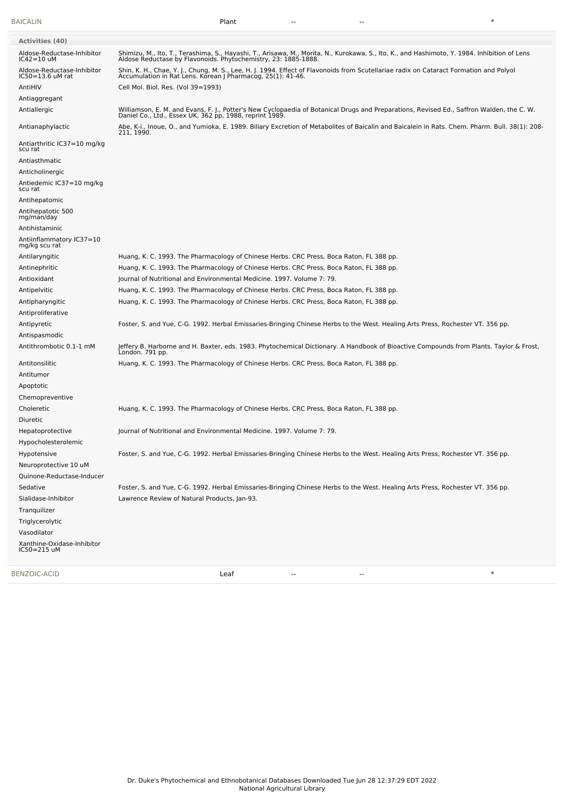[BAICALIN](file:///phytochem/chemicals/show/4359) Plant -- -- \*

| Antinephritic                             | Huang, K. C. 1993. The Pharmacology of Chinese Herbs. CRC Press, Boca Raton, FL 388 pp.                                                                   |
|-------------------------------------------|-----------------------------------------------------------------------------------------------------------------------------------------------------------|
|                                           | Journal of Nutritional and Environmental Medicine. 1997. Volume 7: 79.                                                                                    |
| Antioxidant<br>Antipelvitic               | Huang, K. C. 1993. The Pharmacology of Chinese Herbs. CRC Press, Boca Raton, FL 388 pp.                                                                   |
| Antipharyngitic                           | Huang, K. C. 1993. The Pharmacology of Chinese Herbs. CRC Press, Boca Raton, FL 388 pp.                                                                   |
| Antiproliferative                         |                                                                                                                                                           |
| Antipyretic                               | Foster, S. and Yue, C-G. 1992. Herbal Emissaries-Bringing Chinese Herbs to the West. Healing Arts Press, Rochester VT. 356 pp.                            |
| Antispasmodic                             |                                                                                                                                                           |
| Antithrombotic 0.1-1 mM                   | Jeffery B. Harborne and H. Baxter, eds. 1983. Phytochemical Dictionary. A Handbook of Bioactive Compounds from Plants. Taylor & Frost,<br>London. 791 pp. |
| Antitonsilitic                            | Huang, K. C. 1993. The Pharmacology of Chinese Herbs. CRC Press, Boca Raton, FL 388 pp.                                                                   |
| Antitumor                                 |                                                                                                                                                           |
| Apoptotic                                 |                                                                                                                                                           |
| Chemopreventive                           |                                                                                                                                                           |
| Choleretic                                | Huang, K. C. 1993. The Pharmacology of Chinese Herbs. CRC Press, Boca Raton, FL 388 pp.                                                                   |
| Diuretic                                  |                                                                                                                                                           |
| Hepatoprotective                          | Journal of Nutritional and Environmental Medicine. 1997. Volume 7: 79.                                                                                    |
| Hypocholesterolemic<br>Hypotensive        | Foster, S. and Yue, C-G. 1992. Herbal Emissaries-Bringing Chinese Herbs to the West. Healing Arts Press, Rochester VT. 356 pp.                            |
| Neuroprotective 10 uM                     |                                                                                                                                                           |
| Quinone-Reductase-Inducer                 |                                                                                                                                                           |
| Sedative                                  | Foster, S. and Yue, C-G. 1992. Herbal Emissaries-Bringing Chinese Herbs to the West. Healing Arts Press, Rochester VT. 356 pp.                            |
| Sialidase-Inhibitor                       | Lawrence Review of Natural Products, Jan-93.                                                                                                              |
| Tranquilizer                              |                                                                                                                                                           |
| Triglycerolytic                           |                                                                                                                                                           |
| Vasodilator                               |                                                                                                                                                           |
| Xanthine-Oxidase-Inhibitor<br>IC50=215 uM |                                                                                                                                                           |
| <b>BENZOIC-ACID</b>                       | $\ast$<br>Leaf<br>--                                                                                                                                      |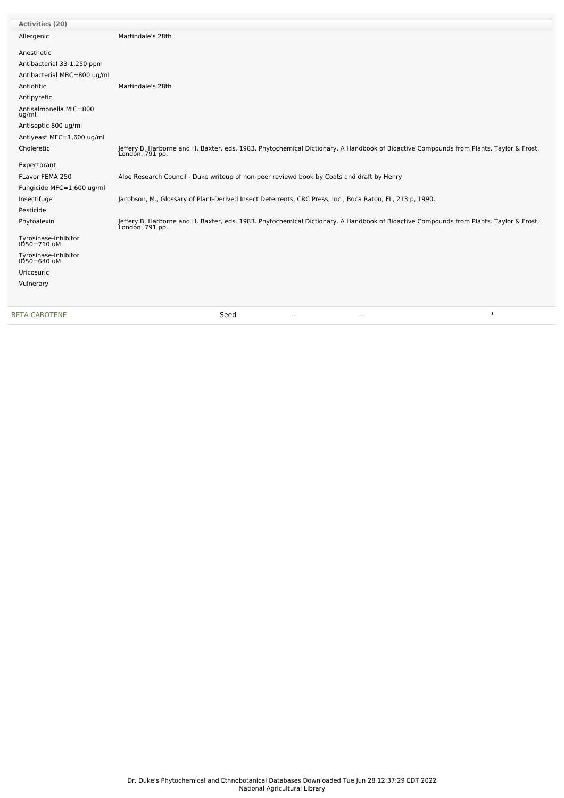| Activities (20)                     |                                                                                                                                                           |
|-------------------------------------|-----------------------------------------------------------------------------------------------------------------------------------------------------------|
| Allergenic                          | Martindale's 28th                                                                                                                                         |
| Anesthetic                          |                                                                                                                                                           |
| Antibacterial 33-1,250 ppm          |                                                                                                                                                           |
| Antibacterial MBC=800 ug/ml         |                                                                                                                                                           |
| Antiotitic                          | Martindale's 28th                                                                                                                                         |
| Antipyretic                         |                                                                                                                                                           |
| Antisalmonella MIC=800<br>ug/ml     |                                                                                                                                                           |
| Antiseptic 800 ug/ml                |                                                                                                                                                           |
| Antiyeast MFC=1,600 ug/ml           |                                                                                                                                                           |
| Choleretic                          | Jeffery B. Harborne and H. Baxter, eds. 1983. Phytochemical Dictionary. A Handbook of Bioactive Compounds from Plants. Taylor & Frost,<br>Londón. 791 pp. |
| Expectorant                         |                                                                                                                                                           |
| FLavor FEMA 250                     | Aloe Research Council - Duke writeup of non-peer reviewd book by Coats and draft by Henry                                                                 |
| Fungicide MFC=1,600 ug/ml           |                                                                                                                                                           |
| Insectifuge                         | Jacobson, M., Glossary of Plant-Derived Insect Deterrents, CRC Press, Inc., Boca Raton, FL, 213 p, 1990.                                                  |
| Pesticide                           |                                                                                                                                                           |
| Phytoalexin                         | Jeffery B. Harborne and H. Baxter, eds. 1983. Phytochemical Dictionary. A Handbook of Bioactive Compounds from Plants. Taylor & Frost,<br>London. 791 pp. |
| Tyrosinase-Inhibitor<br>ID50=710 uM |                                                                                                                                                           |
| Tyrosinase-Inhibitor<br>ID50=640 uM |                                                                                                                                                           |
| Uricosuric                          |                                                                                                                                                           |
| Vulnerary                           |                                                                                                                                                           |
| <b>BETA-CAROTENE</b>                | $\ast$<br>Seed<br>--<br>$-$                                                                                                                               |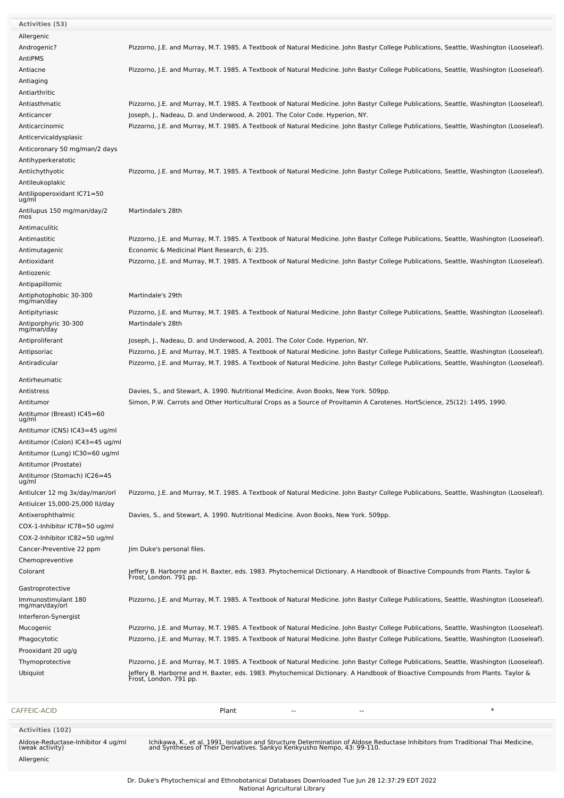| Mucogenic<br>Phagocytotic<br>Prooxidant 20 ug/g<br>Thymoprotective<br>Ubiquiot | Pizzorno, J.E. and Murray, M.T. 1985. A Textbook of Natural Medicine. John Bastyr College Publications, Seattle, Washington (Looseleaf).<br>Pizzorno, J.E. and Murray, M.T. 1985. A Textbook of Natural Medicine. John Bastyr College Publications, Seattle, Washington (Looseleaf).<br>Jeffery B. Harborne and H. Baxter, eds. 1983. Phytochemical Dictionary. A Handbook of Bioactive Compounds from Plants. Taylor &<br>Frost, London. 791 pp. |
|--------------------------------------------------------------------------------|---------------------------------------------------------------------------------------------------------------------------------------------------------------------------------------------------------------------------------------------------------------------------------------------------------------------------------------------------------------------------------------------------------------------------------------------------|
|                                                                                |                                                                                                                                                                                                                                                                                                                                                                                                                                                   |
|                                                                                |                                                                                                                                                                                                                                                                                                                                                                                                                                                   |
|                                                                                |                                                                                                                                                                                                                                                                                                                                                                                                                                                   |
|                                                                                |                                                                                                                                                                                                                                                                                                                                                                                                                                                   |
|                                                                                | Pizzorno, J.E. and Murray, M.T. 1985. A Textbook of Natural Medicine. John Bastyr College Publications, Seattle, Washington (Looseleaf).                                                                                                                                                                                                                                                                                                          |
| Interferon-Synergist                                                           |                                                                                                                                                                                                                                                                                                                                                                                                                                                   |
| Immunostimulant 180<br>mg/man/day/orl                                          | Pizzorno, J.E. and Murray, M.T. 1985. A Textbook of Natural Medicine. John Bastyr College Publications, Seattle, Washington (Looseleaf).                                                                                                                                                                                                                                                                                                          |
| Gastroprotective                                                               |                                                                                                                                                                                                                                                                                                                                                                                                                                                   |
| Colorant                                                                       | Jeffery B. Harborne and H. Baxter, eds. 1983. Phytochemical Dictionary. A Handbook of Bioactive Compounds from Plants. Taylor &<br>Frost, London. 791 pp.                                                                                                                                                                                                                                                                                         |
| Chemopreventive                                                                |                                                                                                                                                                                                                                                                                                                                                                                                                                                   |
| Cancer-Preventive 22 ppm                                                       | Jim Duke's personal files.                                                                                                                                                                                                                                                                                                                                                                                                                        |
| COX-2-Inhibitor IC82=50 ug/ml                                                  |                                                                                                                                                                                                                                                                                                                                                                                                                                                   |
| Antixerophthalmic<br>COX-1-Inhibitor IC78=50 ug/ml                             | Davies, S., and Stewart, A. 1990. Nutritional Medicine. Avon Books, New York. 509pp.                                                                                                                                                                                                                                                                                                                                                              |
| Antiulcer 15,000-25,000 IU/day                                                 |                                                                                                                                                                                                                                                                                                                                                                                                                                                   |
| Antiulcer 12 mg 3x/day/man/orl                                                 | Pizzorno, J.E. and Murray, M.T. 1985. A Textbook of Natural Medicine. John Bastyr College Publications, Seattle, Washington (Looseleaf).                                                                                                                                                                                                                                                                                                          |
| Antitumor (Stomach) IC26=45<br>ug/ml                                           |                                                                                                                                                                                                                                                                                                                                                                                                                                                   |
| Antitumor (Prostate)                                                           |                                                                                                                                                                                                                                                                                                                                                                                                                                                   |
| Antitumor (Lung) IC30=60 ug/ml                                                 |                                                                                                                                                                                                                                                                                                                                                                                                                                                   |
| Antitumor (Colon) IC43=45 ug/ml                                                |                                                                                                                                                                                                                                                                                                                                                                                                                                                   |
| Antitumor (CNS) IC43=45 ug/ml                                                  |                                                                                                                                                                                                                                                                                                                                                                                                                                                   |
| Antitumor (Breast) IC45=60<br>ug/ml                                            |                                                                                                                                                                                                                                                                                                                                                                                                                                                   |
| Antitumor                                                                      | Simon, P.W. Carrots and Other Horticultural Crops as a Source of Provitamin A Carotenes. HortScience, 25(12): 1495, 1990.                                                                                                                                                                                                                                                                                                                         |
| Antistress                                                                     | Davies, S., and Stewart, A. 1990. Nutritional Medicine. Avon Books, New York. 509pp.                                                                                                                                                                                                                                                                                                                                                              |
| Antirheumatic                                                                  |                                                                                                                                                                                                                                                                                                                                                                                                                                                   |
| Antiradicular                                                                  | Pizzorno, J.E. and Murray, M.T. 1985. A Textbook of Natural Medicine. John Bastyr College Publications, Seattle, Washington (Looseleaf).                                                                                                                                                                                                                                                                                                          |
| Antipsoriac                                                                    | Pizzorno, J.E. and Murray, M.T. 1985. A Textbook of Natural Medicine. John Bastyr College Publications, Seattle, Washington (Looseleaf).                                                                                                                                                                                                                                                                                                          |
| Antiproliferant                                                                | Joseph, J., Nadeau, D. and Underwood, A. 2001. The Color Code. Hyperion, NY.                                                                                                                                                                                                                                                                                                                                                                      |
| Antiporphyric 30-300<br>mg/man/day                                             | Martindale's 28th                                                                                                                                                                                                                                                                                                                                                                                                                                 |
| Antipityriasic                                                                 | Pizzorno, J.E. and Murray, M.T. 1985. A Textbook of Natural Medicine. John Bastyr College Publications, Seattle, Washington (Looseleaf).                                                                                                                                                                                                                                                                                                          |
| Antiphotophobic 30-300<br>mg/man/day                                           |                                                                                                                                                                                                                                                                                                                                                                                                                                                   |
| Antipapillomic                                                                 | Martindale's 29th                                                                                                                                                                                                                                                                                                                                                                                                                                 |
| Antiozenic                                                                     |                                                                                                                                                                                                                                                                                                                                                                                                                                                   |
| Antioxidant                                                                    | Pizzorno, J.E. and Murray, M.T. 1985. A Textbook of Natural Medicine. John Bastyr College Publications, Seattle, Washington (Looseleaf).                                                                                                                                                                                                                                                                                                          |
| Antimutagenic                                                                  | Economic & Medicinal Plant Research, 6: 235.                                                                                                                                                                                                                                                                                                                                                                                                      |
| Antimastitic                                                                   | Pizzorno, J.E. and Murray, M.T. 1985. A Textbook of Natural Medicine. John Bastyr College Publications, Seattle, Washington (Looseleaf).                                                                                                                                                                                                                                                                                                          |
| Antimaculitic                                                                  |                                                                                                                                                                                                                                                                                                                                                                                                                                                   |
| Antilupus 150 mg/man/day/2<br>mos                                              | Martindale's 28th                                                                                                                                                                                                                                                                                                                                                                                                                                 |
| Antilipoperoxidant IC71=50<br>ug/ml                                            |                                                                                                                                                                                                                                                                                                                                                                                                                                                   |
| Antileukoplakic                                                                |                                                                                                                                                                                                                                                                                                                                                                                                                                                   |
| Antiichythyotic                                                                | Pizzorno, J.E. and Murray, M.T. 1985. A Textbook of Natural Medicine. John Bastyr College Publications, Seattle, Washington (Looseleaf).                                                                                                                                                                                                                                                                                                          |
| Antihyperkeratotic                                                             |                                                                                                                                                                                                                                                                                                                                                                                                                                                   |
| Anticoronary 50 mg/man/2 days                                                  |                                                                                                                                                                                                                                                                                                                                                                                                                                                   |
| Anticervicaldysplasic                                                          |                                                                                                                                                                                                                                                                                                                                                                                                                                                   |
| Anticarcinomic                                                                 | Pizzorno, J.E. and Murray, M.T. 1985. A Textbook of Natural Medicine. John Bastyr College Publications, Seattle, Washington (Looseleaf).                                                                                                                                                                                                                                                                                                          |
| Anticancer                                                                     | Joseph, J., Nadeau, D. and Underwood, A. 2001. The Color Code. Hyperion, NY.                                                                                                                                                                                                                                                                                                                                                                      |
| Antiarthritic<br>Antiasthmatic                                                 | Pizzorno, J.E. and Murray, M.T. 1985. A Textbook of Natural Medicine. John Bastyr College Publications, Seattle, Washington (Looseleaf).                                                                                                                                                                                                                                                                                                          |
| Antiaging                                                                      |                                                                                                                                                                                                                                                                                                                                                                                                                                                   |
| Antiacne                                                                       | Pizzorno, J.E. and Murray, M.T. 1985. A Textbook of Natural Medicine. John Bastyr College Publications, Seattle, Washington (Looseleaf).                                                                                                                                                                                                                                                                                                          |
| AntiPMS                                                                        |                                                                                                                                                                                                                                                                                                                                                                                                                                                   |
| Androgenic?                                                                    | Pizzorno, J.E. and Murray, M.T. 1985. A Textbook of Natural Medicine. John Bastyr College Publications, Seattle, Washington (Looseleaf).                                                                                                                                                                                                                                                                                                          |
| Allergenic                                                                     |                                                                                                                                                                                                                                                                                                                                                                                                                                                   |
| <b>Activities (53)</b>                                                         |                                                                                                                                                                                                                                                                                                                                                                                                                                                   |

Allergenic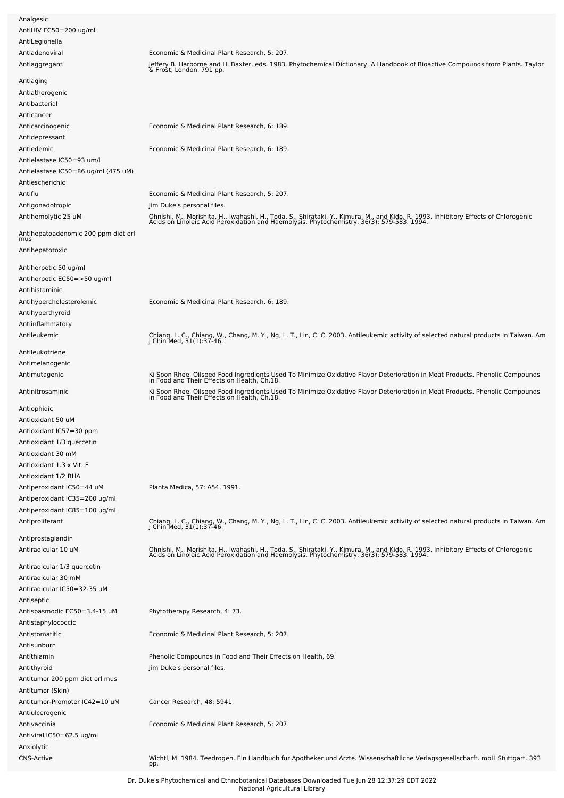| Analgesic                                  |                                                                                                                                                                                                                                  |
|--------------------------------------------|----------------------------------------------------------------------------------------------------------------------------------------------------------------------------------------------------------------------------------|
|                                            |                                                                                                                                                                                                                                  |
| AntiHIV EC50=200 ug/ml                     |                                                                                                                                                                                                                                  |
| AntiLegionella                             |                                                                                                                                                                                                                                  |
| Antiadenoviral                             | Economic & Medicinal Plant Research, 5: 207.                                                                                                                                                                                     |
| Antiaggregant                              | Jeffery B. Harborne and H. Baxter, eds. 1983. Phytochemical Dictionary. A Handbook of Bioactive Compounds from Plants. Taylor<br>& Frost, London. 791 pp.                                                                        |
| Antiaging                                  |                                                                                                                                                                                                                                  |
| Antiatherogenic                            |                                                                                                                                                                                                                                  |
| Antibacterial                              |                                                                                                                                                                                                                                  |
| Anticancer                                 |                                                                                                                                                                                                                                  |
| Anticarcinogenic                           | Economic & Medicinal Plant Research, 6: 189.                                                                                                                                                                                     |
| Antidepressant                             |                                                                                                                                                                                                                                  |
|                                            |                                                                                                                                                                                                                                  |
| Antiedemic                                 | Economic & Medicinal Plant Research, 6: 189.                                                                                                                                                                                     |
| Antielastase IC50=93 um/l                  |                                                                                                                                                                                                                                  |
| Antielastase IC50=86 ug/ml (475 uM)        |                                                                                                                                                                                                                                  |
| Antiescherichic                            |                                                                                                                                                                                                                                  |
| Antiflu                                    | Economic & Medicinal Plant Research, 5: 207.                                                                                                                                                                                     |
| Antigonadotropic                           | Jim Duke's personal files.                                                                                                                                                                                                       |
| Antihemolytic 25 uM                        | Ohnishi, M., Morishita, H., Iwahashi, H., Toda, S., Shirataki, Y., Kimura, M., and Kido, R. 1993. Inhibitory Effects of Chlorogenic<br>Acids on Linoleic Acid Peroxidation and Haemolysis. Phytochemistry. 36(3): 579-583. 1994. |
|                                            |                                                                                                                                                                                                                                  |
| Antihepatoadenomic 200 ppm diet orl<br>mus |                                                                                                                                                                                                                                  |
|                                            |                                                                                                                                                                                                                                  |
| Antihepatotoxic                            |                                                                                                                                                                                                                                  |
| Antiherpetic 50 ug/ml                      |                                                                                                                                                                                                                                  |
| Antiherpetic EC50=>50 ug/ml                |                                                                                                                                                                                                                                  |
| Antihistaminic                             |                                                                                                                                                                                                                                  |
|                                            |                                                                                                                                                                                                                                  |
| Antihypercholesterolemic                   | Economic & Medicinal Plant Research, 6: 189.                                                                                                                                                                                     |
| Antihyperthyroid                           |                                                                                                                                                                                                                                  |
| Antiinflammatory                           |                                                                                                                                                                                                                                  |
| Antileukemic                               | Chiang, L. C., Chiang, W., Chang, M. Y., Ng, L. T., Lin, C. C. 2003. Antileukemic activity of selected natural products in Taiwan. Am<br>J Chin Med, 31(1):37-46.                                                                |
| Antileukotriene                            |                                                                                                                                                                                                                                  |
| Antimelanogenic                            |                                                                                                                                                                                                                                  |
| Antimutagenic                              | Ki Soon Rhee. Oilseed Food Ingredients Used To Minimize Oxidative Flavor Deterioration in Meat Products. Phenolic Compounds                                                                                                      |
|                                            | in Food and Their Effects on Health, Ch.18.                                                                                                                                                                                      |
| Antinitrosaminic                           | Ki Soon Rhee. Oilseed Food Ingredients Used To Minimize Oxidative Flavor Deterioration in Meat Products. Phenolic Compounds<br>in Food and Their Effects on Health, Ch.18.                                                       |
|                                            |                                                                                                                                                                                                                                  |
| Antiophidic                                |                                                                                                                                                                                                                                  |
| Antioxidant 50 uM                          |                                                                                                                                                                                                                                  |
| Antioxidant IC57=30 ppm                    |                                                                                                                                                                                                                                  |
| Antioxidant 1/3 quercetin                  |                                                                                                                                                                                                                                  |
| Antioxidant 30 mM                          |                                                                                                                                                                                                                                  |
| Antioxidant 1.3 x Vit. E                   |                                                                                                                                                                                                                                  |
| Antioxidant 1/2 BHA                        |                                                                                                                                                                                                                                  |
| Antiperoxidant IC50=44 uM                  | Planta Medica, 57: A54, 1991.                                                                                                                                                                                                    |
| Antiperoxidant IC35=200 ug/ml              |                                                                                                                                                                                                                                  |
| Antiperoxidant IC85=100 ug/ml              |                                                                                                                                                                                                                                  |
|                                            |                                                                                                                                                                                                                                  |
| Antiproliferant                            | Chiang, L. C., Chiang, W., Chang, M. Y., Ng, L. T., Lin, C. C. 2003. Antileukemic activity of selected natural products in Taiwan. Am<br>J Chin Med, 31(1):37-46.                                                                |
| Antiprostaglandin                          |                                                                                                                                                                                                                                  |
| Antiradicular 10 uM                        | Ohnishi, M., Morishita, H., Iwahashi, H., Toda, S., Shirataki, Y., Kimura, M., and Kido, R. 1993. Inhibitory Effects of Chlorogenic<br>Acids on Linoleic Acid Peroxidation and Haemolysis. Phytochemistry. 36(3): 579-583. 1994. |
|                                            |                                                                                                                                                                                                                                  |
| Antiradicular 1/3 quercetin                |                                                                                                                                                                                                                                  |
| Antiradicular 30 mM                        |                                                                                                                                                                                                                                  |
| Antiradicular IC50=32-35 uM                |                                                                                                                                                                                                                                  |
| Antiseptic                                 |                                                                                                                                                                                                                                  |
| Antispasmodic EC50=3.4-15 uM               | Phytotherapy Research, 4: 73.                                                                                                                                                                                                    |
| Antistaphylococcic                         |                                                                                                                                                                                                                                  |
| Antistomatitic                             | Economic & Medicinal Plant Research, 5: 207.                                                                                                                                                                                     |
| Antisunburn                                |                                                                                                                                                                                                                                  |
| Antithiamin                                | Phenolic Compounds in Food and Their Effects on Health, 69.                                                                                                                                                                      |
|                                            |                                                                                                                                                                                                                                  |
| Antithyroid                                | Jim Duke's personal files.                                                                                                                                                                                                       |
| Antitumor 200 ppm diet orl mus             |                                                                                                                                                                                                                                  |
| Antitumor (Skin)                           |                                                                                                                                                                                                                                  |
| Antitumor-Promoter IC42=10 uM              | Cancer Research, 48: 5941.                                                                                                                                                                                                       |
| Antiulcerogenic                            |                                                                                                                                                                                                                                  |
| Antivaccinia                               | Economic & Medicinal Plant Research, 5: 207.                                                                                                                                                                                     |
| Antiviral IC50=62.5 ug/ml                  |                                                                                                                                                                                                                                  |
| Anxiolytic                                 |                                                                                                                                                                                                                                  |
| <b>CNS-Active</b>                          | Wichtl, M. 1984. Teedrogen. Ein Handbuch fur Apotheker und Arzte. Wissenschaftliche Verlagsgesellscharft. mbH Stuttgart. 393                                                                                                     |
|                                            | pp.                                                                                                                                                                                                                              |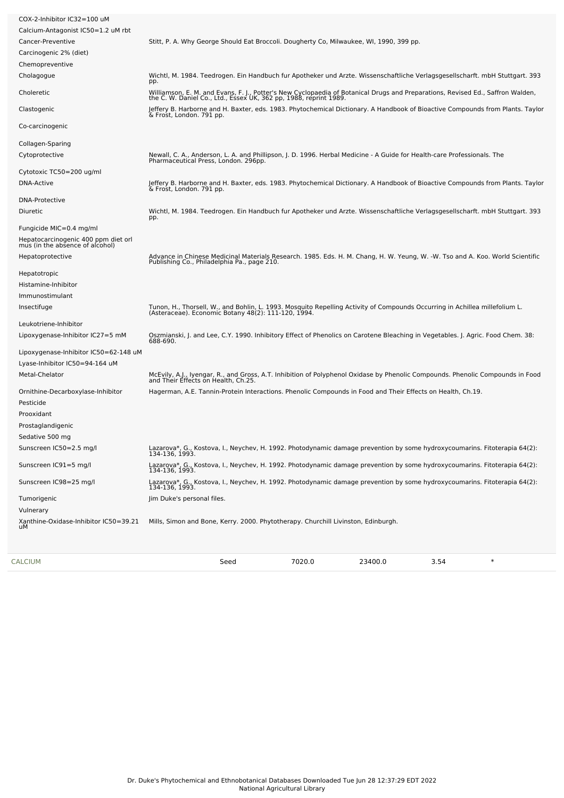| COX-2-Inhibitor IC32=100 uM                                            |                                                                                                                                                                                                  |
|------------------------------------------------------------------------|--------------------------------------------------------------------------------------------------------------------------------------------------------------------------------------------------|
| Calcium-Antagonist IC50=1.2 uM rbt                                     |                                                                                                                                                                                                  |
| Cancer-Preventive                                                      | Stitt, P. A. Why George Should Eat Broccoli. Dougherty Co, Milwaukee, WI, 1990, 399 pp.                                                                                                          |
| Carcinogenic 2% (diet)                                                 |                                                                                                                                                                                                  |
| Chemopreventive                                                        |                                                                                                                                                                                                  |
| Cholagogue                                                             | Wichtl, M. 1984. Teedrogen. Ein Handbuch fur Apotheker und Arzte. Wissenschaftliche Verlagsgesellscharft. mbH Stuttgart. 393<br>pp.                                                              |
| Choleretic                                                             | Williamson, E. M. and Evans, F. J., Potter's New Cyclopaedia of Botanical Drugs and Preparations, Revised Ed., Saffron Walden, the C. W. Daniel Co., Ltd., Essex UK, 362 pp, 1988, reprint 1989. |
| Clastogenic                                                            | Jeffery B. Harborne and H. Baxter, eds. 1983. Phytochemical Dictionary. A Handbook of Bioactive Compounds from Plants. Taylor<br>& Frost, London. 791 pp.                                        |
| Co-carcinogenic                                                        |                                                                                                                                                                                                  |
| Collagen-Sparing                                                       |                                                                                                                                                                                                  |
| Cytoprotective                                                         | Newall, C. A., Anderson, L. A. and Phillipson, J. D. 1996. Herbal Medicine - A Guide for Health-care Professionals. The<br>Pharmaceutical Press, London. 296pp.                                  |
| Cytotoxic TC50=200 ug/ml                                               |                                                                                                                                                                                                  |
| DNA-Active                                                             | Jeffery B. Harborne and H. Baxter, eds. 1983. Phytochemical Dictionary. A Handbook of Bioactive Compounds from Plants. Taylor<br>& Frost, London. 791 pp.                                        |
| <b>DNA-Protective</b>                                                  |                                                                                                                                                                                                  |
| Diuretic                                                               | Wichtl, M. 1984. Teedrogen. Ein Handbuch fur Apotheker und Arzte. Wissenschaftliche Verlagsgesellscharft. mbH Stuttgart. 393<br>pp.                                                              |
| Fungicide MIC=0.4 mg/ml                                                |                                                                                                                                                                                                  |
| Hepatocarcinogenic 400 ppm diet orl<br>mus (in the absence of alcohol) |                                                                                                                                                                                                  |
| Hepatoprotective                                                       | Advance in Chinese Medicinal Materials Research. 1985. Eds. H. M. Chang, H. W. Yeung, W. -W. Tso and A. Koo. World Scientific<br>Publishing Co., Philadelphia Pa., page 210.                     |
| Hepatotropic                                                           |                                                                                                                                                                                                  |
| Histamine-Inhibitor                                                    |                                                                                                                                                                                                  |
| Immunostimulant                                                        |                                                                                                                                                                                                  |
| Insectifuge                                                            | Tunon, H., Thorsell, W., and Bohlin, L. 1993. Mosquito Repelling Activity of Compounds Occurring in Achillea millefolium L.<br>(Asteraceae). Economic Botany 48(2): 111-120, 1994.               |
| Leukotriene-Inhibitor                                                  |                                                                                                                                                                                                  |
| Lipoxygenase-Inhibitor IC27=5 mM                                       | Oszmianski, J. and Lee, C.Y. 1990. Inhibitory Effect of Phenolics on Carotene Bleaching in Vegetables. J. Agric. Food Chem. 38:<br>688-690.                                                      |
| Lipoxygenase-Inhibitor IC50=62-148 uM                                  |                                                                                                                                                                                                  |
| Lyase-Inhibitor IC50=94-164 uM                                         |                                                                                                                                                                                                  |
| Metal-Chelator                                                         | McEvily, A.J., Iyengar, R., and Gross, A.T. Inhibition of Polyphenol Oxidase by Phenolic Compounds. Phenolic Compounds in Food<br>and Their Effects on Health, Ch.25.                            |
| Ornithine-Decarboxylase-Inhibitor                                      | Hagerman, A.E. Tannin-Protein Interactions. Phenolic Compounds in Food and Their Effects on Health, Ch.19.                                                                                       |
| Pesticide                                                              |                                                                                                                                                                                                  |
| Prooxidant                                                             |                                                                                                                                                                                                  |
| Prostaglandigenic                                                      |                                                                                                                                                                                                  |
| Sedative 500 mg                                                        |                                                                                                                                                                                                  |
| Sunscreen IC50=2.5 mg/l                                                | Lazarova*, G., Kostova, I., Neychev, H. 1992. Photodynamic damage prevention by some hydroxycoumarins. Fitoterapia 64(2):<br>134-136, 1993.                                                      |
| Sunscreen IC91=5 mg/l                                                  | Lazarova*, G., Kostova, I., Neychev, H. 1992. Photodynamic damage prevention by some hydroxycoumarins. Fitoterapia 64(2):<br>134-136, 1993.                                                      |
| Sunscreen IC98=25 mg/l                                                 | Lazarova*, G., Kostova, I., Neychev, H. 1992. Photodynamic damage prevention by some hydroxycoumarins. Fitoterapia 64(2):<br>134-136, 1993.                                                      |
| Tumorigenic                                                            | Jim Duke's personal files.                                                                                                                                                                       |
| Vulnerary                                                              |                                                                                                                                                                                                  |
| Xanthine-Oxidase-Inhibitor IC50=39.21<br>uМ                            | Mills, Simon and Bone, Kerry. 2000. Phytotherapy. Churchill Livinston, Edinburgh.                                                                                                                |
|                                                                        |                                                                                                                                                                                                  |

[CALCIUM](file:///phytochem/chemicals/show/5137) Seed 7020.0 23400.0 3.54 \*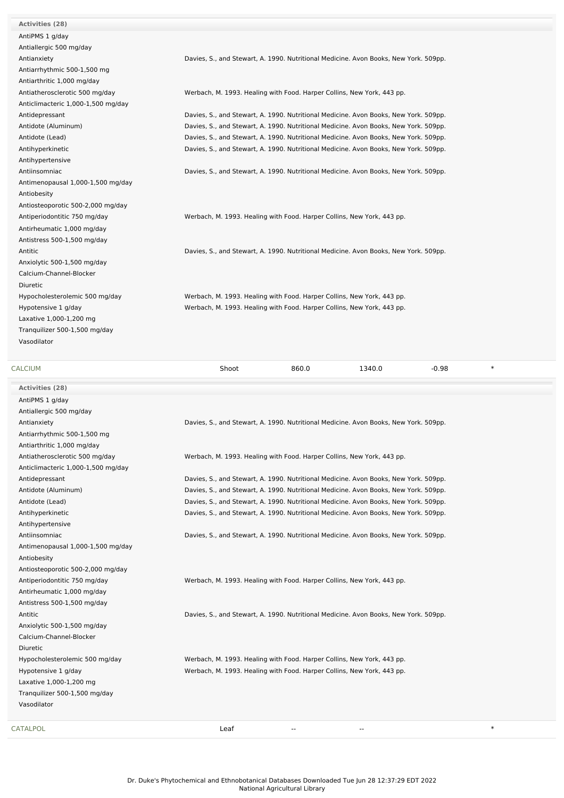**Activities (28)** AntiPMS 1 g/day Antiallergic 500 mg/day Antiarrhythmic 500-1,500 mg Antiarthritic 1,000 mg/day Anticlimacteric 1,000-1,500 mg/day Antihypertensive Antimenopausal 1,000-1,500 mg/day Antiobesity Antiosteoporotic 500-2,000 mg/day Antirheumatic 1,000 mg/day Antistress 500-1,500 mg/day Anxiolytic 500-1,500 mg/day Calcium-Channel-Blocker Diuretic Laxative 1,000-1,200 mg Tranquilizer 500-1,500 mg/day Vasodilator

Antianxiety Davies, S., and Stewart, A. 1990. Nutritional Medicine. Avon Books, New York. 509pp.

Antiatherosclerotic 500 mg/day Werbach, M. 1993. Healing with Food. Harper Collins, New York, 443 pp.

Antidepressant **Davies, S., and Stewart, A. 1990. Nutritional Medicine. Avon Books, New York. 509pp.** Antidote (Aluminum) Davies, S., and Stewart, A. 1990. Nutritional Medicine. Avon Books, New York. 509pp. Antidote (Lead) Davies, S., and Stewart, A. 1990. Nutritional Medicine. Avon Books, New York. 509pp. Antihyperkinetic **Davies, S., and Stewart, A. 1990. Nutritional Medicine. Avon Books, New York. 509pp.** 

Antiinsomniac Davies, S., and Stewart, A. 1990. Nutritional Medicine. Avon Books, New York. 509pp.

Antiperiodontitic 750 mg/day Werbach, M. 1993. Healing with Food. Harper Collins, New York, 443 pp.

Antitic **Matter Cavity Communist Communist Communist Communist Communist Communist Communist Communist Communist Communist Communist Communist Communist Communist Communist Communist Communist Communist Communist Communist** 

Hypocholesterolemic 500 mg/day Werbach, M. 1993. Healing with Food. Harper Collins, New York, 443 pp. Hypotensive 1 g/day Werbach, M. 1993. Healing with Food. Harper Collins, New York, 443 pp.

| <b>CALCIUM</b>                     | Shoot                                                                                | 860.0 | 1340.0 | $-0.98$ | $\ast$ |
|------------------------------------|--------------------------------------------------------------------------------------|-------|--------|---------|--------|
| <b>Activities (28)</b>             |                                                                                      |       |        |         |        |
| AntiPMS 1 g/day                    |                                                                                      |       |        |         |        |
| Antiallergic 500 mg/day            |                                                                                      |       |        |         |        |
| Antianxiety                        | Davies, S., and Stewart, A. 1990. Nutritional Medicine. Avon Books, New York. 509pp. |       |        |         |        |
| Antiarrhythmic 500-1,500 mg        |                                                                                      |       |        |         |        |
| Antiarthritic 1,000 mg/day         |                                                                                      |       |        |         |        |
| Antiatherosclerotic 500 mg/day     | Werbach, M. 1993. Healing with Food. Harper Collins, New York, 443 pp.               |       |        |         |        |
| Anticlimacteric 1,000-1,500 mg/day |                                                                                      |       |        |         |        |
| Antidepressant                     | Davies, S., and Stewart, A. 1990. Nutritional Medicine. Avon Books, New York. 509pp. |       |        |         |        |
| Antidote (Aluminum)                | Davies, S., and Stewart, A. 1990. Nutritional Medicine. Avon Books, New York. 509pp. |       |        |         |        |
| Antidote (Lead)                    | Davies, S., and Stewart, A. 1990. Nutritional Medicine. Avon Books, New York. 509pp. |       |        |         |        |
| Antihyperkinetic                   | Davies, S., and Stewart, A. 1990. Nutritional Medicine. Avon Books, New York. 509pp. |       |        |         |        |
| Antihypertensive                   |                                                                                      |       |        |         |        |
| Antiinsomniac                      | Davies, S., and Stewart, A. 1990. Nutritional Medicine. Avon Books, New York. 509pp. |       |        |         |        |
| Antimenopausal 1,000-1,500 mg/day  |                                                                                      |       |        |         |        |
| Antiobesity                        |                                                                                      |       |        |         |        |
| Antiosteoporotic 500-2,000 mg/day  |                                                                                      |       |        |         |        |
| Antiperiodontitic 750 mg/day       | Werbach, M. 1993. Healing with Food. Harper Collins, New York, 443 pp.               |       |        |         |        |
| Antirheumatic 1,000 mg/day         |                                                                                      |       |        |         |        |
| Antistress 500-1,500 mg/day        |                                                                                      |       |        |         |        |
| Antitic                            | Davies, S., and Stewart, A. 1990. Nutritional Medicine. Avon Books, New York. 509pp. |       |        |         |        |
| Anxiolytic 500-1,500 mg/day        |                                                                                      |       |        |         |        |

Calcium-Channel-Blocker Diuretic Laxative 1,000-1,200 mg Tranquilizer 500-1,500 mg/day Vasodilator

Hypocholesterolemic 500 mg/day Werbach, M. 1993. Healing with Food. Harper Collins, New York, 443 pp. Hypotensive 1 g/day The Werbach, M. 1993. Healing with Food. Harper Collins, New York, 443 pp.

 $\qquad \qquad \text{Leaf} \qquad \qquad \text{---} \qquad \qquad \text{---} \qquad \qquad \text{---} \qquad \qquad \text{---} \qquad \qquad \text{---} \qquad \qquad \text{---} \qquad \qquad \text{---} \qquad \qquad \text{---} \qquad \qquad \text{---} \qquad \qquad \text{---} \qquad \text{---} \qquad \text{---} \qquad \text{---} \qquad \text{---} \qquad \text{---} \qquad \text{---} \qquad \text{---} \qquad \text{---} \qquad \text{---} \qquad \text{---} \qquad \text{---} \qquad \text{---} \qquad \$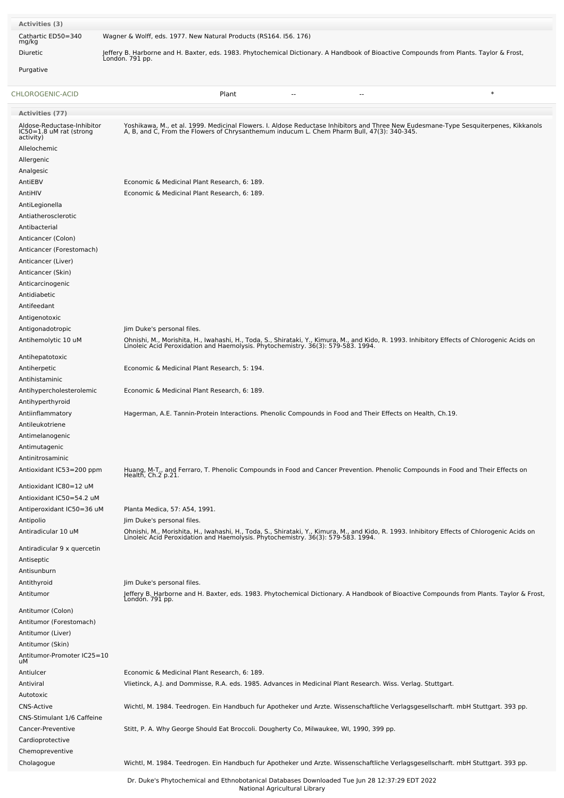| Activities (3)                                                     |                                                                                                                                                                                                                                   |
|--------------------------------------------------------------------|-----------------------------------------------------------------------------------------------------------------------------------------------------------------------------------------------------------------------------------|
| Cathartic ED50=340<br>mg/kg                                        | Wagner & Wolff, eds. 1977. New Natural Products (RS164. 156. 176)                                                                                                                                                                 |
| Diuretic                                                           | Jeffery B. Harborne and H. Baxter, eds. 1983. Phytochemical Dictionary. A Handbook of Bioactive Compounds from Plants. Taylor & Frost,<br>Londón. 791 pp.                                                                         |
| Purgative                                                          |                                                                                                                                                                                                                                   |
| CHLOROGENIC-ACID                                                   | $\ast$<br>Plant                                                                                                                                                                                                                   |
| Activities (77)                                                    |                                                                                                                                                                                                                                   |
| Aldose-Reductase-Inhibitor<br>IC50=1.8 uM rat (strong<br>activity) | Yoshikawa, M., et al. 1999. Medicinal Flowers. I. Aldose Reductase Inhibitors and Three New Eudesmane-Type Sesquiterpenes, Kikkanols<br>A, B, and C, From the Flowers of Chrysanthemum inducum L. Chem Pharm Bull, 47(3): 340-345 |
| Allelochemic<br>Allergenic                                         |                                                                                                                                                                                                                                   |
| Analgesic<br>AntiEBV                                               | Economic & Medicinal Plant Research, 6: 189.                                                                                                                                                                                      |
| AntiHIV                                                            | Economic & Medicinal Plant Research, 6: 189.                                                                                                                                                                                      |
| AntiLegionella                                                     |                                                                                                                                                                                                                                   |
| Antiatherosclerotic                                                |                                                                                                                                                                                                                                   |
| Antibacterial                                                      |                                                                                                                                                                                                                                   |
| Anticancer (Colon)                                                 |                                                                                                                                                                                                                                   |
| Anticancer (Forestomach)                                           |                                                                                                                                                                                                                                   |
| Anticancer (Liver)                                                 |                                                                                                                                                                                                                                   |
| Anticancer (Skin)                                                  |                                                                                                                                                                                                                                   |
| Anticarcinogenic                                                   |                                                                                                                                                                                                                                   |
| Antidiabetic                                                       |                                                                                                                                                                                                                                   |
| Antifeedant                                                        |                                                                                                                                                                                                                                   |
| Antigenotoxic                                                      |                                                                                                                                                                                                                                   |
| Antigonadotropic                                                   | Jim Duke's personal files.                                                                                                                                                                                                        |
| Antihemolytic 10 uM                                                | Ohnishi, M., Morishita, H., Iwahashi, H., Toda, S., Shirataki, Y., Kimura, M., and Kido, R. 1993. Inhibitory Effects of Chlorogenic Acids on<br>Linoleic Acid Peroxidation and Haemolysis. Phytochemistry. 36(3): 579-583. 1994.  |
| Antihepatotoxic                                                    |                                                                                                                                                                                                                                   |
| Antiherpetic                                                       | Economic & Medicinal Plant Research, 5: 194.                                                                                                                                                                                      |
| Antihistaminic                                                     |                                                                                                                                                                                                                                   |
| Antihypercholesterolemic                                           | Economic & Medicinal Plant Research, 6: 189.                                                                                                                                                                                      |
| Antihyperthyroid                                                   |                                                                                                                                                                                                                                   |
| Antiinflammatory<br>Antileukotriene                                | Hagerman, A.E. Tannin-Protein Interactions. Phenolic Compounds in Food and Their Effects on Health, Ch.19.                                                                                                                        |
| Antimelanogenic<br>Antimutagenic                                   |                                                                                                                                                                                                                                   |
| Antinitrosaminic                                                   |                                                                                                                                                                                                                                   |
| Antioxidant IC53=200 ppm                                           | Huang, M-T., and Ferraro, T. Phenolic Compounds in Food and Cancer Prevention. Phenolic Compounds in Food and Their Effects on<br>Health, Ch.2 p.21.                                                                              |
| Antioxidant IC80=12 uM                                             |                                                                                                                                                                                                                                   |
| Antioxidant IC50=54.2 uM                                           |                                                                                                                                                                                                                                   |
| Antiperoxidant IC50=36 uM                                          | Planta Medica, 57: A54, 1991.                                                                                                                                                                                                     |
| Antipolio                                                          | Jim Duke's personal files.                                                                                                                                                                                                        |
| Antiradicular 10 uM                                                | Ohnishi, M., Morishita, H., Iwahashi, H., Toda, S., Shirataki, Y., Kimura, M., and Kido, R. 1993. Inhibitory Effects of Chlorogenic Acids on<br>Linoleic Acid Peroxidation and Haemolysis. Phytochemistry. 36(3): 579-583. 1994.  |
| Antiradicular 9 x quercetin<br>Antiseptic                          |                                                                                                                                                                                                                                   |
| Antisunburn                                                        |                                                                                                                                                                                                                                   |
| Antithyroid                                                        | Jim Duke's personal files.                                                                                                                                                                                                        |
| Antitumor                                                          | Jeffery B. Harborne and H. Baxter, eds. 1983. Phytochemical Dictionary. A Handbook of Bioactive Compounds from Plants. Taylor & Frost,<br>London. 791 pp.                                                                         |
| Antitumor (Colon)                                                  |                                                                                                                                                                                                                                   |
| Antitumor (Forestomach)                                            |                                                                                                                                                                                                                                   |
| Antitumor (Liver)                                                  |                                                                                                                                                                                                                                   |
| Antitumor (Skin)                                                   |                                                                                                                                                                                                                                   |
| Antitumor-Promoter IC25=10                                         |                                                                                                                                                                                                                                   |
| uМ                                                                 |                                                                                                                                                                                                                                   |
| Antiulcer                                                          | Economic & Medicinal Plant Research, 6: 189.                                                                                                                                                                                      |
| Antiviral                                                          | Vlietinck, A.J. and Dommisse, R.A. eds. 1985. Advances in Medicinal Plant Research. Wiss. Verlag. Stuttgart.                                                                                                                      |
| Autotoxic                                                          |                                                                                                                                                                                                                                   |
| <b>CNS-Active</b>                                                  | Wichtl, M. 1984. Teedrogen. Ein Handbuch fur Apotheker und Arzte. Wissenschaftliche Verlagsgesellscharft. mbH Stuttgart. 393 pp.                                                                                                  |
| CNS-Stimulant 1/6 Caffeine                                         |                                                                                                                                                                                                                                   |
| Cancer-Preventive                                                  | Stitt, P. A. Why George Should Eat Broccoli. Dougherty Co, Milwaukee, WI, 1990, 399 pp.                                                                                                                                           |
| Cardioprotective<br>Chemopreventive                                |                                                                                                                                                                                                                                   |
| Cholagogue                                                         | Wichtl, M. 1984. Teedrogen. Ein Handbuch fur Apotheker und Arzte. Wissenschaftliche Verlagsgesellscharft. mbH Stuttgart. 393 pp.                                                                                                  |
|                                                                    |                                                                                                                                                                                                                                   |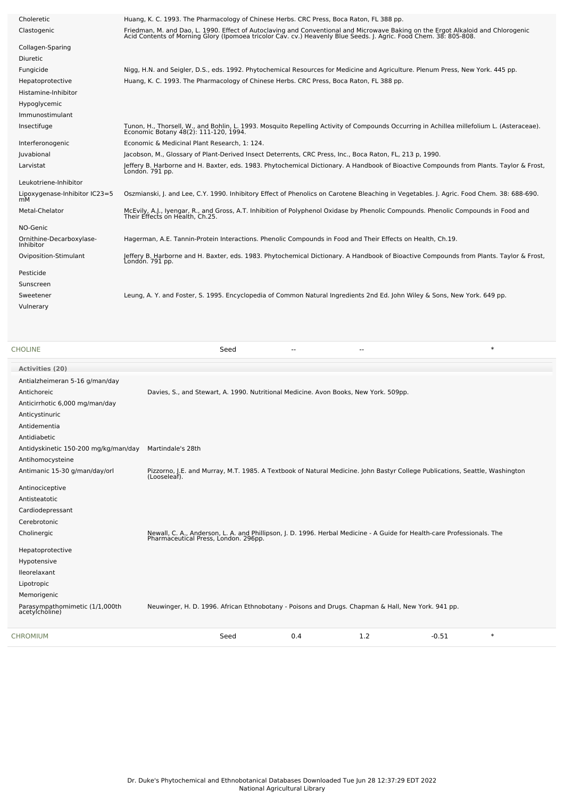| Choleretic                            | Huang, K. C. 1993. The Pharmacology of Chinese Herbs. CRC Press, Boca Raton, FL 388 pp.                                                                                                                                           |
|---------------------------------------|-----------------------------------------------------------------------------------------------------------------------------------------------------------------------------------------------------------------------------------|
| Clastogenic                           | Friedman, M. and Dao, L. 1990. Effect of Autoclaving and Conventional and Microwave Baking on the Ergot Alkaloid and Chlorogenic<br>Acid Contents of Morning Glory (Ipomoea tricolor Cav. cv.) Heavenly Blue Seeds. J. Agric. Foo |
| Collagen-Sparing                      |                                                                                                                                                                                                                                   |
| <b>Diuretic</b>                       |                                                                                                                                                                                                                                   |
| Fungicide                             | Nigg, H.N. and Seigler, D.S., eds. 1992. Phytochemical Resources for Medicine and Agriculture. Plenum Press, New York. 445 pp.                                                                                                    |
| Hepatoprotective                      | Huang, K. C. 1993. The Pharmacology of Chinese Herbs. CRC Press, Boca Raton, FL 388 pp.                                                                                                                                           |
| Histamine-Inhibitor                   |                                                                                                                                                                                                                                   |
| Hypoglycemic                          |                                                                                                                                                                                                                                   |
| Immunostimulant                       |                                                                                                                                                                                                                                   |
| Insectifuge                           | Tunon, H., Thorsell, W., and Bohlin, L. 1993. Mosquito Repelling Activity of Compounds Occurring in Achillea millefolium L. (Asteraceae).<br>Economic Botany 48(2): 111-120, 1994.                                                |
| Interferonogenic                      | Economic & Medicinal Plant Research, 1: 124.                                                                                                                                                                                      |
| Juvabional                            | Jacobson, M., Glossary of Plant-Derived Insect Deterrents, CRC Press, Inc., Boca Raton, FL, 213 p, 1990.                                                                                                                          |
| Larvistat                             | Jeffery B. Harborne and H. Baxter, eds. 1983. Phytochemical Dictionary. A Handbook of Bioactive Compounds from Plants. Taylor & Frost,<br>Londón. 791 pp.                                                                         |
| Leukotriene-Inhibitor                 |                                                                                                                                                                                                                                   |
| Lipoxygenase-Inhibitor IC23=5<br>mM   | Oszmianski, J. and Lee, C.Y. 1990. Inhibitory Effect of Phenolics on Carotene Bleaching in Vegetables. J. Agric. Food Chem. 38: 688-690.                                                                                          |
| Metal-Chelator                        | McEvily, A.J., Iyengar, R., and Gross, A.T. Inhibition of Polyphenol Oxidase by Phenolic Compounds. Phenolic Compounds in Food and<br>Their Effects on Health, Ch.25.                                                             |
| NO-Genic                              |                                                                                                                                                                                                                                   |
| Ornithine-Decarboxylase-<br>Inhibitor | Hagerman, A.E. Tannin-Protein Interactions. Phenolic Compounds in Food and Their Effects on Health, Ch.19.                                                                                                                        |
| Oviposition-Stimulant                 | Jeffery B. Harborne and H. Baxter, eds. 1983. Phytochemical Dictionary. A Handbook of Bioactive Compounds from Plants. Taylor & Frost,<br>London. 791 pp.                                                                         |
| Pesticide                             |                                                                                                                                                                                                                                   |
| Sunscreen                             |                                                                                                                                                                                                                                   |
| Sweetener                             | Leung, A. Y. and Foster, S. 1995. Encyclopedia of Common Natural Ingredients 2nd Ed. John Wiley & Sons, New York. 649 pp.                                                                                                         |
| Vulnerary                             |                                                                                                                                                                                                                                   |
|                                       |                                                                                                                                                                                                                                   |

| <b>CHOLINE</b>                                   | $\ast$<br>Seed                                                                                                                                                  |  |
|--------------------------------------------------|-----------------------------------------------------------------------------------------------------------------------------------------------------------------|--|
| Activities (20)                                  |                                                                                                                                                                 |  |
| Antialzheimeran 5-16 g/man/day                   |                                                                                                                                                                 |  |
| Antichoreic                                      | Davies, S., and Stewart, A. 1990. Nutritional Medicine. Avon Books, New York. 509pp.                                                                            |  |
| Anticirrhotic 6,000 mg/man/day                   |                                                                                                                                                                 |  |
| Anticystinuric                                   |                                                                                                                                                                 |  |
| Antidementia                                     |                                                                                                                                                                 |  |
| Antidiabetic                                     |                                                                                                                                                                 |  |
| Antidyskinetic 150-200 mg/kg/man/day             | Martindale's 28th                                                                                                                                               |  |
| Antihomocysteine                                 |                                                                                                                                                                 |  |
| Antimanic 15-30 g/man/day/orl                    | Pizzorno, J.E. and Murray, M.T. 1985. A Textbook of Natural Medicine. John Bastyr College Publications, Seattle, Washington<br>(Looseleaf).                     |  |
| Antinociceptive                                  |                                                                                                                                                                 |  |
| Antisteatotic                                    |                                                                                                                                                                 |  |
| Cardiodepressant                                 |                                                                                                                                                                 |  |
| Cerebrotonic                                     |                                                                                                                                                                 |  |
| Cholinergic                                      | Newall, C. A., Anderson, L. A. and Phillipson, J. D. 1996. Herbal Medicine - A Guide for Health-care Professionals. The<br>Pharmaceutical Press, London. 296pp. |  |
| Hepatoprotective                                 |                                                                                                                                                                 |  |
| Hypotensive                                      |                                                                                                                                                                 |  |
| lleorelaxant                                     |                                                                                                                                                                 |  |
| Lipotropic                                       |                                                                                                                                                                 |  |
| Memorigenic                                      |                                                                                                                                                                 |  |
| Parasympathomimetic (1/1,000th<br>acetylcholine) | Neuwinger, H. D. 1996. African Ethnobotany - Poisons and Drugs. Chapman & Hall, New York. 941 pp.                                                               |  |
| <b>CHROMIUM</b>                                  | 1.2<br>$\ast$<br>0.4<br>Seed<br>$-0.51$                                                                                                                         |  |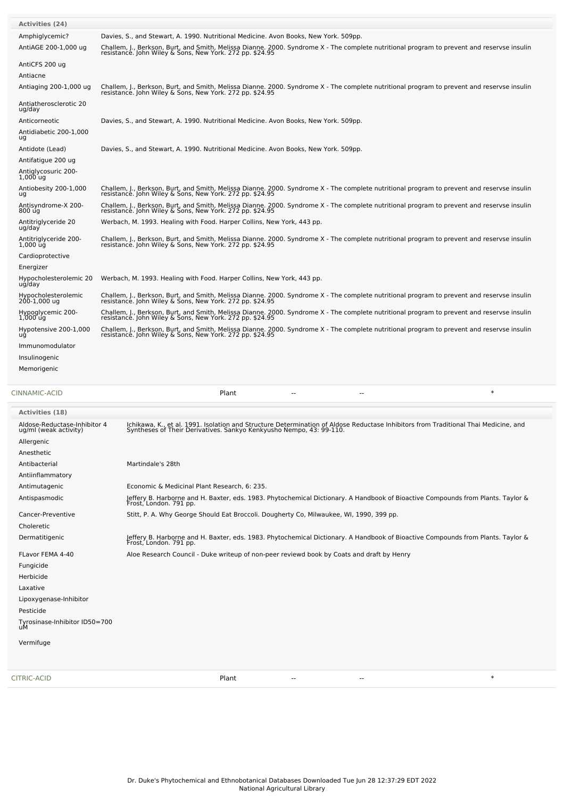| Activities (24)                     |                                                                                                                                                                                                        |
|-------------------------------------|--------------------------------------------------------------------------------------------------------------------------------------------------------------------------------------------------------|
| Amphiglycemic?                      | Davies, S., and Stewart, A. 1990. Nutritional Medicine. Avon Books, New York. 509pp.                                                                                                                   |
| AntiAGE 200-1,000 ug                | Challem, J., Berkson, Burt, and Smith, Melissa Dianne. 2000. Syndrome X - The complete nutritional program to prevent and reservse insulin<br>resistance. John Wiley & Sons, New York. 272 pp. \$24.95 |
| AntiCFS 200 ug                      |                                                                                                                                                                                                        |
| Antiacne                            |                                                                                                                                                                                                        |
| Antiaging 200-1,000 ug              | Challem, J., Berkson, Burt, and Smith, Melissa Dianne. 2000. Syndrome X - The complete nutritional program to prevent and reservse insulin<br>resistance. John Wiley & Sons, New York. 272 pp. \$24.95 |
| Antiatherosclerotic 20<br>ug/day    |                                                                                                                                                                                                        |
| Anticorneotic                       | Davies, S., and Stewart, A. 1990. Nutritional Medicine. Avon Books, New York. 509pp.                                                                                                                   |
| Antidiabetic 200-1,000<br>ug        |                                                                                                                                                                                                        |
| Antidote (Lead)                     | Davies, S., and Stewart, A. 1990. Nutritional Medicine. Avon Books, New York. 509pp.                                                                                                                   |
| Antifatigue 200 ug                  |                                                                                                                                                                                                        |
| Antiglycosuric 200-<br>$1,000$ uq   |                                                                                                                                                                                                        |
| Antiobesity 200-1,000<br>uq         | Challem, J., Berkson, Burt, and Smith, Melissa Dianne. 2000. Syndrome X - The complete nutritional program to prevent and reservse insulin<br>resistance. John Wiley & Sons, New York. 272 pp. \$24.95 |
| Antisyndrome-X 200-<br>800 ug       | Challem, J., Berkson, Burt, and Smith, Melissa Dianne. 2000. Syndrome X - The complete nutritional program to prevent and reservse insulin<br>resistance. John Wiley & Sons, New York. 272 pp. \$24.95 |
| Antitriglyceride 20<br>ug/day       | Werbach, M. 1993. Healing with Food. Harper Collins, New York, 443 pp.                                                                                                                                 |
| Antitriglyceride 200-<br>$1,000$ ug | Challem, J., Berkson, Burt, and Smith, Melissa Dianne. 2000. Syndrome X - The complete nutritional program to prevent and reservse insulin<br>resistance. John Wiley & Sons, New York. 272 pp. \$24.95 |
| Cardioprotective                    |                                                                                                                                                                                                        |
| Energizer                           |                                                                                                                                                                                                        |
| Hypocholesterolemic 20<br>ug/day    | Werbach, M. 1993. Healing with Food. Harper Collins, New York, 443 pp.                                                                                                                                 |
| Hypocholesterolemic<br>200-1,000 ug | Challem, J., Berkson, Burt, and Smith, Melissa Dianne. 2000. Syndrome X - The complete nutritional program to prevent and reservse insulin<br>resistance. John Wiley & Sons, New York. 272 pp. \$24.95 |
| Hypoglycemic 200-<br>$1,000$ uq     | Challem, J., Berkson, Burt, and Smith, Melissa Dianne. 2000. Syndrome X - The complete nutritional program to prevent and reservse insulin<br>resistance. John Wiley & Sons, New York. 272 pp. \$24.95 |
| Hypotensive 200-1,000<br>uq         | Challem, J., Berkson, Burt, and Smith, Melissa Dianne. 2000. Syndrome X - The complete nutritional program to prevent and reservse insulin<br>resistance. John Wiley & Sons, New York. 272 pp. \$24.95 |
| Immunomodulator                     |                                                                                                                                                                                                        |
| Insulinogenic                       |                                                                                                                                                                                                        |
| Memorigenic                         |                                                                                                                                                                                                        |
|                                     |                                                                                                                                                                                                        |

[CINNAMIC-ACID](file:///phytochem/chemicals/show/5810) Plant -- -- \*

| <b>Activities (18)</b>                                |                                                                                                                                                                                                            |
|-------------------------------------------------------|------------------------------------------------------------------------------------------------------------------------------------------------------------------------------------------------------------|
| Aldose-Reductase-Inhibitor 4<br>ug/ml (weak activity) | Ichikawa, K., et al. 1991. Isolation and Structure Determination of Aldose Reductase Inhibitors from Traditional Thai Medicine, and<br>Syntheses of Their Derivatives. Sankyo Kenkyusho Nempo, 43: 99-110. |
| Allergenic                                            |                                                                                                                                                                                                            |
| Anesthetic                                            |                                                                                                                                                                                                            |
| Antibacterial                                         | Martindale's 28th                                                                                                                                                                                          |
| Antiinflammatory                                      |                                                                                                                                                                                                            |
| Antimutagenic                                         | Economic & Medicinal Plant Research, 6: 235.                                                                                                                                                               |
| Antispasmodic                                         | Jeffery B. Harborne and H. Baxter, eds. 1983. Phytochemical Dictionary. A Handbook of Bioactive Compounds from Plants. Taylor &<br>Frost, London. 791 pp.                                                  |
| Cancer-Preventive                                     | Stitt, P. A. Why George Should Eat Broccoli. Dougherty Co, Milwaukee, WI, 1990, 399 pp.                                                                                                                    |
| Choleretic                                            |                                                                                                                                                                                                            |
| Dermatitigenic                                        | Jeffery B. Harborne and H. Baxter, eds. 1983. Phytochemical Dictionary. A Handbook of Bioactive Compounds from Plants. Taylor &<br>Frost, London. 791 pp.                                                  |
| FLavor FEMA 4-40                                      | Aloe Research Council - Duke writeup of non-peer reviewd book by Coats and draft by Henry                                                                                                                  |
| Fungicide                                             |                                                                                                                                                                                                            |
| Herbicide                                             |                                                                                                                                                                                                            |
| Laxative                                              |                                                                                                                                                                                                            |
| Lipoxygenase-Inhibitor                                |                                                                                                                                                                                                            |
| Pesticide                                             |                                                                                                                                                                                                            |
| Tyrosinase-Inhibitor ID50=700<br>uM                   |                                                                                                                                                                                                            |
| Vermifuge                                             |                                                                                                                                                                                                            |
|                                                       |                                                                                                                                                                                                            |
| CITRIC-ACID                                           | $\ast$<br>Plant<br>$\overline{\phantom{a}}$<br>--                                                                                                                                                          |
|                                                       |                                                                                                                                                                                                            |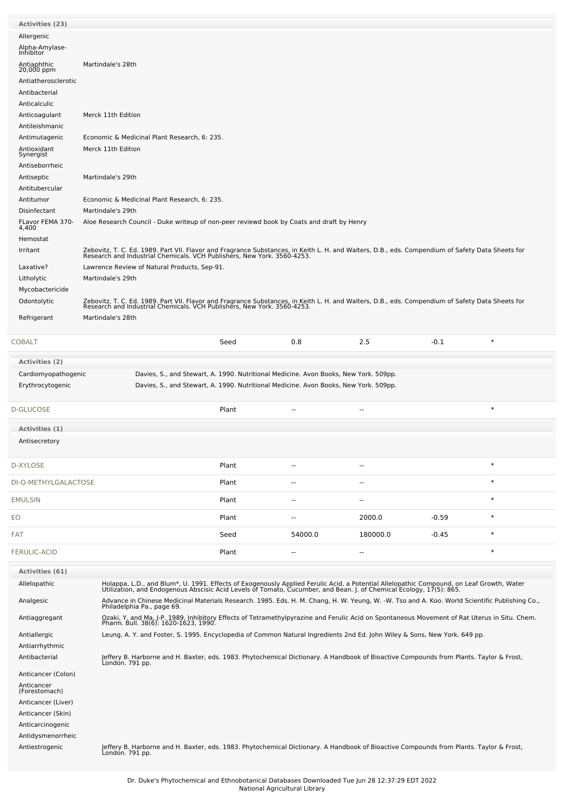| <b>Activities (23)</b>          |                                                                                                                                                                                                                                   |                                                                                      |                          |                          |         |        |
|---------------------------------|-----------------------------------------------------------------------------------------------------------------------------------------------------------------------------------------------------------------------------------|--------------------------------------------------------------------------------------|--------------------------|--------------------------|---------|--------|
| Allergenic                      |                                                                                                                                                                                                                                   |                                                                                      |                          |                          |         |        |
| Alpha-Amylase-<br>Inhibitor     |                                                                                                                                                                                                                                   |                                                                                      |                          |                          |         |        |
| Antiaphthic<br>20,000 ppm       | Martindale's 28th                                                                                                                                                                                                                 |                                                                                      |                          |                          |         |        |
| Antiatherosclerotic             |                                                                                                                                                                                                                                   |                                                                                      |                          |                          |         |        |
| Antibacterial                   |                                                                                                                                                                                                                                   |                                                                                      |                          |                          |         |        |
| Anticalculic                    |                                                                                                                                                                                                                                   |                                                                                      |                          |                          |         |        |
| Anticoagulant                   | Merck 11th Edition                                                                                                                                                                                                                |                                                                                      |                          |                          |         |        |
| Antileishmanic<br>Antimutagenic | Economic & Medicinal Plant Research, 6: 235.                                                                                                                                                                                      |                                                                                      |                          |                          |         |        |
| Antioxidant                     | Merck 11th Edition                                                                                                                                                                                                                |                                                                                      |                          |                          |         |        |
| Synergist                       |                                                                                                                                                                                                                                   |                                                                                      |                          |                          |         |        |
| Antiseborrheic<br>Antiseptic    | Martindale's 29th                                                                                                                                                                                                                 |                                                                                      |                          |                          |         |        |
| Antitubercular                  |                                                                                                                                                                                                                                   |                                                                                      |                          |                          |         |        |
| Antitumor                       | Economic & Medicinal Plant Research, 6: 235.                                                                                                                                                                                      |                                                                                      |                          |                          |         |        |
| Disinfectant                    | Martindale's 29th                                                                                                                                                                                                                 |                                                                                      |                          |                          |         |        |
| FLavor FEMA 370-<br>4,400       | Aloe Research Council - Duke writeup of non-peer reviewd book by Coats and draft by Henry                                                                                                                                         |                                                                                      |                          |                          |         |        |
| Hemostat                        |                                                                                                                                                                                                                                   |                                                                                      |                          |                          |         |        |
| Irritant                        | Zebovitz, T. C. Ed. 1989. Part VII. Flavor and Fragrance Substances, in Keith L. H. and Walters, D.B., eds. Compendium of Safety Data Sheets for<br>Research and Industrial Chemicals. VCH Publishers, New York. 3560-4253.       |                                                                                      |                          |                          |         |        |
| Laxative?                       | Lawrence Review of Natural Products, Sep-91.                                                                                                                                                                                      |                                                                                      |                          |                          |         |        |
| Litholytic                      | Martindale's 29th                                                                                                                                                                                                                 |                                                                                      |                          |                          |         |        |
| Mycobactericide                 |                                                                                                                                                                                                                                   |                                                                                      |                          |                          |         |        |
| Odontolytic                     | Zebovitz, T. C. Ed. 1989. Part VII. Flavor and Fragrance Substances, in Keith L. H. and Walters, D.B., eds. Compendium of Safety Data Sheets for<br>Research and Industrial Chemicals. VCH Publishers, New York. 3560-4253.       |                                                                                      |                          |                          |         |        |
| Refrigerant                     | Martindale's 28th                                                                                                                                                                                                                 |                                                                                      |                          |                          |         |        |
|                                 |                                                                                                                                                                                                                                   |                                                                                      |                          |                          |         |        |
| COBALT                          |                                                                                                                                                                                                                                   | Seed                                                                                 | 0.8                      | 2.5                      | $-0.1$  | $\ast$ |
| <b>Activities (2)</b>           |                                                                                                                                                                                                                                   |                                                                                      |                          |                          |         |        |
| Cardiomyopathogenic             |                                                                                                                                                                                                                                   | Davies, S., and Stewart, A. 1990. Nutritional Medicine. Avon Books, New York. 509pp. |                          |                          |         |        |
| Erythrocytogenic                |                                                                                                                                                                                                                                   | Davies, S., and Stewart, A. 1990. Nutritional Medicine. Avon Books, New York. 509pp. |                          |                          |         |        |
|                                 |                                                                                                                                                                                                                                   |                                                                                      |                          |                          |         |        |
| D-GLUCOSE                       |                                                                                                                                                                                                                                   | Plant                                                                                | $\overline{a}$           | ٠.                       |         | $\ast$ |
| Activities (1)                  |                                                                                                                                                                                                                                   |                                                                                      |                          |                          |         |        |
| Antisecretory                   |                                                                                                                                                                                                                                   |                                                                                      |                          |                          |         |        |
|                                 |                                                                                                                                                                                                                                   |                                                                                      |                          |                          |         |        |
| D-XYLOSE                        |                                                                                                                                                                                                                                   | Plant                                                                                | --                       | --                       |         | $\ast$ |
| DI-O-METHYLGALACTOSE            |                                                                                                                                                                                                                                   | Plant                                                                                |                          |                          |         | $\ast$ |
|                                 |                                                                                                                                                                                                                                   |                                                                                      | --                       | --                       |         |        |
| EMULSIN                         |                                                                                                                                                                                                                                   | Plant                                                                                | $\overline{a}$           | --                       |         | $\ast$ |
| EО                              |                                                                                                                                                                                                                                   | Plant                                                                                | $\overline{\phantom{a}}$ | 2000.0                   | $-0.59$ | $\ast$ |
| FAT                             |                                                                                                                                                                                                                                   | Seed                                                                                 | 54000.0                  | 180000.0                 | $-0.45$ | $\ast$ |
|                                 |                                                                                                                                                                                                                                   |                                                                                      |                          | $\overline{\phantom{a}}$ |         | $\ast$ |
| <b>FERULIC-ACID</b>             |                                                                                                                                                                                                                                   | Plant                                                                                | $\overline{a}$           |                          |         |        |
| <b>Activities (61)</b>          |                                                                                                                                                                                                                                   |                                                                                      |                          |                          |         |        |
| Allelopathic                    | Holappa, L.D., and Blum*, U. 1991. Effects of Exogenously Applied Ferulic Acid, a Potential Allelopathic Compound, on Leaf Growth, Water<br>Utilization, and Endogenous Abscisic Acid Levels of Tomato, Cucumber, and Bean. J. of |                                                                                      |                          |                          |         |        |
| Analgesic                       | Advance in Chinese Medicinal Materials Research. 1985. Eds. H. M. Chang, H. W. Yeung, W. -W. Tso and A. Koo. World Scientific Publishing Co.,                                                                                     |                                                                                      |                          |                          |         |        |
| Antiaggregant                   | Philadelphia Pa., page 69.                                                                                                                                                                                                        |                                                                                      |                          |                          |         |        |
|                                 | Ozaki, Y. and Ma, J-P. 1989. Inhibitory Effects of Tetramethylpyrazine and Ferulic Acid on Spontaneous Movement of Rat Uterus in Situ. Chem.<br>Pharm. Bull. 38(6): 1620-1623, 1990.                                              |                                                                                      |                          |                          |         |        |
| Antiallergic                    | Leung, A. Y. and Foster, S. 1995. Encyclopedia of Common Natural Ingredients 2nd Ed. John Wiley & Sons, New York. 649 pp.                                                                                                         |                                                                                      |                          |                          |         |        |
| Antiarrhythmic<br>Antibacterial | Jeffery B. Harborne and H. Baxter, eds. 1983. Phytochemical Dictionary. A Handbook of Bioactive Compounds from Plants. Taylor & Frost,                                                                                            |                                                                                      |                          |                          |         |        |
|                                 | Londón. 791 pp.                                                                                                                                                                                                                   |                                                                                      |                          |                          |         |        |
| Anticancer (Colon)              |                                                                                                                                                                                                                                   |                                                                                      |                          |                          |         |        |
| Anticancer<br>(Forestomach)     |                                                                                                                                                                                                                                   |                                                                                      |                          |                          |         |        |
| Anticancer (Liver)              |                                                                                                                                                                                                                                   |                                                                                      |                          |                          |         |        |
| Anticancer (Skin)               |                                                                                                                                                                                                                                   |                                                                                      |                          |                          |         |        |
| Anticarcinogenic                |                                                                                                                                                                                                                                   |                                                                                      |                          |                          |         |        |
| Antidysmenorrheic               |                                                                                                                                                                                                                                   |                                                                                      |                          |                          |         |        |
| Antiestrogenic                  | Jeffery B. Harborne and H. Baxter, eds. 1983. Phytochemical Dictionary. A Handbook of Bioactive Compounds from Plants. Taylor & Frost,<br>Londón. 791 pp.                                                                         |                                                                                      |                          |                          |         |        |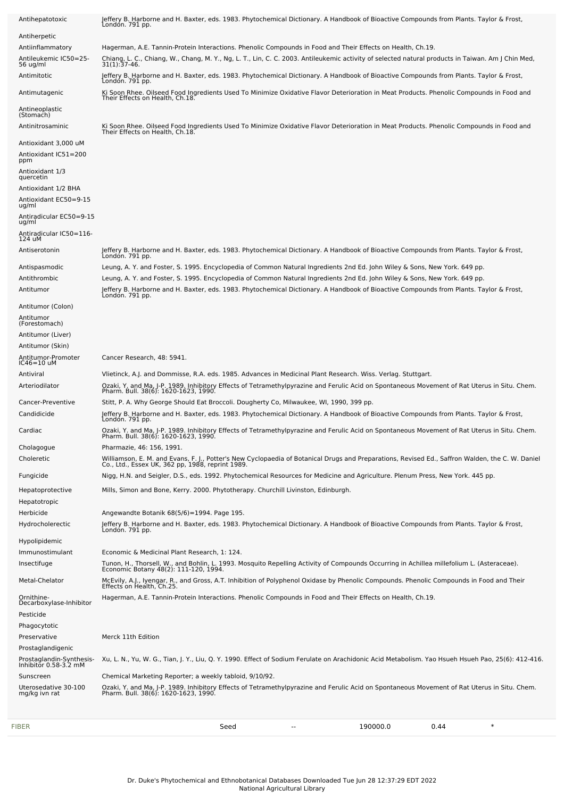| Antihepatotoxic                                                        | Jeffery B. Harborne and H. Baxter, eds. 1983. Phytochemical Dictionary. A Handbook of Bioactive Compounds from Plants. Taylor & Frost,<br>London. 791 pp.                                                                                              |
|------------------------------------------------------------------------|--------------------------------------------------------------------------------------------------------------------------------------------------------------------------------------------------------------------------------------------------------|
| Antiherpetic                                                           |                                                                                                                                                                                                                                                        |
| Antiinflammatory                                                       | Hagerman, A.E. Tannin-Protein Interactions. Phenolic Compounds in Food and Their Effects on Health, Ch.19.                                                                                                                                             |
| Antileukemic IC50=25-<br>56 ug/ml                                      | Chiang, L. C., Chiang, W., Chang, M. Y., Ng, L. T., Lin, C. C. 2003. Antileukemic activity of selected natural products in Taiwan. Am J Chin Med,<br>31(1):37-46.                                                                                      |
| Antimitotic                                                            | Jeffery B. Harborne and H. Baxter, eds. 1983. Phytochemical Dictionary. A Handbook of Bioactive Compounds from Plants. Taylor & Frost,<br>Londón. 791 pp.                                                                                              |
| Antimutagenic                                                          | Ki Soon Rhee. Oilseed Food Ingredients Used To Minimize Oxidative Flavor Deterioration in Meat Products. Phenolic Compounds in Food and<br>Their Effects on Health, Ch.18.                                                                             |
| Antineoplastic<br>(Stomach)                                            |                                                                                                                                                                                                                                                        |
| Antinitrosaminic                                                       | Ki Soon Rhee. Oilseed Food Ingredients Used To Minimize Oxidative Flavor Deterioration in Meat Products. Phenolic Compounds in Food and<br>Their Effects on Health, Ch.18.                                                                             |
| Antioxidant 3,000 uM<br>Antioxidant IC51=200<br>ppm                    |                                                                                                                                                                                                                                                        |
| Antioxidant 1/3                                                        |                                                                                                                                                                                                                                                        |
| quercetin<br>Antioxidant 1/2 BHA                                       |                                                                                                                                                                                                                                                        |
| Antioxidant EC50=9-15<br>ug/ml                                         |                                                                                                                                                                                                                                                        |
| Antiradicular EC50=9-15                                                |                                                                                                                                                                                                                                                        |
| ug/ml<br>Antiradicular IC50=116-                                       |                                                                                                                                                                                                                                                        |
| 124 uM<br>Antiserotonin                                                | Jeffery B. Harborne and H. Baxter, eds. 1983. Phytochemical Dictionary. A Handbook of Bioactive Compounds from Plants. Taylor & Frost,                                                                                                                 |
|                                                                        | Londón. 791 pp.                                                                                                                                                                                                                                        |
| Antispasmodic<br>Antithrombic                                          | Leung, A. Y. and Foster, S. 1995. Encyclopedia of Common Natural Ingredients 2nd Ed. John Wiley & Sons, New York. 649 pp.<br>Leung, A. Y. and Foster, S. 1995. Encyclopedia of Common Natural Ingredients 2nd Ed. John Wiley & Sons, New York. 649 pp. |
| Antitumor                                                              | Jeffery B. Harborne and H. Baxter, eds. 1983. Phytochemical Dictionary. A Handbook of Bioactive Compounds from Plants. Taylor & Frost,<br>London. 791 pp.                                                                                              |
| Antitumor (Colon)                                                      |                                                                                                                                                                                                                                                        |
| Antitumor<br>(Forestomach)                                             |                                                                                                                                                                                                                                                        |
| Antitumor (Liver)                                                      |                                                                                                                                                                                                                                                        |
| Antitumor (Skin)                                                       |                                                                                                                                                                                                                                                        |
| Antitumor-Promoter<br>IC46=10 uM                                       | Cancer Research, 48: 5941.                                                                                                                                                                                                                             |
| Antiviral                                                              | Vlietinck, A.J. and Dommisse, R.A. eds. 1985. Advances in Medicinal Plant Research. Wiss. Verlag. Stuttgart.                                                                                                                                           |
| Arteriodilator                                                         | Ozaki, Y. and Ma, J-P. 1989. Inhibitory Effects of Tetramethylpyrazine and Ferulic Acid on Spontaneous Movement of Rat Uterus in Situ. Chem.<br>Pharm. Bull. 38(6): 1620-1623, 1990.                                                                   |
| Cancer-Preventive                                                      | Stitt, P. A. Why George Should Eat Broccoli. Dougherty Co, Milwaukee, WI, 1990, 399 pp.                                                                                                                                                                |
| Candidicide                                                            | Jeffery B. Harborne and H. Baxter, eds. 1983. Phytochemical Dictionary. A Handbook of Bioactive Compounds from Plants. Taylor & Frost,<br>Londón. 791 pp.                                                                                              |
| Cardiac                                                                | Ozaki, Y. and Ma, J-P. 1989. Inhibitory Effects of Tetramethylpyrazine and Ferulic Acid on Spontaneous Movement of Rat Uterus in Situ. Chem.<br>Pharm. Bull. 38(6): 1620-1623, 1990.                                                                   |
| Cholagogue                                                             | Pharmazie, 46: 156, 1991.                                                                                                                                                                                                                              |
| Choleretic                                                             | Williamson, E. M. and Evans, F. J., Potter's New Cyclopaedia of Botanical Drugs and Preparations, Revised Ed., Saffron Walden, the C. W. Daniel<br>Co., Ltd., Essex UK, 362 pp, 1988, reprint 1989.                                                    |
| Fungicide                                                              | Nigg, H.N. and Seigler, D.S., eds. 1992. Phytochemical Resources for Medicine and Agriculture. Plenum Press, New York. 445 pp.                                                                                                                         |
| Hepatoprotective                                                       | Mills, Simon and Bone, Kerry. 2000. Phytotherapy. Churchill Livinston, Edinburgh.                                                                                                                                                                      |
| Hepatotropic<br>Herbicide                                              | Angewandte Botanik 68(5/6)=1994. Page 195.                                                                                                                                                                                                             |
| Hydrocholerectic                                                       | Jeffery B. Harborne and H. Baxter, eds. 1983. Phytochemical Dictionary. A Handbook of Bioactive Compounds from Plants. Taylor & Frost,                                                                                                                 |
| Hypolipidemic                                                          | Londón. 791 pp.                                                                                                                                                                                                                                        |
| Immunostimulant                                                        | Economic & Medicinal Plant Research, 1: 124.                                                                                                                                                                                                           |
| Insectifuge                                                            | Tunon, H., Thorsell, W., and Bohlin, L. 1993. Mosquito Repelling Activity of Compounds Occurring in Achillea millefolium L. (Asteraceae).<br>Economic Botany 48(2): 111-120, 1994.                                                                     |
| Metal-Chelator                                                         | McEvily, A.J., Ivengar, R., and Gross, A.T. Inhibition of Polyphenol Oxidase by Phenolic Compounds. Phenolic Compounds in Food and Their<br>Effects on Health, Ch.25.                                                                                  |
| Ornithine-<br>Decarboxylase-Inhibitor                                  | Hagerman, A.E. Tannin-Protein Interactions. Phenolic Compounds in Food and Their Effects on Health, Ch.19.                                                                                                                                             |
| Pesticide                                                              |                                                                                                                                                                                                                                                        |
| Phagocytotic                                                           |                                                                                                                                                                                                                                                        |
| Preservative                                                           | Merck 11th Edition                                                                                                                                                                                                                                     |
| Prostaglandigenic<br>Prostaglandin-Synthesis-<br>Inhibitor 0.58-3.2 mM | Xu, L. N., Yu, W. G., Tian, J. Y., Liu, Q. Y. 1990. Effect of Sodium Ferulate on Arachidonic Acid Metabolism. Yao Hsueh Hsueh Pao, 25(6): 412-416.                                                                                                     |
| Sunscreen                                                              | Chemical Marketing Reporter; a weekly tabloid, 9/10/92.                                                                                                                                                                                                |
| Uterosedative 30-100                                                   | Ozaki, Y. and Ma, J-P. 1989. Inhibitory Effects of Tetramethylpyrazine and Ferulic Acid on Spontaneous Movement of Rat Uterus in Situ. Chem.<br>Pharm. Bull. 38(6): 1620-1623, 1990.                                                                   |
| mg/kg ivn rat                                                          |                                                                                                                                                                                                                                                        |
|                                                                        |                                                                                                                                                                                                                                                        |

[FIBER](file:///phytochem/chemicals/show/8460) Seed -- 190000.0 0.44 \*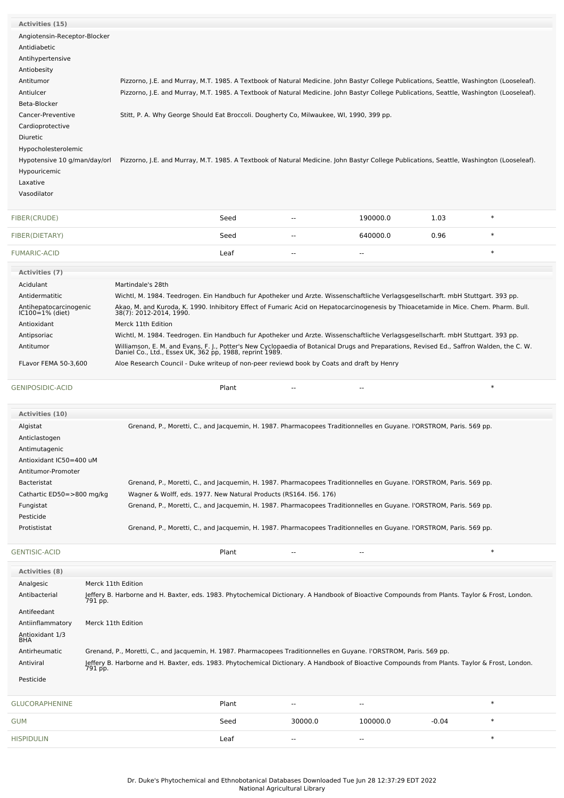| <b>Activities (15)</b>                    |                                                                                                                                                                                                     |       |                          |                                                                                                                                          |         |        |
|-------------------------------------------|-----------------------------------------------------------------------------------------------------------------------------------------------------------------------------------------------------|-------|--------------------------|------------------------------------------------------------------------------------------------------------------------------------------|---------|--------|
| Angiotensin-Receptor-Blocker              |                                                                                                                                                                                                     |       |                          |                                                                                                                                          |         |        |
| Antidiabetic                              |                                                                                                                                                                                                     |       |                          |                                                                                                                                          |         |        |
| Antihypertensive                          |                                                                                                                                                                                                     |       |                          |                                                                                                                                          |         |        |
| Antiobesity                               |                                                                                                                                                                                                     |       |                          |                                                                                                                                          |         |        |
| Antitumor                                 |                                                                                                                                                                                                     |       |                          | Pizzorno, J.E. and Murray, M.T. 1985. A Textbook of Natural Medicine. John Bastyr College Publications, Seattle, Washington (Looseleaf). |         |        |
| Antiulcer                                 |                                                                                                                                                                                                     |       |                          | Pizzorno, J.E. and Murray, M.T. 1985. A Textbook of Natural Medicine. John Bastyr College Publications, Seattle, Washington (Looseleaf). |         |        |
| Beta-Blocker                              |                                                                                                                                                                                                     |       |                          |                                                                                                                                          |         |        |
| Cancer-Preventive                         | Stitt, P. A. Why George Should Eat Broccoli. Dougherty Co, Milwaukee, WI, 1990, 399 pp.                                                                                                             |       |                          |                                                                                                                                          |         |        |
| Cardioprotective                          |                                                                                                                                                                                                     |       |                          |                                                                                                                                          |         |        |
| Diuretic                                  |                                                                                                                                                                                                     |       |                          |                                                                                                                                          |         |        |
| Hypocholesterolemic                       |                                                                                                                                                                                                     |       |                          |                                                                                                                                          |         |        |
| Hypotensive 10 g/man/day/orl              |                                                                                                                                                                                                     |       |                          | Pizzorno, J.E. and Murray, M.T. 1985. A Textbook of Natural Medicine. John Bastyr College Publications, Seattle, Washington (Looseleaf). |         |        |
| Hypouricemic                              |                                                                                                                                                                                                     |       |                          |                                                                                                                                          |         |        |
| Laxative                                  |                                                                                                                                                                                                     |       |                          |                                                                                                                                          |         |        |
| Vasodilator                               |                                                                                                                                                                                                     |       |                          |                                                                                                                                          |         |        |
| FIBER(CRUDE)                              |                                                                                                                                                                                                     | Seed  | $\sim$                   | 190000.0                                                                                                                                 | 1.03    | $\ast$ |
| FIBER(DIETARY)                            |                                                                                                                                                                                                     | Seed  | $\overline{\phantom{a}}$ | 640000.0                                                                                                                                 | 0.96    | $\ast$ |
| <b>FUMARIC-ACID</b>                       |                                                                                                                                                                                                     | Leaf  | $\sim$                   | $-$                                                                                                                                      |         | $\ast$ |
| <b>Activities (7)</b>                     |                                                                                                                                                                                                     |       |                          |                                                                                                                                          |         |        |
| Acidulant                                 | Martindale's 28th                                                                                                                                                                                   |       |                          |                                                                                                                                          |         |        |
| Antidermatitic                            | Wichtl, M. 1984. Teedrogen. Ein Handbuch fur Apotheker und Arzte. Wissenschaftliche Verlagsgesellscharft. mbH Stuttgart. 393 pp.                                                                    |       |                          |                                                                                                                                          |         |        |
| Antihepatocarcinogenic<br>IC100=1% (diet) | Akao, M. and Kuroda, K. 1990. Inhibitory Effect of Fumaric Acid on Hepatocarcinogenesis by Thioacetamide in Mice. Chem. Pharm. Bull.<br>38(7): 2012-2014, 1990.                                     |       |                          |                                                                                                                                          |         |        |
|                                           |                                                                                                                                                                                                     |       |                          |                                                                                                                                          |         |        |
| Antioxidant                               | Merck 11th Edition                                                                                                                                                                                  |       |                          |                                                                                                                                          |         |        |
| Antipsoriac                               | Wichtl, M. 1984. Teedrogen. Ein Handbuch fur Apotheker und Arzte. Wissenschaftliche Verlagsgesellscharft. mbH Stuttgart. 393 pp.                                                                    |       |                          |                                                                                                                                          |         |        |
| Antitumor                                 | Williamson, E. M. and Evans, F. J., Potter's New Cyclopaedia of Botanical Drugs and Preparations, Revised Ed., Saffron Walden, the C. W.<br>Daniel Co., Ltd., Essex UK, 362 pp, 1988, reprint 1989. |       |                          |                                                                                                                                          |         |        |
| FLavor FEMA 50-3,600                      | Aloe Research Council - Duke writeup of non-peer reviewd book by Coats and draft by Henry                                                                                                           |       |                          |                                                                                                                                          |         |        |
| <b>GENIPOSIDIC-ACID</b>                   |                                                                                                                                                                                                     | Plant | $\overline{\phantom{a}}$ |                                                                                                                                          |         | $\ast$ |
| Activities (10)                           |                                                                                                                                                                                                     |       |                          |                                                                                                                                          |         |        |
| Algistat                                  |                                                                                                                                                                                                     |       |                          | Grenand, P., Moretti, C., and Jacquemin, H. 1987. Pharmacopees Traditionnelles en Guyane. I'ORSTROM, Paris. 569 pp.                      |         |        |
| Anticlastogen                             |                                                                                                                                                                                                     |       |                          |                                                                                                                                          |         |        |
| Antimutagenic                             |                                                                                                                                                                                                     |       |                          |                                                                                                                                          |         |        |
| Antioxidant IC50=400 uM                   |                                                                                                                                                                                                     |       |                          |                                                                                                                                          |         |        |
| Antitumor-Promoter                        |                                                                                                                                                                                                     |       |                          |                                                                                                                                          |         |        |
| <b>Bacteristat</b>                        |                                                                                                                                                                                                     |       |                          | Grenand, P., Moretti, C., and Jacquemin, H. 1987. Pharmacopees Traditionnelles en Guyane. l'ORSTROM, Paris. 569 pp.                      |         |        |
| Cathartic ED50=>800 mg/kg                 | Wagner & Wolff, eds. 1977. New Natural Products (RS164. 156. 176)                                                                                                                                   |       |                          |                                                                                                                                          |         |        |
| Fungistat                                 |                                                                                                                                                                                                     |       |                          | Grenand, P., Moretti, C., and Jacquemin, H. 1987. Pharmacopees Traditionnelles en Guyane. I'ORSTROM, Paris. 569 pp.                      |         |        |
| Pesticide                                 |                                                                                                                                                                                                     |       |                          |                                                                                                                                          |         |        |
| Protististat                              |                                                                                                                                                                                                     |       |                          | Grenand, P., Moretti, C., and Jacquemin, H. 1987. Pharmacopees Traditionnelles en Guyane. l'ORSTROM, Paris. 569 pp.                      |         |        |
| <b>GENTISIC-ACID</b>                      |                                                                                                                                                                                                     | Plant |                          |                                                                                                                                          |         | $\ast$ |
| <b>Activities (8)</b>                     |                                                                                                                                                                                                     |       |                          |                                                                                                                                          |         |        |
| Analgesic                                 | Merck 11th Edition                                                                                                                                                                                  |       |                          |                                                                                                                                          |         |        |
| Antibacterial                             | Jeffery B. Harborne and H. Baxter, eds. 1983. Phytochemical Dictionary. A Handbook of Bioactive Compounds from Plants. Taylor & Frost, London.<br>791 pp.                                           |       |                          |                                                                                                                                          |         |        |
| Antifeedant                               |                                                                                                                                                                                                     |       |                          |                                                                                                                                          |         |        |
| Antiinflammatory<br>Antioxidant 1/3       | Merck 11th Edition                                                                                                                                                                                  |       |                          |                                                                                                                                          |         |        |
| <b>BHA</b><br>Antirheumatic               | Grenand, P., Moretti, C., and Jacquemin, H. 1987. Pharmacopees Traditionnelles en Guyane. l'ORSTROM, Paris. 569 pp.                                                                                 |       |                          |                                                                                                                                          |         |        |
| Antiviral                                 | Jeffery B. Harborne and H. Baxter, eds. 1983. Phytochemical Dictionary. A Handbook of Bioactive Compounds from Plants. Taylor & Frost, London.<br>791 pp.                                           |       |                          |                                                                                                                                          |         |        |
| Pesticide                                 |                                                                                                                                                                                                     |       |                          |                                                                                                                                          |         |        |
| <b>GLUCORAPHENINE</b>                     |                                                                                                                                                                                                     | Plant |                          |                                                                                                                                          |         | $\ast$ |
| <b>GUM</b>                                |                                                                                                                                                                                                     | Seed  | 30000.0                  | 100000.0                                                                                                                                 | $-0.04$ | $\ast$ |

[HISPIDULIN](file:///phytochem/chemicals/show/9825) Leaf -- -- \*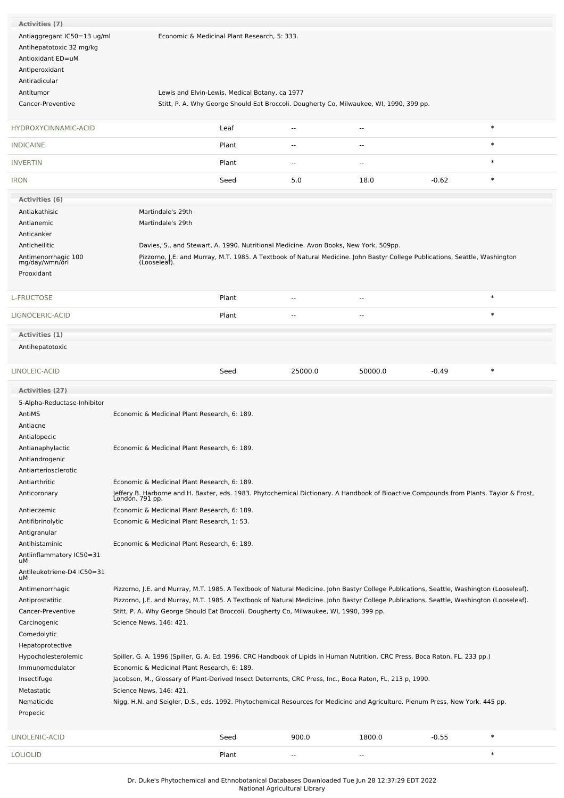| Activities (7)                 |                                                                                                                                          |                                                                                      |                          |                                                                                                                                             |         |        |
|--------------------------------|------------------------------------------------------------------------------------------------------------------------------------------|--------------------------------------------------------------------------------------|--------------------------|---------------------------------------------------------------------------------------------------------------------------------------------|---------|--------|
| Antiaggregant IC50=13 ug/ml    |                                                                                                                                          | Economic & Medicinal Plant Research, 5: 333.                                         |                          |                                                                                                                                             |         |        |
| Antihepatotoxic 32 mg/kg       |                                                                                                                                          |                                                                                      |                          |                                                                                                                                             |         |        |
| Antioxidant ED=uM              |                                                                                                                                          |                                                                                      |                          |                                                                                                                                             |         |        |
| Antiperoxidant                 |                                                                                                                                          |                                                                                      |                          |                                                                                                                                             |         |        |
| Antiradicular                  |                                                                                                                                          |                                                                                      |                          |                                                                                                                                             |         |        |
| Antitumor                      |                                                                                                                                          | Lewis and Elvin-Lewis, Medical Botany, ca 1977                                       |                          |                                                                                                                                             |         |        |
| Cancer-Preventive              |                                                                                                                                          |                                                                                      |                          | Stitt, P. A. Why George Should Eat Broccoli. Dougherty Co, Milwaukee, WI, 1990, 399 pp.                                                     |         |        |
|                                |                                                                                                                                          |                                                                                      |                          |                                                                                                                                             |         |        |
| <b>HYDROXYCINNAMIC-ACID</b>    |                                                                                                                                          | Leaf                                                                                 | $\sim$ $\sim$            | $\sim$ $\sim$                                                                                                                               |         | $\ast$ |
|                                |                                                                                                                                          |                                                                                      |                          |                                                                                                                                             |         |        |
| <b>INDICAINE</b>               |                                                                                                                                          | Plant                                                                                |                          | --                                                                                                                                          |         | $\ast$ |
| <b>INVERTIN</b>                |                                                                                                                                          | Plant                                                                                | $\overline{a}$           | --                                                                                                                                          |         | $\ast$ |
|                                |                                                                                                                                          |                                                                                      |                          |                                                                                                                                             |         | $\ast$ |
| <b>IRON</b>                    |                                                                                                                                          | Seed                                                                                 | 5.0                      | 18.0                                                                                                                                        | $-0.62$ |        |
| Activities (6)                 |                                                                                                                                          |                                                                                      |                          |                                                                                                                                             |         |        |
| Antiakathisic                  | Martindale's 29th                                                                                                                        |                                                                                      |                          |                                                                                                                                             |         |        |
| Antianemic                     | Martindale's 29th                                                                                                                        |                                                                                      |                          |                                                                                                                                             |         |        |
| Anticanker                     |                                                                                                                                          |                                                                                      |                          |                                                                                                                                             |         |        |
| Anticheilitic                  |                                                                                                                                          | Davies, S., and Stewart, A. 1990. Nutritional Medicine. Avon Books, New York. 509pp. |                          |                                                                                                                                             |         |        |
| Antimenorrhagic 100            |                                                                                                                                          |                                                                                      |                          | Pizzorno, J.E. and Murray, M.T. 1985. A Textbook of Natural Medicine. John Bastyr College Publications, Seattle, Washington<br>(Looseleaf). |         |        |
| mg/day/wmn/orl                 |                                                                                                                                          |                                                                                      |                          |                                                                                                                                             |         |        |
| Prooxidant                     |                                                                                                                                          |                                                                                      |                          |                                                                                                                                             |         |        |
|                                |                                                                                                                                          |                                                                                      |                          |                                                                                                                                             |         |        |
| L-FRUCTOSE                     |                                                                                                                                          | Plant                                                                                | $\overline{\phantom{a}}$ | $\sim$                                                                                                                                      |         | $\ast$ |
| LIGNOCERIC-ACID                |                                                                                                                                          | Plant                                                                                | $\overline{a}$           | $\overline{a}$                                                                                                                              |         | $\ast$ |
|                                |                                                                                                                                          |                                                                                      |                          |                                                                                                                                             |         |        |
| Activities (1)                 |                                                                                                                                          |                                                                                      |                          |                                                                                                                                             |         |        |
| Antihepatotoxic                |                                                                                                                                          |                                                                                      |                          |                                                                                                                                             |         |        |
|                                |                                                                                                                                          |                                                                                      |                          |                                                                                                                                             |         |        |
| LINOLEIC-ACID                  |                                                                                                                                          | Seed                                                                                 | 25000.0                  | 50000.0                                                                                                                                     | $-0.49$ | $\ast$ |
| Activities (27)                |                                                                                                                                          |                                                                                      |                          |                                                                                                                                             |         |        |
| 5-Alpha-Reductase-Inhibitor    |                                                                                                                                          |                                                                                      |                          |                                                                                                                                             |         |        |
| AntiMS                         | Economic & Medicinal Plant Research, 6: 189.                                                                                             |                                                                                      |                          |                                                                                                                                             |         |        |
| Antiacne                       |                                                                                                                                          |                                                                                      |                          |                                                                                                                                             |         |        |
| Antialopecic                   |                                                                                                                                          |                                                                                      |                          |                                                                                                                                             |         |        |
| Antianaphylactic               | Economic & Medicinal Plant Research, 6: 189.                                                                                             |                                                                                      |                          |                                                                                                                                             |         |        |
| Antiandrogenic                 |                                                                                                                                          |                                                                                      |                          |                                                                                                                                             |         |        |
| Antiarteriosclerotic           |                                                                                                                                          |                                                                                      |                          |                                                                                                                                             |         |        |
| Antiarthritic                  | Economic & Medicinal Plant Research, 6: 189.                                                                                             |                                                                                      |                          |                                                                                                                                             |         |        |
| Anticoronary                   | Jeffery B. Harborne and H. Baxter, eds. 1983. Phytochemical Dictionary. A Handbook of Bioactive Compounds from Plants. Taylor & Frost,   |                                                                                      |                          |                                                                                                                                             |         |        |
|                                | Londón. 791 pp.                                                                                                                          |                                                                                      |                          |                                                                                                                                             |         |        |
| Antieczemic                    | Economic & Medicinal Plant Research, 6: 189.                                                                                             |                                                                                      |                          |                                                                                                                                             |         |        |
| Antifibrinolytic               | Economic & Medicinal Plant Research, 1: 53.                                                                                              |                                                                                      |                          |                                                                                                                                             |         |        |
| Antigranular                   |                                                                                                                                          |                                                                                      |                          |                                                                                                                                             |         |        |
| Antihistaminic                 |                                                                                                                                          |                                                                                      |                          |                                                                                                                                             |         |        |
|                                | Economic & Medicinal Plant Research, 6: 189.                                                                                             |                                                                                      |                          |                                                                                                                                             |         |        |
| Antiinflammatory IC50=31<br>uМ |                                                                                                                                          |                                                                                      |                          |                                                                                                                                             |         |        |
| Antileukotriene-D4 IC50=31     |                                                                                                                                          |                                                                                      |                          |                                                                                                                                             |         |        |
| uМ                             |                                                                                                                                          |                                                                                      |                          |                                                                                                                                             |         |        |
| Antimenorrhagic                | Pizzorno, J.E. and Murray, M.T. 1985. A Textbook of Natural Medicine. John Bastyr College Publications, Seattle, Washington (Looseleaf). |                                                                                      |                          |                                                                                                                                             |         |        |
| Antiprostatitic                | Pizzorno, J.E. and Murray, M.T. 1985. A Textbook of Natural Medicine. John Bastyr College Publications, Seattle, Washington (Looseleaf). |                                                                                      |                          |                                                                                                                                             |         |        |
| Cancer-Preventive              | Stitt, P. A. Why George Should Eat Broccoli. Dougherty Co, Milwaukee, WI, 1990, 399 pp.                                                  |                                                                                      |                          |                                                                                                                                             |         |        |
| Carcinogenic                   | Science News, 146: 421.                                                                                                                  |                                                                                      |                          |                                                                                                                                             |         |        |
| Comedolytic                    |                                                                                                                                          |                                                                                      |                          |                                                                                                                                             |         |        |
| Hepatoprotective               |                                                                                                                                          |                                                                                      |                          |                                                                                                                                             |         |        |
| Hypocholesterolemic            | Spiller, G. A. 1996 (Spiller, G. A. Ed. 1996. CRC Handbook of Lipids in Human Nutrition. CRC Press. Boca Raton, FL. 233 pp.)             |                                                                                      |                          |                                                                                                                                             |         |        |
| Immunomodulator                | Economic & Medicinal Plant Research, 6: 189.                                                                                             |                                                                                      |                          |                                                                                                                                             |         |        |
| Insectifuge                    | Jacobson, M., Glossary of Plant-Derived Insect Deterrents, CRC Press, Inc., Boca Raton, FL, 213 p, 1990.                                 |                                                                                      |                          |                                                                                                                                             |         |        |
| Metastatic                     | Science News, 146: 421.                                                                                                                  |                                                                                      |                          |                                                                                                                                             |         |        |
| Nematicide                     | Nigg, H.N. and Seigler, D.S., eds. 1992. Phytochemical Resources for Medicine and Agriculture. Plenum Press, New York. 445 pp.           |                                                                                      |                          |                                                                                                                                             |         |        |
| Propecic                       |                                                                                                                                          |                                                                                      |                          |                                                                                                                                             |         |        |
| LINOLENIC-ACID                 |                                                                                                                                          | Seed                                                                                 | 900.0                    | 1800.0                                                                                                                                      | $-0.55$ | $\ast$ |
| <b>LOLIOLID</b>                |                                                                                                                                          | Plant                                                                                |                          |                                                                                                                                             |         | $\ast$ |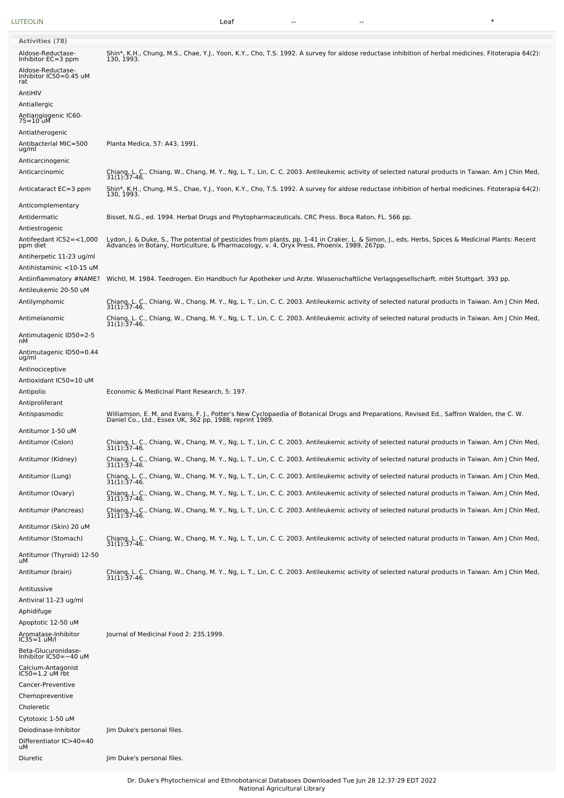[LUTEOLIN](file:///phytochem/chemicals/show/11706) Leaf -- -- \*

| Aldose-Reductase-<br>Inhibitor EC=3 ppm<br>Aldose-Reductase- | Shin*, K.H., Chung, M.S., Chae, Y.J., Yoon, K.Y., Cho, T.S. 1992. A survey for aldose reductase inhibition of herbal medicines. Fitoterapia 64(2):<br>130, 1993.                                                                 |
|--------------------------------------------------------------|----------------------------------------------------------------------------------------------------------------------------------------------------------------------------------------------------------------------------------|
| Inhibitor IC50=0.45 uM<br>rat                                |                                                                                                                                                                                                                                  |
| AntiHIV                                                      |                                                                                                                                                                                                                                  |
| Antiallergic                                                 |                                                                                                                                                                                                                                  |
| Antiangiogenic IC60-<br>75=10 uM                             |                                                                                                                                                                                                                                  |
| Antiatherogenic<br>Antibacterial MIC=500<br>ug/ml            | Planta Medica, 57: A43, 1991.                                                                                                                                                                                                    |
| Anticarcinogenic<br>Anticarcinomic                           | Chiang, L. C., Chiang, W., Chang, M. Y., Ng, L. T., Lin, C. C. 2003. Antileukemic activity of selected natural products in Taiwan. Am J Chin Med, 31(1):37-46.                                                                   |
| Anticataract EC=3 ppm                                        | Shin*, K.H., Chung, M.S., Chae, Y.J., Yoon, K.Y., Cho, T.S. 1992. A survey for aldose reductase inhibition of herbal medicines. Fitoterapia 64(2):<br>130, 1993.                                                                 |
| Anticomplementary<br>Antidermatic<br>Antiestrogenic          | Bisset, N.G., ed. 1994. Herbal Drugs and Phytopharmaceuticals. CRC Press. Boca Raton, FL. 566 pp.                                                                                                                                |
| Antifeedant IC52=<1,000<br>ppm diet                          | Lydon, J. & Duke, S., The potential of pesticides from plants, pp. 1-41 in Craker, L. & Simon, J., eds, Herbs, Spices & Medicinal Plants: Recent<br>Advances in Botany, Horticulture, & Pharmacology, v. 4, Oryx Press, Phoenix, |
| Antiherpetic 11-23 ug/ml<br>Antihistaminic <10-15 uM         |                                                                                                                                                                                                                                  |
| Antiinflammatory #NAME?<br>Antileukemic 20-50 uM             | Wichtl, M. 1984. Teedrogen. Ein Handbuch fur Apotheker und Arzte. Wissenschaftliche Verlagsgesellscharft. mbH Stuttgart. 393 pp.                                                                                                 |
| Antilymphomic                                                | Chiang, L. C., Chiang, W., Chang, M. Y., Ng, L. T., Lin, C. C. 2003. Antileukemic activity of selected natural products in Taiwan. Am J Chin Med,<br>31(1):37-46.                                                                |
| Antimelanomic                                                | Chiang, L. C., Chiang, W., Chang, M. Y., Ng, L. T., Lin, C. C. 2003. Antileukemic activity of selected natural products in Taiwan. Am J Chin Med,<br>31(1):37-46.                                                                |
| Antimutagenic ID50=2-5<br>nМ                                 |                                                                                                                                                                                                                                  |
| Antimutagenic ID50=0.44<br>ug/ml                             |                                                                                                                                                                                                                                  |
| Antinociceptive<br>Antioxidant IC50=10 uM                    |                                                                                                                                                                                                                                  |
| Antipolio                                                    | Economic & Medicinal Plant Research, 5: 197.                                                                                                                                                                                     |
| Antiproliferant                                              |                                                                                                                                                                                                                                  |
| Antispasmodic                                                | Williamson, E. M. and Evans, F. J., Potter's New Cyclopaedia of Botanical Drugs and Preparations, Revised Ed., Saffron Walden, the C. W.<br>Daniel Co., Ltd., Essex UK, 362 pp, 1988, reprint 1989.                              |
| Antitumor 1-50 uM                                            |                                                                                                                                                                                                                                  |
|                                                              |                                                                                                                                                                                                                                  |
| Antitumor (Colon)                                            | Chiang, L. C., Chiang, W., Chang, M. Y., Ng, L. T., Lin, C. C. 2003. Antileukemic activity of selected natural products in Taiwan. Am J Chin Med, 31(1):37-46.                                                                   |
| Antitumor (Kidney)                                           | Chiang, L. C., Chiang, W., Chang, M. Y., Ng, L. T., Lin, C. C. 2003. Antileukemic activity of selected natural products in Taiwan. Am J Chin Med,<br>31(1):37-40.                                                                |
| Antitumor (Lung)                                             | Chiang, L. C., Chiang, W., Chang, M. Y., Ng, L. T., Lin, C. C. 2003. Antileukemic activity of selected natural products in Taiwan. Am J Chin Med, 31(1):37-46.                                                                   |
| Antitumor (Ovary)                                            | Chiang, L. C., Chiang, W., Chang, M. Y., Ng, L. T., Lin, C. C. 2003. Antileukemic activity of selected natural products in Taiwan. Am J Chin Med,<br>31(1):37-46.                                                                |
| Antitumor (Pancreas)                                         | Chiang, L. C., Chiang, W., Chang, M. Y., Ng, L. T., Lin, C. C. 2003. Antileukemic activity of selected natural products in Taiwan. Am J Chin Med,<br>31(1):37-46.                                                                |
| Antitumor (Skin) 20 uM<br>Antitumor (Stomach)                | Chiang, L. C., Chiang, W., Chang, M. Y., Ng, L. T., Lin, C. C. 2003. Antileukemic activity of selected natural products in Taiwan. Am J Chin Med,<br>31(1):37-46.                                                                |
| Antitumor (Thyroid) 12-50<br>uМ                              |                                                                                                                                                                                                                                  |
| Antitumor (brain)                                            | Chiang, L. C., Chiang, W., Chang, M. Y., Ng, L. T., Lin, C. C. 2003. Antileukemic activity of selected natural products in Taiwan. Am J Chin Med,<br>31(1):37-46.                                                                |
| Antitussive<br>Antiviral 11-23 ug/ml                         |                                                                                                                                                                                                                                  |
| Aphidifuge                                                   |                                                                                                                                                                                                                                  |
| Apoptotic 12-50 uM                                           |                                                                                                                                                                                                                                  |
| Aromatase-Inhibitor<br>$IC35 = 1$ uM/l                       | Journal of Medicinal Food 2: 235.1999.                                                                                                                                                                                           |
| Beta-Glucuronidase-<br>Inhibitor $IC50 = -40$ uM             |                                                                                                                                                                                                                                  |
| Calcium-Antagonist                                           |                                                                                                                                                                                                                                  |
| $IC50 = 1.2$ uM rbt<br>Cancer-Preventive                     |                                                                                                                                                                                                                                  |
| Chemopreventive                                              |                                                                                                                                                                                                                                  |
| Choleretic                                                   |                                                                                                                                                                                                                                  |
| Cytotoxic 1-50 uM<br>Deiodinase-Inhibitor                    | Jim Duke's personal files.                                                                                                                                                                                                       |

Dr. Duke's Phytochemical and Ethnobotanical Databases Downloaded Tue Jun 28 12:37:29 EDT 2022

Diuretic Jim Duke's personal files.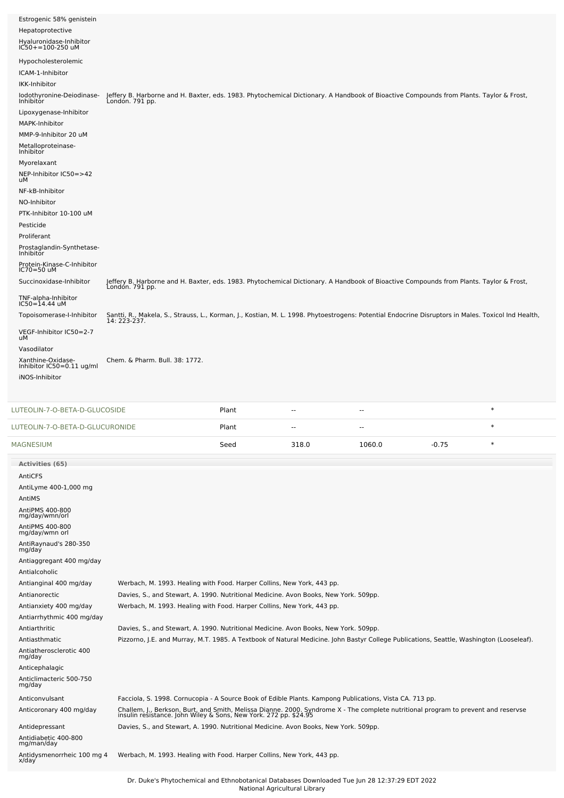| Estrogenic 58% genistein<br>Hepatoprotective<br>Hyaluronidase-Inhibitor<br>IC50+=100-250 uM                                                                                                          |                                                                                                                                                                                                                                          |       |       |        |         |        |  |
|------------------------------------------------------------------------------------------------------------------------------------------------------------------------------------------------------|------------------------------------------------------------------------------------------------------------------------------------------------------------------------------------------------------------------------------------------|-------|-------|--------|---------|--------|--|
| Hypocholesterolemic<br>ICAM-1-Inhibitor<br>IKK-Inhibitor                                                                                                                                             |                                                                                                                                                                                                                                          |       |       |        |         |        |  |
| lodothyronine-Deiodinase-<br>Inhibitor<br>Lipoxygenase-Inhibitor<br>MAPK-Inhibitor<br>MMP-9-Inhibitor 20 uM                                                                                          | Jeffery B. Harborne and H. Baxter, eds. 1983. Phytochemical Dictionary. A Handbook of Bioactive Compounds from Plants. Taylor & Frost,<br>London. 791 pp.                                                                                |       |       |        |         |        |  |
| Metalloproteinase-<br>Inhibitor<br>Myorelaxant<br>NEP-Inhibitor IC50=>42                                                                                                                             |                                                                                                                                                                                                                                          |       |       |        |         |        |  |
| uМ<br>NF-kB-Inhibitor<br>NO-Inhibitor<br>PTK-Inhibitor 10-100 uM<br>Pesticide                                                                                                                        |                                                                                                                                                                                                                                          |       |       |        |         |        |  |
| Proliferant<br>Prostaglandin-Synthetase-<br>Inhibitor                                                                                                                                                |                                                                                                                                                                                                                                          |       |       |        |         |        |  |
| Protein-Kinase-C-Inhibitor<br>IC70=50 uM<br>Succinoxidase-Inhibitor                                                                                                                                  | Jeffery B. Harborne and H. Baxter, eds. 1983. Phytochemical Dictionary. A Handbook of Bioactive Compounds from Plants. Taylor & Frost,                                                                                                   |       |       |        |         |        |  |
| TNF-alpha-Inhibitor<br>IC50=14.44 uM                                                                                                                                                                 | Londón. 791 pp.                                                                                                                                                                                                                          |       |       |        |         |        |  |
| Topoisomerase-I-Inhibitor                                                                                                                                                                            | Santti, R., Makela, S., Strauss, L., Korman, J., Kostian, M. L. 1998. Phytoestrogens: Potential Endocrine Disruptors in Males. Toxicol Ind Health,<br>14: 223-237.                                                                       |       |       |        |         |        |  |
| VEGF-Inhibitor IC50=2-7<br>uM                                                                                                                                                                        |                                                                                                                                                                                                                                          |       |       |        |         |        |  |
| Vasodilator<br>Xanthine-Oxidase-<br>Inhibitor IC50=0.11 ug/ml<br>iNOS-Inhibitor                                                                                                                      | Chem. & Pharm. Bull. 38: 1772.                                                                                                                                                                                                           |       |       |        |         |        |  |
|                                                                                                                                                                                                      |                                                                                                                                                                                                                                          |       |       |        |         |        |  |
|                                                                                                                                                                                                      |                                                                                                                                                                                                                                          | Plant | --    | $\sim$ |         | $\ast$ |  |
| LUTEOLIN-7-O-BETA-D-GLUCURONIDE                                                                                                                                                                      |                                                                                                                                                                                                                                          | Plant | ۰.    | --     |         | $\ast$ |  |
| LUTEOLIN-7-O-BETA-D-GLUCOSIDE<br>MAGNESIUM                                                                                                                                                           |                                                                                                                                                                                                                                          | Seed  | 318.0 | 1060.0 | $-0.75$ | $\ast$ |  |
| <b>Activities (65)</b>                                                                                                                                                                               |                                                                                                                                                                                                                                          |       |       |        |         |        |  |
| AntiCFS<br>AntiLyme 400-1,000 mg<br>AntiMS<br>AntiPMS 400-800<br>mg/day/wmn/orl<br>AntiPMS 400-800<br>mg/day/wmn orl<br>AntiRaynaud's 280-350<br>mg/day<br>Antiaggregant 400 mg/day<br>Antialcoholic |                                                                                                                                                                                                                                          |       |       |        |         |        |  |
| Antianginal 400 mg/day<br>Antianorectic<br>Antianxiety 400 mg/day<br>Antiarrhythmic 400 mg/day                                                                                                       | Werbach, M. 1993. Healing with Food. Harper Collins, New York, 443 pp.<br>Davies, S., and Stewart, A. 1990. Nutritional Medicine. Avon Books, New York. 509pp.<br>Werbach, M. 1993. Healing with Food. Harper Collins, New York, 443 pp. |       |       |        |         |        |  |
| Antiarthritic<br>Antiasthmatic<br>Antiatherosclerotic 400<br>mg/day<br>Anticephalagic<br>Anticlimacteric 500-750<br>mg/day                                                                           | Davies, S., and Stewart, A. 1990. Nutritional Medicine. Avon Books, New York. 509pp.<br>Pizzorno, J.E. and Murray, M.T. 1985. A Textbook of Natural Medicine. John Bastyr College Publications, Seattle, Washington (Looseleaf).         |       |       |        |         |        |  |
| Anticonvulsant                                                                                                                                                                                       | Facciola, S. 1998. Cornucopia - A Source Book of Edible Plants. Kampong Publications, Vista CA. 713 pp.                                                                                                                                  |       |       |        |         |        |  |
| Anticoronary 400 mg/day                                                                                                                                                                              | Challem, J., Berkson, Burt, and Smith, Melissa Dianne. 2000. Syndrome X - The complete nutritional program to prevent and reservse<br>insulin resistance. John Wiley & Sons, New York. 272 pp. \$24.95                                   |       |       |        |         |        |  |
| Antidepressant<br>Antidiabetic 400-800<br>mg/man/day                                                                                                                                                 | Davies, S., and Stewart, A. 1990. Nutritional Medicine. Avon Books, New York. 509pp.                                                                                                                                                     |       |       |        |         |        |  |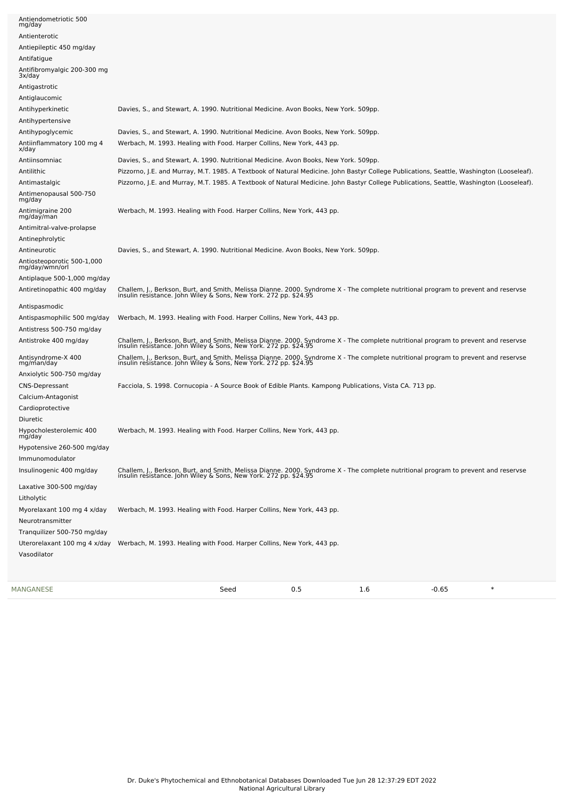| MANGANESE                                      | Seed                                                                                                                                                                                                   | 0.5 | 1.6 | $\ast$<br>$-0.65$ |  |
|------------------------------------------------|--------------------------------------------------------------------------------------------------------------------------------------------------------------------------------------------------------|-----|-----|-------------------|--|
| Tranquilizer 500-750 mg/day<br>Vasodilator     | Uterorelaxant 100 mg 4 x/day Werbach, M. 1993. Healing with Food. Harper Collins, New York, 443 pp.                                                                                                    |     |     |                   |  |
| Myorelaxant 100 mg 4 x/day<br>Neurotransmitter | Werbach, M. 1993. Healing with Food. Harper Collins, New York, 443 pp.                                                                                                                                 |     |     |                   |  |
| Litholytic                                     |                                                                                                                                                                                                        |     |     |                   |  |
| Laxative 300-500 mg/day                        |                                                                                                                                                                                                        |     |     |                   |  |
| Insulinogenic 400 mg/day                       | Challem, J., Berkson, Burt, and Smith, Melissa Dianne. 2000. Syndrome X - The complete nutritional program to prevent and reservse insulin resistance. John Wiley & Sons, New York. 272 pp. \$24.95    |     |     |                   |  |
| Immunomodulator                                |                                                                                                                                                                                                        |     |     |                   |  |
| mg/day<br>Hypotensive 260-500 mg/day           |                                                                                                                                                                                                        |     |     |                   |  |
| Hypocholesterolemic 400                        | Werbach, M. 1993. Healing with Food. Harper Collins, New York, 443 pp.                                                                                                                                 |     |     |                   |  |
| Diuretic                                       |                                                                                                                                                                                                        |     |     |                   |  |
| Cardioprotective                               |                                                                                                                                                                                                        |     |     |                   |  |
| Calcium-Antagonist                             |                                                                                                                                                                                                        |     |     |                   |  |
| CNS-Depressant                                 | Facciola, S. 1998. Cornucopia - A Source Book of Edible Plants. Kampong Publications, Vista CA. 713 pp.                                                                                                |     |     |                   |  |
| Anxiolytic 500-750 mg/day                      |                                                                                                                                                                                                        |     |     |                   |  |
| Antisyndrome-X 400<br>mg/man/day               | Challem, J., Berkson, Burt, and Smith, Melissa Dianne. 2000. Syndrome X - The complete nutritional program to prevent and reservse<br>insulin resistance. John Wiley & Sons, New York. 272 pp. \$24.95 |     |     |                   |  |
| Antistroke 400 mg/day                          | Challem, J., Berkson, Burt, and Smith, Melissa Dianne. 2000. Syndrome X - The complete nutritional program to prevent and reservse insulin resistance. John Wiley & Sons, New York. 272 pp. \$24.95    |     |     |                   |  |
| Antistress 500-750 mg/day                      |                                                                                                                                                                                                        |     |     |                   |  |
| Antispasmophilic 500 mg/day                    | Werbach, M. 1993. Healing with Food. Harper Collins, New York, 443 pp.                                                                                                                                 |     |     |                   |  |
| Antispasmodic                                  |                                                                                                                                                                                                        |     |     |                   |  |
|                                                | Challem, J., Berkson, Burt, and Smith, Melissa Dianne. 2000. Syndrome X - The complete nutritional program to prevent and reservse insulin resistance. John Wiley & Sons, New York. 272 pp. \$24.95    |     |     |                   |  |
| Antiretinopathic 400 mg/day                    |                                                                                                                                                                                                        |     |     |                   |  |
| mg/day/wmn/orl<br>Antiplaque 500-1,000 mg/day  |                                                                                                                                                                                                        |     |     |                   |  |
| Antiosteoporotic 500-1,000                     |                                                                                                                                                                                                        |     |     |                   |  |
| Antineurotic                                   | Davies, S., and Stewart, A. 1990. Nutritional Medicine. Avon Books, New York. 509pp.                                                                                                                   |     |     |                   |  |
| Antinephrolytic                                |                                                                                                                                                                                                        |     |     |                   |  |
| Antimitral-valve-prolapse                      |                                                                                                                                                                                                        |     |     |                   |  |
| Antimigraine 200<br>mg/day/man                 | Werbach, M. 1993. Healing with Food. Harper Collins, New York, 443 pp.                                                                                                                                 |     |     |                   |  |
| Antimenopausal 500-750<br>mg/day               |                                                                                                                                                                                                        |     |     |                   |  |
| Antimastalgic                                  | Pizzorno, J.E. and Murray, M.T. 1985. A Textbook of Natural Medicine. John Bastyr College Publications, Seattle, Washington (Looseleaf).                                                               |     |     |                   |  |
| Antilithic                                     | Pizzorno, J.E. and Murray, M.T. 1985. A Textbook of Natural Medicine. John Bastyr College Publications, Seattle, Washington (Looseleaf).                                                               |     |     |                   |  |
| Antiinsomniac                                  | Davies, S., and Stewart, A. 1990. Nutritional Medicine. Avon Books, New York. 509pp.                                                                                                                   |     |     |                   |  |
| x/day                                          | Werbach, M. 1993. Healing with Food. Harper Collins, New York, 443 pp.                                                                                                                                 |     |     |                   |  |
| Antihypoglycemic<br>Antiinflammatory 100 mg 4  | Davies, S., and Stewart, A. 1990. Nutritional Medicine. Avon Books, New York. 509pp.                                                                                                                   |     |     |                   |  |
| Antihypertensive                               |                                                                                                                                                                                                        |     |     |                   |  |
| Antihyperkinetic                               | Davies, S., and Stewart, A. 1990. Nutritional Medicine. Avon Books, New York. 509pp.                                                                                                                   |     |     |                   |  |
| Antiglaucomic                                  |                                                                                                                                                                                                        |     |     |                   |  |
| Antigastrotic                                  |                                                                                                                                                                                                        |     |     |                   |  |
| 3x/day                                         |                                                                                                                                                                                                        |     |     |                   |  |
| Antifibromyalgic 200-300 mg                    |                                                                                                                                                                                                        |     |     |                   |  |
| Antifatigue                                    |                                                                                                                                                                                                        |     |     |                   |  |
| Antiepileptic 450 mg/day                       |                                                                                                                                                                                                        |     |     |                   |  |
| Antienterotic                                  |                                                                                                                                                                                                        |     |     |                   |  |
| mg/day                                         |                                                                                                                                                                                                        |     |     |                   |  |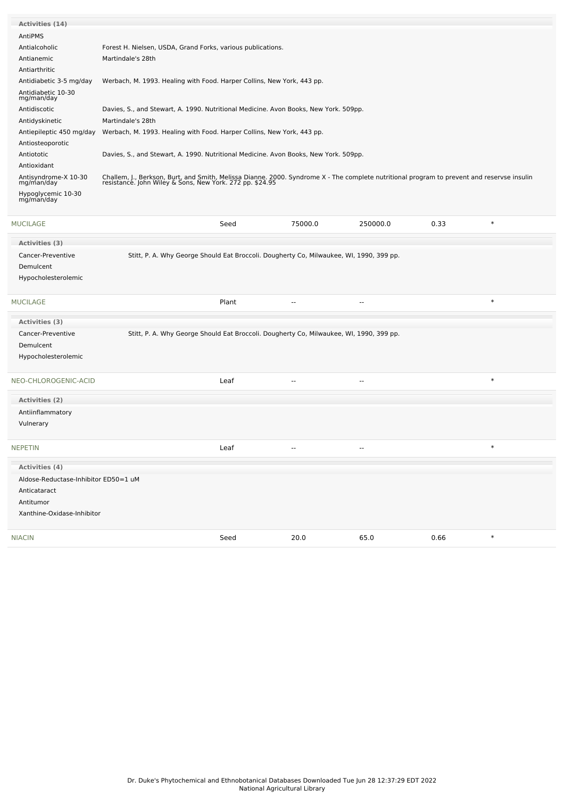| <b>Activities (14)</b>             |                                                                                                                                                                                                        |
|------------------------------------|--------------------------------------------------------------------------------------------------------------------------------------------------------------------------------------------------------|
| AntiPMS                            |                                                                                                                                                                                                        |
| Antialcoholic                      | Forest H. Nielsen, USDA, Grand Forks, various publications.                                                                                                                                            |
| Antianemic                         | Martindale's 28th                                                                                                                                                                                      |
| Antiarthritic                      |                                                                                                                                                                                                        |
| Antidiabetic 3-5 mg/day            | Werbach, M. 1993. Healing with Food. Harper Collins, New York, 443 pp.                                                                                                                                 |
| Antidiabetic 10-30<br>mg/man/day   |                                                                                                                                                                                                        |
| Antidiscotic                       | Davies, S., and Stewart, A. 1990. Nutritional Medicine. Avon Books, New York. 509pp.                                                                                                                   |
| Antidyskinetic                     | Martindale's 28th                                                                                                                                                                                      |
| Antiepileptic 450 mg/day           | Werbach, M. 1993. Healing with Food. Harper Collins, New York, 443 pp.                                                                                                                                 |
| Antiosteoporotic                   |                                                                                                                                                                                                        |
| Antiototic                         | Davies, S., and Stewart, A. 1990. Nutritional Medicine. Avon Books, New York. 509pp.                                                                                                                   |
| Antioxidant                        |                                                                                                                                                                                                        |
| Antisyndrome-X 10-30<br>mg/man/day | Challem, J., Berkson, Burt, and Smith, Melissa Dianne. 2000. Syndrome X - The complete nutritional program to prevent and reservse insulin<br>resistance. John Wiley & Sons, New York. 272 pp. \$24.95 |
| Hypoglycemic 10-30<br>mg/man/day   |                                                                                                                                                                                                        |

| <b>MUCILAGE</b>                      |                                                                                         | Seed  | 75000.0                  | 250000.0                 | 0.33 | $\ast$ |
|--------------------------------------|-----------------------------------------------------------------------------------------|-------|--------------------------|--------------------------|------|--------|
| Activities (3)                       |                                                                                         |       |                          |                          |      |        |
| Cancer-Preventive                    | Stitt, P. A. Why George Should Eat Broccoli. Dougherty Co, Milwaukee, WI, 1990, 399 pp. |       |                          |                          |      |        |
| Demulcent                            |                                                                                         |       |                          |                          |      |        |
| Hypocholesterolemic                  |                                                                                         |       |                          |                          |      |        |
| <b>MUCILAGE</b>                      |                                                                                         | Plant | $\overline{\phantom{a}}$ | $\overline{\phantom{a}}$ |      | $\ast$ |
| Activities (3)                       |                                                                                         |       |                          |                          |      |        |
| Cancer-Preventive                    | Stitt, P. A. Why George Should Eat Broccoli. Dougherty Co, Milwaukee, WI, 1990, 399 pp. |       |                          |                          |      |        |
| Demulcent                            |                                                                                         |       |                          |                          |      |        |
| Hypocholesterolemic                  |                                                                                         |       |                          |                          |      |        |
| NEO-CHLOROGENIC-ACID                 |                                                                                         | Leaf  | $\overline{\phantom{a}}$ | $\mathbf{u}$             |      | $\ast$ |
| Activities (2)                       |                                                                                         |       |                          |                          |      |        |
| Antiinflammatory                     |                                                                                         |       |                          |                          |      |        |
| Vulnerary                            |                                                                                         |       |                          |                          |      |        |
| <b>NEPETIN</b>                       |                                                                                         | Leaf  | $\mathbf{u}$             | $\mathbf{u}$             |      | $\ast$ |
| Activities (4)                       |                                                                                         |       |                          |                          |      |        |
| Aldose-Reductase-Inhibitor ED50=1 uM |                                                                                         |       |                          |                          |      |        |
| Anticataract                         |                                                                                         |       |                          |                          |      |        |
| Antitumor                            |                                                                                         |       |                          |                          |      |        |
| Xanthine-Oxidase-Inhibitor           |                                                                                         |       |                          |                          |      |        |
| <b>NIACIN</b>                        |                                                                                         | Seed  | 20.0                     | 65.0                     | 0.66 | $\ast$ |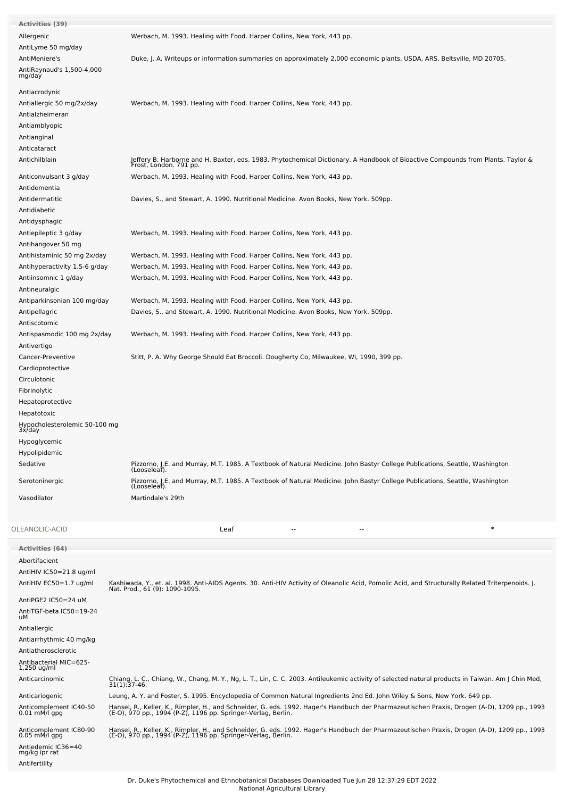| <b>Activities (39)</b>                |                                                                                                                                                                                    |
|---------------------------------------|------------------------------------------------------------------------------------------------------------------------------------------------------------------------------------|
| Allergenic                            | Werbach, M. 1993. Healing with Food. Harper Collins, New York, 443 pp.                                                                                                             |
| AntiLyme 50 mg/day                    |                                                                                                                                                                                    |
| AntiMeniere's                         | Duke, J. A. Writeups or information summaries on approximately 2,000 economic plants, USDA, ARS, Beltsville, MD 20705.                                                             |
| AntiRaynaud's 1,500-4,000             |                                                                                                                                                                                    |
| mg/day                                |                                                                                                                                                                                    |
| Antiacrodynic                         |                                                                                                                                                                                    |
| Antiallergic 50 mg/2x/day             | Werbach, M. 1993. Healing with Food. Harper Collins, New York, 443 pp.                                                                                                             |
| Antialzheimeran                       |                                                                                                                                                                                    |
| Antiamblyopic                         |                                                                                                                                                                                    |
| Antianginal                           |                                                                                                                                                                                    |
| Anticataract                          |                                                                                                                                                                                    |
| Antichilblain                         | Jeffery B. Harborne and H. Baxter, eds. 1983. Phytochemical Dictionary. A Handbook of Bioactive Compounds from Plants. Taylor &<br>Frost, London. 791 pp.                          |
| Anticonvulsant 3 g/day                | Werbach, M. 1993. Healing with Food. Harper Collins, New York, 443 pp.                                                                                                             |
| Antidementia                          |                                                                                                                                                                                    |
| Antidermatitic                        | Davies, S., and Stewart, A. 1990. Nutritional Medicine. Avon Books, New York. 509pp.                                                                                               |
| Antidiabetic                          |                                                                                                                                                                                    |
| Antidysphagic                         |                                                                                                                                                                                    |
| Antiepileptic 3 g/day                 | Werbach, M. 1993. Healing with Food. Harper Collins, New York, 443 pp.                                                                                                             |
| Antihangover 50 mg                    |                                                                                                                                                                                    |
| Antihistaminic 50 mg 2x/day           | Werbach, M. 1993. Healing with Food. Harper Collins, New York, 443 pp.                                                                                                             |
| Antihyperactivity 1.5-6 g/day         | Werbach, M. 1993. Healing with Food. Harper Collins, New York, 443 pp.                                                                                                             |
| Antiinsomnic 1 g/day                  | Werbach, M. 1993. Healing with Food. Harper Collins, New York, 443 pp.                                                                                                             |
| Antineuralgic                         |                                                                                                                                                                                    |
| Antiparkinsonian 100 mg/day           | Werbach, M. 1993. Healing with Food. Harper Collins, New York, 443 pp.                                                                                                             |
| Antipellagric                         | Davies, S., and Stewart, A. 1990. Nutritional Medicine. Avon Books, New York. 509pp.                                                                                               |
| Antiscotomic                          |                                                                                                                                                                                    |
| Antispasmodic 100 mg 2x/day           | Werbach, M. 1993. Healing with Food. Harper Collins, New York, 443 pp.                                                                                                             |
| Antivertigo                           |                                                                                                                                                                                    |
| Cancer-Preventive                     | Stitt, P. A. Why George Should Eat Broccoli. Dougherty Co, Milwaukee, WI, 1990, 399 pp.                                                                                            |
| Cardioprotective                      |                                                                                                                                                                                    |
| Circulotonic                          |                                                                                                                                                                                    |
| Fibrinolytic                          |                                                                                                                                                                                    |
| Hepatoprotective                      |                                                                                                                                                                                    |
| Hepatotoxic                           |                                                                                                                                                                                    |
| Hypocholesterolemic 50-100 mg         |                                                                                                                                                                                    |
| 3x/day                                |                                                                                                                                                                                    |
| Hypoglycemic                          |                                                                                                                                                                                    |
| Hypolipidemic                         |                                                                                                                                                                                    |
| Sedative                              | Pizzorno, J.E. and Murray, M.T. 1985. A Textbook of Natural Medicine. John Bastyr College Publications, Seattle, Washington<br>(Looseleaf).                                        |
| Serotoninergic                        | Pizzorno, J.E. and Murray, M.T. 1985. A Textbook of Natural Medicine. John Bastyr College Publications, Seattle, Washington                                                        |
| Vasodilator                           | (Looseleaf).<br>Martindale's 29th                                                                                                                                                  |
|                                       |                                                                                                                                                                                    |
|                                       |                                                                                                                                                                                    |
| OLEANOLIC-ACID                        | $\ast$<br>Leaf<br>$\overline{a}$<br>$-$                                                                                                                                            |
| Activities (64)                       |                                                                                                                                                                                    |
| Abortifacient                         |                                                                                                                                                                                    |
| AntiHIV IC50=21.8 ug/ml               |                                                                                                                                                                                    |
| AntiHIV EC50=1.7 ug/ml                | Kashiwada, Y., et. al. 1998. Anti-AIDS Agents. 30. Anti-HIV Activity of Oleanolic Acid, Pomolic Acid, and Structurally Related Triterpenoids. J.<br>Nat. Prod., 61 (9): 1090-1095. |
| AntiPGE2 IC50=24 uM                   |                                                                                                                                                                                    |
| AntiTGF-beta IC50=19-24               |                                                                                                                                                                                    |
| uМ                                    |                                                                                                                                                                                    |
| Antiallergic                          |                                                                                                                                                                                    |
| Antiarrhythmic 40 mg/kg               |                                                                                                                                                                                    |
| Antiatherosclerotic                   |                                                                                                                                                                                    |
| Antibacterial MIC=625-<br>1,250 ug/ml |                                                                                                                                                                                    |

Anticarcinomic Chiang, L. C., Chiang, W., Chang, M. Y., Ng, L. T., Lin, C. C. 2003. Antileukemic activity of selected natural products in Taiwan. Am J Chin Med, 31(1):37-46. Anticariogenic Leung, A. Y. and Foster, S. 1995. Encyclopedia of Common Natural Ingredients 2nd Ed. John Wiley & Sons, New York. 649 pp. Anticomplement IC40-50 0.01 mM/l gpg Hansel, R., Keller, K., Rimpler, H., and Schneider, G. eds. 1992. Hager's Handbuch der Pharmazeutischen Praxis, Drogen (A-D), 1209 pp., 1993<br>(E-O), 970 pp., 1994 (P-Z), 1196 pp. Springer-Verlag, Berlin.

Anticomplement IC80-90 0.05 mM/l gpg Hansel, R., Keller, K., Rimpler, H., and Schneider, G. eds. 1992. Hager's Handbuch der Pharmazeutischen Praxis, Drogen (A-D), 1209 pp., 1993<br>(E-O), 970 pp., 1994 (P-Z), 1196 pp. Springer-Verlag, Berlin.

Antiedemic IC36=40 mg/kg ipr rat

Antifertility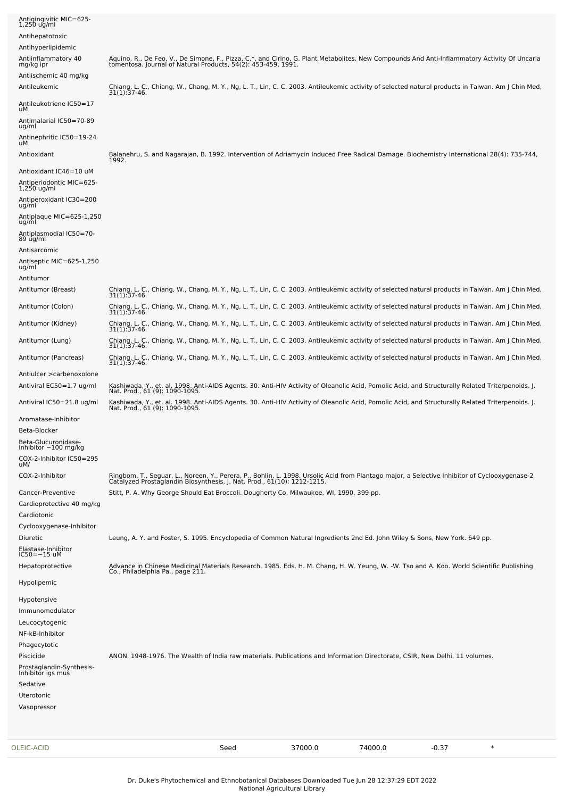| OLEIC-ACID                                             | Seed                                                                                                                                                                                                                     | 37000.0 | 74000.0 | $-0.37$ | $\ast$ |
|--------------------------------------------------------|--------------------------------------------------------------------------------------------------------------------------------------------------------------------------------------------------------------------------|---------|---------|---------|--------|
| Uterotonic<br>Vasopressor                              |                                                                                                                                                                                                                          |         |         |         |        |
| Sedative                                               |                                                                                                                                                                                                                          |         |         |         |        |
| Prostaglandin-Synthesis-<br>Inhibitor igs mus          |                                                                                                                                                                                                                          |         |         |         |        |
| Piscicide                                              | ANON. 1948-1976. The Wealth of India raw materials. Publications and Information Directorate, CSIR, New Delhi. 11 volumes.                                                                                               |         |         |         |        |
| Phagocytotic                                           |                                                                                                                                                                                                                          |         |         |         |        |
| Leucocytogenic<br>NF-kB-Inhibitor                      |                                                                                                                                                                                                                          |         |         |         |        |
| Immunomodulator                                        |                                                                                                                                                                                                                          |         |         |         |        |
| Hypotensive                                            |                                                                                                                                                                                                                          |         |         |         |        |
| Hypolipemic                                            |                                                                                                                                                                                                                          |         |         |         |        |
| Hepatoprotective                                       | Advance in Chinese Medicinal Materials Research. 1985. Eds. H. M. Chang, H. W. Yeung, W. -W. Tso and A. Koo. World Scientific Publishing<br>Co., Philadelphia Pa., page 211.                                             |         |         |         |        |
| Elastase-Inhibitor<br>$IC50 = -15$ uM                  |                                                                                                                                                                                                                          |         |         |         |        |
| <b>Diuretic</b>                                        | Leung, A. Y. and Foster, S. 1995. Encyclopedia of Common Natural Ingredients 2nd Ed. John Wiley & Sons, New York. 649 pp.                                                                                                |         |         |         |        |
| Cyclooxygenase-Inhibitor                               |                                                                                                                                                                                                                          |         |         |         |        |
| Cardiotonic                                            |                                                                                                                                                                                                                          |         |         |         |        |
| Cancer-Preventive<br>Cardioprotective 40 mg/kg         | Stitt, P. A. Why George Should Eat Broccoli. Dougherty Co, Milwaukee, WI, 1990, 399 pp.                                                                                                                                  |         |         |         |        |
|                                                        | Ringbom, T., Seguar, L., Noreen, Y., Perera, P., Bohlin, L. 1998. Ursolic Acid from Plantago major, a Selective Inhibitor of Cyclooxygenase-2<br>Catalyzed Prostaglandin Biosynthesis. J. Nat. Prod., 61(10): 1212-1215. |         |         |         |        |
| uM/<br>COX-2-Inhibitor                                 |                                                                                                                                                                                                                          |         |         |         |        |
| Inhibitor $\sim$ 100 mg/kg<br>COX-2-Inhibitor IC50=295 |                                                                                                                                                                                                                          |         |         |         |        |
| Beta-Glucuronidase-                                    |                                                                                                                                                                                                                          |         |         |         |        |
| Aromatase-Inhibitor<br>Beta-Blocker                    |                                                                                                                                                                                                                          |         |         |         |        |
| Antiviral IC50=21.8 ug/ml                              | Kashiwada, Y., et. al. 1998. Anti-AIDS Agents. 30. Anti-HIV Activity of Oleanolic Acid, Pomolic Acid, and Structurally Related Triterpenoids. J.<br>Nat. Prod., 61 (9): 1090-1095.                                       |         |         |         |        |
| Antiviral EC50=1.7 ug/ml                               | Nat. Prod., 61 (9): 1090-1095.                                                                                                                                                                                           |         |         |         |        |
| Antiulcer > carbenoxolone                              | Kashiwada, Y., et. al. 1998. Anti-AIDS Agents. 30. Anti-HIV Activity of Oleanolic Acid, Pomolic Acid, and Structurally Related Triterpenoids. J.                                                                         |         |         |         |        |
| Antitumor (Pancreas)                                   | Chiang, L. C., Chiang, W., Chang, M. Y., Ng, L. T., Lin, C. C. 2003. Antileukemic activity of selected natural products in Taiwan. Am J Chin Med,<br>$31(1):37-46.$                                                      |         |         |         |        |
| Antitumor (Lung)                                       | Chiang, L. C., Chiang, W., Chang, M. Y., Ng, L. T., Lin, C. C. 2003. Antileukemic activity of selected natural products in Taiwan. Am J Chin Med,<br>$31(1):37-46.$                                                      |         |         |         |        |
| Antitumor (Kidney)                                     | Chiang, L. C., Chiang, W., Chang, M. Y., Ng, L. T., Lin, C. C. 2003. Antileukemic activity of selected natural products in Taiwan. Am J Chin Med,<br>31(1):37-46.                                                        |         |         |         |        |
| Antitumor (Colon)                                      | Chiang, L. C., Chiang, W., Chang, M. Y., Ng, L. T., Lin, C. C. 2003. Antileukemic activity of selected natural products in Taiwan. Am J Chin Med,<br>31(1):37-46.                                                        |         |         |         |        |
| Antitumor (Breast)                                     | Chiang, L. C., Chiang, W., Chang, M. Y., Ng, L. T., Lin, C. C. 2003. Antileukemic activity of selected natural products in Taiwan. Am J Chin Med,<br>$31(1):37-46.$                                                      |         |         |         |        |
| Antitumor                                              |                                                                                                                                                                                                                          |         |         |         |        |
| Antiseptic MIC=625-1,250<br>ug/ml                      |                                                                                                                                                                                                                          |         |         |         |        |
| Antisarcomic                                           |                                                                                                                                                                                                                          |         |         |         |        |
| Antiplasmodial IC50=70-<br>89 ug/ml                    |                                                                                                                                                                                                                          |         |         |         |        |
| Antiplaque MIC=625-1,250<br>ug/ml                      |                                                                                                                                                                                                                          |         |         |         |        |
| Antiperoxidant IC30=200<br>ug/ml                       |                                                                                                                                                                                                                          |         |         |         |        |
| Antiperiodontic MIC=625-<br>1,250 ug/ml                |                                                                                                                                                                                                                          |         |         |         |        |
| Antioxidant IC46=10 uM                                 |                                                                                                                                                                                                                          |         |         |         |        |
| Antioxidant                                            | Balanehru, S. and Nagarajan, B. 1992. Intervention of Adriamycin Induced Free Radical Damage. Biochemistry International 28(4): 735-744,<br>1992.                                                                        |         |         |         |        |
| Antinephritic IC50=19-24<br>uМ                         |                                                                                                                                                                                                                          |         |         |         |        |
| Antimalarial IC50=70-89<br>ug/ml                       |                                                                                                                                                                                                                          |         |         |         |        |
| Antileukotriene IC50=17<br>uМ                          |                                                                                                                                                                                                                          |         |         |         |        |
| Antileukemic                                           | Chiang, L. C., Chiang, W., Chang, M. Y., Ng, L. T., Lin, C. C. 2003. Antileukemic activity of selected natural products in Taiwan. Am J Chin Med,<br>$31(1):37-46.$                                                      |         |         |         |        |
| Antiischemic 40 mg/kg                                  |                                                                                                                                                                                                                          |         |         |         |        |
| Antiinflammatory 40<br>mg/kg ipr                       | Aquino, R., De Feo, V., De Simone, F., Pizza, C.*, and Cirino, G. Plant Metabolites. New Compounds And Anti-Inflammatory Activity Of Uncaria<br>tomentosa. Journal of Natural Products, 54(2): 453-459, 1991.            |         |         |         |        |
| Antihyperlipidemic                                     |                                                                                                                                                                                                                          |         |         |         |        |
| Antihepatotoxic                                        |                                                                                                                                                                                                                          |         |         |         |        |
| Antigingivitic MIC=625-<br>$1,250$ ug/ml               |                                                                                                                                                                                                                          |         |         |         |        |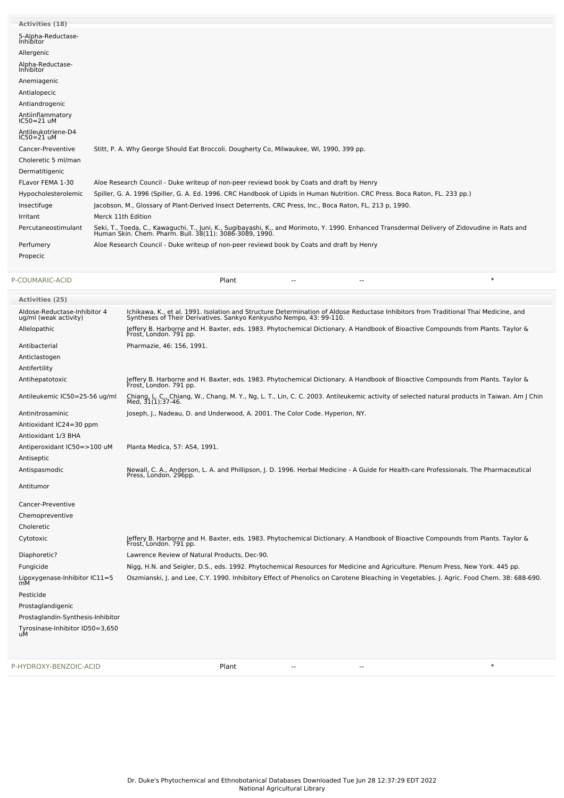| <b>Activities (18)</b>                 |                                                                                                                                                                                                          |
|----------------------------------------|----------------------------------------------------------------------------------------------------------------------------------------------------------------------------------------------------------|
| 5-Alpha-Reductase-<br><b>Inhibitor</b> |                                                                                                                                                                                                          |
| Allergenic                             |                                                                                                                                                                                                          |
| Alpha-Reductase-<br>Inhibitor          |                                                                                                                                                                                                          |
| Anemiagenic                            |                                                                                                                                                                                                          |
| Antialopecic                           |                                                                                                                                                                                                          |
| Antiandrogenic                         |                                                                                                                                                                                                          |
| Antiinflammatory<br>$IC50 = 21$ uM     |                                                                                                                                                                                                          |
| Antileukotriene-D4<br>$IC50=21$ uM     |                                                                                                                                                                                                          |
| Cancer-Preventive                      | Stitt, P. A. Why George Should Eat Broccoli. Dougherty Co, Milwaukee, WI, 1990, 399 pp.                                                                                                                  |
| Choleretic 5 ml/man                    |                                                                                                                                                                                                          |
| Dermatitigenic                         |                                                                                                                                                                                                          |
| FLavor FEMA 1-30                       | Aloe Research Council - Duke writeup of non-peer reviewd book by Coats and draft by Henry                                                                                                                |
| Hypocholesterolemic                    | Spiller, G. A. 1996 (Spiller, G. A. Ed. 1996. CRC Handbook of Lipids in Human Nutrition. CRC Press. Boca Raton, FL. 233 pp.)                                                                             |
| Insectifuge                            | Jacobson, M., Glossary of Plant-Derived Insect Deterrents, CRC Press, Inc., Boca Raton, FL, 213 p, 1990.                                                                                                 |
| Irritant                               | Merck 11th Edition                                                                                                                                                                                       |
| Percutaneostimulant                    | Seki, T., Toeda, C., Kawaguchi, T., Juni, K., Sugibayashi, K., and Morimoto, Y. 1990. Enhanced Transdermal Delivery of Zidovudine in Rats and<br>Human Skin. Chem. Pharm. Bull. 38(11): 3086-3089, 1990. |
| Perfumery                              | Aloe Research Council - Duke writeup of non-peer reviewd book by Coats and draft by Henry                                                                                                                |
| Propecic                               |                                                                                                                                                                                                          |
| P-COUMARIC-ACID                        | $\ast$<br>Plant<br>$\overline{\phantom{a}}$<br>--                                                                                                                                                        |

| <b>Activities (25)</b>                                |                                                                                                                                                                                                            |
|-------------------------------------------------------|------------------------------------------------------------------------------------------------------------------------------------------------------------------------------------------------------------|
| Aldose-Reductase-Inhibitor 4<br>ug/ml (weak activity) | Ichikawa, K., et al. 1991. Isolation and Structure Determination of Aldose Reductase Inhibitors from Traditional Thai Medicine, and<br>Syntheses of Their Derivatives. Sankyo Kenkyusho Nempo, 43: 99-110. |
| Allelopathic                                          | Jeffery B. Harborne and H. Baxter, eds. 1983. Phytochemical Dictionary. A Handbook of Bioactive Compounds from Plants. Taylor &<br>Frost, London. 791 pp.                                                  |
| Antibacterial                                         | Pharmazie, 46: 156, 1991.                                                                                                                                                                                  |
| Anticlastogen                                         |                                                                                                                                                                                                            |
| Antifertility                                         |                                                                                                                                                                                                            |
| Antihepatotoxic                                       | Jeffery B. Harborne and H. Baxter, eds. 1983. Phytochemical Dictionary. A Handbook of Bioactive Compounds from Plants. Taylor &<br>Frost, London. 791 pp.                                                  |
| Antileukemic IC50=25-56 ug/ml                         | Chiang, L. C., Chiang, W., Chang, M. Y., Ng, L. T., Lin, C. C. 2003. Antileukemic activity of selected natural products in Taiwan. Am J Chin<br>Med. 31(1):37-46.                                          |
| Antinitrosaminic                                      | Joseph, J., Nadeau, D. and Underwood, A. 2001. The Color Code. Hyperion, NY.                                                                                                                               |
| Antioxidant IC24=30 ppm                               |                                                                                                                                                                                                            |
| Antioxidant 1/3 BHA                                   |                                                                                                                                                                                                            |
| Antiperoxidant IC50=>100 uM                           | Planta Medica, 57: A54, 1991.                                                                                                                                                                              |
| Antiseptic                                            |                                                                                                                                                                                                            |
| Antispasmodic                                         | Newall, C. A., Anderson, L. A. and Phillipson, J. D. 1996. Herbal Medicine - A Guide for Health-care Professionals. The Pharmaceutical<br>Press, London. 296pp.                                            |
| Antitumor                                             |                                                                                                                                                                                                            |
| Cancer-Preventive                                     |                                                                                                                                                                                                            |
| Chemopreventive                                       |                                                                                                                                                                                                            |
| Choleretic                                            |                                                                                                                                                                                                            |
| Cytotoxic                                             | Jeffery B. Harborne and H. Baxter, eds. 1983. Phytochemical Dictionary. A Handbook of Bioactive Compounds from Plants. Taylor &<br>Frost, London. 791 pp.                                                  |
| Diaphoretic?                                          | Lawrence Review of Natural Products, Dec-90.                                                                                                                                                               |
| Fungicide                                             | Nigg, H.N. and Seigler, D.S., eds. 1992. Phytochemical Resources for Medicine and Agriculture. Plenum Press, New York. 445 pp.                                                                             |
| Lipoxygenase-Inhibitor IC11=5<br>mМ                   | Oszmianski, J. and Lee, C.Y. 1990. Inhibitory Effect of Phenolics on Carotene Bleaching in Vegetables. J. Agric. Food Chem. 38: 688-690.                                                                   |
| Pesticide                                             |                                                                                                                                                                                                            |
| Prostaglandigenic                                     |                                                                                                                                                                                                            |
| Prostaglandin-Synthesis-Inhibitor                     |                                                                                                                                                                                                            |
| Tyrosinase-Inhibitor ID50=3,650<br>uМ                 |                                                                                                                                                                                                            |
| P-HYDROXY-BENZOIC-ACID                                | $\ast$<br>Plant<br>۰.<br>--                                                                                                                                                                                |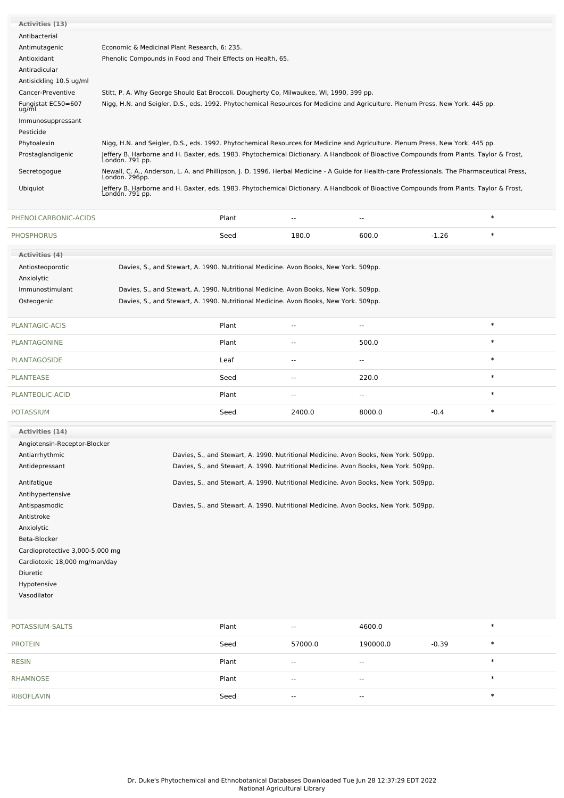| Economic & Medicinal Plant Research, 6: 235.                                                                                                                    |
|-----------------------------------------------------------------------------------------------------------------------------------------------------------------|
| Phenolic Compounds in Food and Their Effects on Health, 65.                                                                                                     |
|                                                                                                                                                                 |
|                                                                                                                                                                 |
| Stitt, P. A. Why George Should Eat Broccoli. Dougherty Co, Milwaukee, WI, 1990, 399 pp.                                                                         |
| Nigg, H.N. and Seigler, D.S., eds. 1992. Phytochemical Resources for Medicine and Agriculture. Plenum Press, New York. 445 pp.                                  |
|                                                                                                                                                                 |
|                                                                                                                                                                 |
| Nigg, H.N. and Seigler, D.S., eds. 1992. Phytochemical Resources for Medicine and Agriculture. Plenum Press, New York. 445 pp.                                  |
| Jeffery B. Harborne and H. Baxter, eds. 1983. Phytochemical Dictionary. A Handbook of Bioactive Compounds from Plants. Taylor & Frost,<br>London. 791 pp.       |
| Newall, C. A., Anderson, L. A. and Phillipson, J. D. 1996. Herbal Medicine - A Guide for Health-care Professionals. The Pharmaceutical Press,<br>London. 296pp. |
| Jeffery B. Harborne and H. Baxter, eds. 1983. Phytochemical Dictionary. A Handbook of Bioactive Compounds from Plants. Taylor & Frost,<br>Londón. 791 pp.       |
|                                                                                                                                                                 |

| PHENOLCARBONIC-ACIDS         |                                                                                      | Plant | --            | --                                                                                   |         | $\ast$ |
|------------------------------|--------------------------------------------------------------------------------------|-------|---------------|--------------------------------------------------------------------------------------|---------|--------|
| <b>PHOSPHORUS</b>            |                                                                                      | Seed  | 180.0         | 600.0                                                                                | $-1.26$ | $\ast$ |
| Activities (4)               |                                                                                      |       |               |                                                                                      |         |        |
| Antiosteoporotic             | Davies, S., and Stewart, A. 1990. Nutritional Medicine. Avon Books, New York. 509pp. |       |               |                                                                                      |         |        |
| Anxiolytic                   |                                                                                      |       |               |                                                                                      |         |        |
| Immunostimulant              | Davies, S., and Stewart, A. 1990. Nutritional Medicine. Avon Books, New York. 509pp. |       |               |                                                                                      |         |        |
| Osteogenic                   | Davies, S., and Stewart, A. 1990. Nutritional Medicine. Avon Books, New York. 509pp. |       |               |                                                                                      |         |        |
| PLANTAGIC-ACIS               |                                                                                      | Plant | --            | $\overline{\phantom{a}}$                                                             |         | $\ast$ |
| <b>PLANTAGONINE</b>          |                                                                                      | Plant | $\sim$        | 500.0                                                                                |         | $\ast$ |
| <b>PLANTAGOSIDE</b>          |                                                                                      | Leaf  | $\sim$ $\sim$ | $\overline{\phantom{a}}$                                                             |         | $\ast$ |
| <b>PLANTEASE</b>             |                                                                                      | Seed  | --            | 220.0                                                                                |         | $\ast$ |
| PLANTEOLIC-ACID              |                                                                                      | Plant | ۰.            | --                                                                                   |         | $\ast$ |
| <b>POTASSIUM</b>             |                                                                                      | Seed  | 2400.0        | 8000.0                                                                               | $-0.4$  | $\ast$ |
| Activities (14)              |                                                                                      |       |               |                                                                                      |         |        |
| Angiotensin-Receptor-Blocker |                                                                                      |       |               |                                                                                      |         |        |
| Antiarrhythmic               |                                                                                      |       |               | Davies, S., and Stewart, A. 1990. Nutritional Medicine. Avon Books, New York. 509pp. |         |        |
| Antidepressant               |                                                                                      |       |               | Davies, S., and Stewart, A. 1990. Nutritional Medicine. Avon Books, New York. 509pp. |         |        |
| Antifatigue                  |                                                                                      |       |               | Davies, S., and Stewart, A. 1990. Nutritional Medicine. Avon Books, New York. 509pp. |         |        |
| Antihypertensive             |                                                                                      |       |               |                                                                                      |         |        |
| Antispasmodic                |                                                                                      |       |               | Davies, S., and Stewart, A. 1990. Nutritional Medicine. Avon Books, New York. 509pp. |         |        |
| Antistroke                   |                                                                                      |       |               |                                                                                      |         |        |
| Anxiolytic                   |                                                                                      |       |               |                                                                                      |         |        |

Beta-Blocker Cardioprotective 3,000-5,000 mg Cardiotoxic 18,000 mg/man/day Diuretic

Hypotensive

Vasodilator

| POTASSIUM-SALTS | Plant | $\sim$  | 4600.0                   |         | $\ast$ |
|-----------------|-------|---------|--------------------------|---------|--------|
| <b>PROTEIN</b>  | Seed  | 57000.0 | 190000.0                 | $-0.39$ | $\ast$ |
| <b>RESIN</b>    | Plant | $\sim$  | $\overline{\phantom{a}}$ |         | $\ast$ |
| RHAMNOSE        | Plant | $\sim$  | $\sim$                   |         | $\ast$ |
| RIBOFLAVIN      | Seed  | $- -$   | $- -$                    |         | ∗      |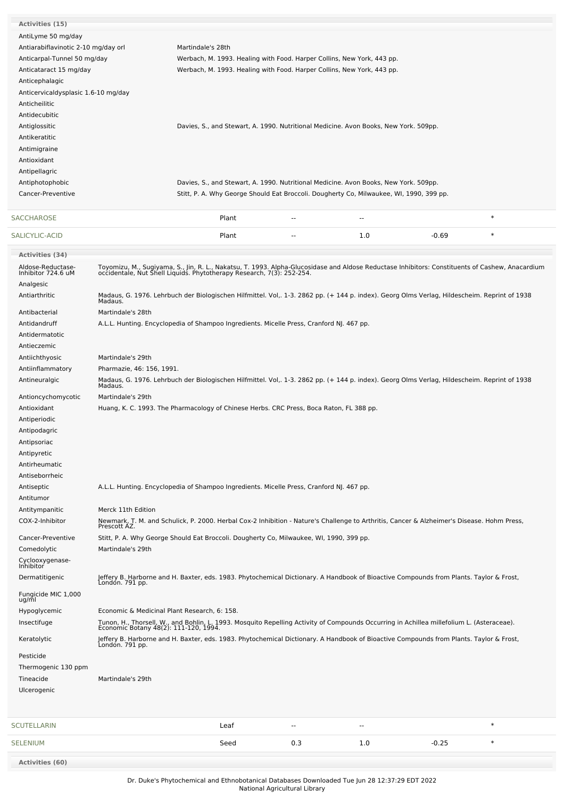| Activities (15)                         |                                              |                                                                                                                                                                                                                       |               |     |         |        |
|-----------------------------------------|----------------------------------------------|-----------------------------------------------------------------------------------------------------------------------------------------------------------------------------------------------------------------------|---------------|-----|---------|--------|
| AntiLyme 50 mg/day                      |                                              |                                                                                                                                                                                                                       |               |     |         |        |
| Antiarabiflavinotic 2-10 mg/day orl     |                                              | Martindale's 28th                                                                                                                                                                                                     |               |     |         |        |
|                                         |                                              |                                                                                                                                                                                                                       |               |     |         |        |
| Anticarpal-Tunnel 50 mg/day             |                                              | Werbach, M. 1993. Healing with Food. Harper Collins, New York, 443 pp.                                                                                                                                                |               |     |         |        |
| Anticataract 15 mg/day                  |                                              | Werbach, M. 1993. Healing with Food. Harper Collins, New York, 443 pp.                                                                                                                                                |               |     |         |        |
| Anticephalagic                          |                                              |                                                                                                                                                                                                                       |               |     |         |        |
| Anticervicaldysplasic 1.6-10 mg/day     |                                              |                                                                                                                                                                                                                       |               |     |         |        |
| Anticheilitic                           |                                              |                                                                                                                                                                                                                       |               |     |         |        |
| Antidecubitic                           |                                              |                                                                                                                                                                                                                       |               |     |         |        |
| Antiglossitic                           |                                              | Davies, S., and Stewart, A. 1990. Nutritional Medicine. Avon Books, New York. 509pp.                                                                                                                                  |               |     |         |        |
| Antikeratitic                           |                                              |                                                                                                                                                                                                                       |               |     |         |        |
| Antimigraine                            |                                              |                                                                                                                                                                                                                       |               |     |         |        |
| Antioxidant                             |                                              |                                                                                                                                                                                                                       |               |     |         |        |
| Antipellagric                           |                                              |                                                                                                                                                                                                                       |               |     |         |        |
| Antiphotophobic                         |                                              | Davies, S., and Stewart, A. 1990. Nutritional Medicine. Avon Books, New York. 509pp.                                                                                                                                  |               |     |         |        |
| Cancer-Preventive                       |                                              | Stitt, P. A. Why George Should Eat Broccoli. Dougherty Co, Milwaukee, WI, 1990, 399 pp.                                                                                                                               |               |     |         |        |
|                                         |                                              |                                                                                                                                                                                                                       |               |     |         | $\ast$ |
| SACCHAROSE                              |                                              | Plant                                                                                                                                                                                                                 | --            | --  |         |        |
| SALICYLIC-ACID                          |                                              | Plant                                                                                                                                                                                                                 | $\sim$        | 1.0 | $-0.69$ | $\ast$ |
| <b>Activities (34)</b>                  |                                              |                                                                                                                                                                                                                       |               |     |         |        |
| Aldose-Reductase-<br>Inhibitor 724.6 uM |                                              | Toyomizu, M., Sugiyama, S., Jin, R. L., Nakatsu, T. 1993. Alpha-Glucosidase and Aldose Reductase Inhibitors: Constituents of Cashew, Anacardium occidentale, Nut Shell Liquids. Phytotherapy Research, 7(3): 252-254. |               |     |         |        |
| Analgesic                               |                                              |                                                                                                                                                                                                                       |               |     |         |        |
| Antiarthritic                           |                                              |                                                                                                                                                                                                                       |               |     |         |        |
|                                         |                                              | Madaus, G. 1976. Lehrbuch der Biologischen Hilfmittel. Vol,. 1-3. 2862 pp. (+ 144 p. index). Georg Olms Verlag, Hildescheim. Reprint of 1938<br>Madaus.                                                               |               |     |         |        |
| Antibacterial                           | Martindale's 28th                            |                                                                                                                                                                                                                       |               |     |         |        |
| Antidandruff                            |                                              | A.L.L. Hunting. Encyclopedia of Shampoo Ingredients. Micelle Press, Cranford NJ. 467 pp.                                                                                                                              |               |     |         |        |
| Antidermatotic                          |                                              |                                                                                                                                                                                                                       |               |     |         |        |
| Antieczemic                             |                                              |                                                                                                                                                                                                                       |               |     |         |        |
| Antiichthyosic                          | Martindale's 29th                            |                                                                                                                                                                                                                       |               |     |         |        |
| Antiinflammatory                        | Pharmazie, 46: 156, 1991.                    |                                                                                                                                                                                                                       |               |     |         |        |
| Antineuralgic                           |                                              | Madaus, G. 1976. Lehrbuch der Biologischen Hilfmittel. Vol,. 1-3. 2862 pp. (+ 144 p. index). Georg Olms Verlag, Hildescheim. Reprint of 1938                                                                          |               |     |         |        |
|                                         | Madaus.                                      |                                                                                                                                                                                                                       |               |     |         |        |
| Antioncychomycotic                      | Martindale's 29th                            |                                                                                                                                                                                                                       |               |     |         |        |
| Antioxidant                             |                                              | Huang, K. C. 1993. The Pharmacology of Chinese Herbs. CRC Press, Boca Raton, FL 388 pp.                                                                                                                               |               |     |         |        |
| Antiperiodic                            |                                              |                                                                                                                                                                                                                       |               |     |         |        |
| Antipodagric                            |                                              |                                                                                                                                                                                                                       |               |     |         |        |
| Antipsoriac                             |                                              |                                                                                                                                                                                                                       |               |     |         |        |
| Antipyretic                             |                                              |                                                                                                                                                                                                                       |               |     |         |        |
| Antirheumatic                           |                                              |                                                                                                                                                                                                                       |               |     |         |        |
| Antiseborrheic                          |                                              |                                                                                                                                                                                                                       |               |     |         |        |
| Antiseptic                              |                                              | A.L.L. Hunting. Encyclopedia of Shampoo Ingredients. Micelle Press, Cranford NJ. 467 pp.                                                                                                                              |               |     |         |        |
| Antitumor                               |                                              |                                                                                                                                                                                                                       |               |     |         |        |
| Antitympanitic                          | Merck 11th Edition                           |                                                                                                                                                                                                                       |               |     |         |        |
| COX-2-Inhibitor                         | Prescott AZ.                                 | Newmark, T. M. and Schulick, P. 2000. Herbal Cox-2 Inhibition - Nature's Challenge to Arthritis, Cancer & Alzheimer's Disease. Hohm Press,                                                                            |               |     |         |        |
| Cancer-Preventive                       |                                              | Stitt, P. A. Why George Should Eat Broccoli. Dougherty Co, Milwaukee, WI, 1990, 399 pp.                                                                                                                               |               |     |         |        |
| Comedolytic                             | Martindale's 29th                            |                                                                                                                                                                                                                       |               |     |         |        |
|                                         |                                              |                                                                                                                                                                                                                       |               |     |         |        |
| Cyclooxygenase-<br>Inhibitor            |                                              |                                                                                                                                                                                                                       |               |     |         |        |
| Dermatitigenic                          | Londón. 791 pp.                              | Jeffery B. Harborne and H. Baxter, eds. 1983. Phytochemical Dictionary. A Handbook of Bioactive Compounds from Plants. Taylor & Frost,                                                                                |               |     |         |        |
| Fungicide MIC 1,000<br>ug/ml            |                                              |                                                                                                                                                                                                                       |               |     |         |        |
| Hypoglycemic                            | Economic & Medicinal Plant Research, 6: 158. |                                                                                                                                                                                                                       |               |     |         |        |
| Insectifuge                             |                                              | Tunon, H., Thorsell, W., and Bohlin, L. 1993. Mosquito Repelling Activity of Compounds Occurring in Achillea millefolium L. (Asteraceae).<br>Economic Botany 48(2): 111-120, 1994.                                    |               |     |         |        |
| Keratolytic                             |                                              | Jeffery B. Harborne and H. Baxter, eds. 1983. Phytochemical Dictionary. A Handbook of Bioactive Compounds from Plants. Taylor & Frost,<br>London. 791 pp.                                                             |               |     |         |        |
| Pesticide                               |                                              |                                                                                                                                                                                                                       |               |     |         |        |
|                                         |                                              |                                                                                                                                                                                                                       |               |     |         |        |
| Thermogenic 130 ppm                     |                                              |                                                                                                                                                                                                                       |               |     |         |        |
| Tineacide                               | Martindale's 29th                            |                                                                                                                                                                                                                       |               |     |         |        |
| Ulcerogenic                             |                                              |                                                                                                                                                                                                                       |               |     |         |        |
|                                         |                                              |                                                                                                                                                                                                                       |               |     |         |        |
| SCUTELLARIN                             |                                              | Leaf                                                                                                                                                                                                                  | $\sim$ $\sim$ | --  |         | $\ast$ |
| SELENIUM                                |                                              | Seed                                                                                                                                                                                                                  | 0.3           | 1.0 | $-0.25$ | $\ast$ |
|                                         |                                              |                                                                                                                                                                                                                       |               |     |         |        |

**Activities (60)**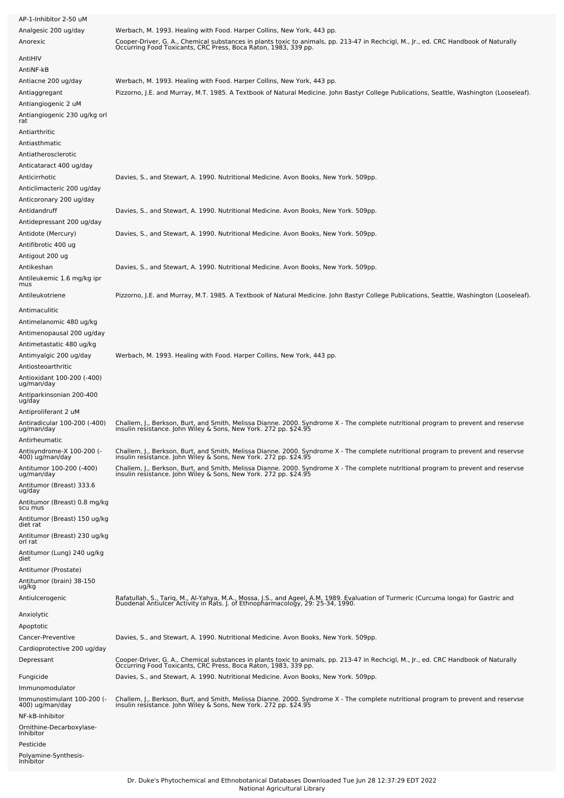| AP-1-Inhibitor 2-50 uM<br>Analgesic 200 ug/day<br>Anorexic                      | Werbach, M. 1993. Healing with Food. Harper Collins, New York, 443 pp.<br>Cooper-Driver, G. A., Chemical substances in plants toxic to animals, pp. 213-47 in Rechcigl, M., Jr., ed. CRC Handbook of Naturally<br>Occurring Food Toxicants, CRC Press, Boca Raton, 1983, 339 pp. |
|---------------------------------------------------------------------------------|----------------------------------------------------------------------------------------------------------------------------------------------------------------------------------------------------------------------------------------------------------------------------------|
| AntiHIV                                                                         |                                                                                                                                                                                                                                                                                  |
| AntiNF-kB                                                                       |                                                                                                                                                                                                                                                                                  |
| Antiacne 200 ug/day<br>Antiaggregant<br>Antiangiogenic 2 uM                     | Werbach, M. 1993. Healing with Food. Harper Collins, New York, 443 pp.<br>Pizzorno, J.E. and Murray, M.T. 1985. A Textbook of Natural Medicine. John Bastyr College Publications, Seattle, Washington (Looseleaf).                                                               |
| Antiangiogenic 230 ug/kg orl<br>rat                                             |                                                                                                                                                                                                                                                                                  |
| Antiarthritic                                                                   |                                                                                                                                                                                                                                                                                  |
| Antiasthmatic<br>Antiatherosclerotic                                            |                                                                                                                                                                                                                                                                                  |
| Anticataract 400 ug/day                                                         |                                                                                                                                                                                                                                                                                  |
| Anticirrhotic<br>Anticlimacteric 200 ug/day<br>Anticoronary 200 ug/day          | Davies, S., and Stewart, A. 1990. Nutritional Medicine. Avon Books, New York. 509pp.                                                                                                                                                                                             |
| Antidandruff                                                                    | Davies, S., and Stewart, A. 1990. Nutritional Medicine. Avon Books, New York. 509pp.                                                                                                                                                                                             |
| Antidepressant 200 ug/day<br>Antidote (Mercury)                                 | Davies, S., and Stewart, A. 1990. Nutritional Medicine. Avon Books, New York. 509pp.                                                                                                                                                                                             |
| Antifibrotic 400 ug<br>Antigout 200 ug                                          |                                                                                                                                                                                                                                                                                  |
| Antikeshan<br>Antileukemic 1.6 mg/kg ipr<br>mus                                 | Davies, S., and Stewart, A. 1990. Nutritional Medicine. Avon Books, New York. 509pp.                                                                                                                                                                                             |
| Antileukotriene                                                                 | Pizzorno, J.E. and Murray, M.T. 1985. A Textbook of Natural Medicine. John Bastyr College Publications, Seattle, Washington (Looseleaf).                                                                                                                                         |
| Antimaculitic<br>Antimelanomic 480 ug/kg                                        |                                                                                                                                                                                                                                                                                  |
| Antimenopausal 200 ug/day<br>Antimetastatic 480 ug/kg<br>Antimyalgic 200 ug/day | Werbach, M. 1993. Healing with Food. Harper Collins, New York, 443 pp.                                                                                                                                                                                                           |
| Antiosteoarthritic<br>Antioxidant 100-200 (-400)<br>ug/man/day                  |                                                                                                                                                                                                                                                                                  |
| Antiparkinsonian 200-400<br>ug/day                                              |                                                                                                                                                                                                                                                                                  |
| Antiproliferant 2 uM                                                            |                                                                                                                                                                                                                                                                                  |
| Antiradicular 100-200 (-400)<br>ug/man/day<br>Antirheumatic                     | Challem, J., Berkson, Burt, and Smith, Melissa Dianne. 2000. Syndrome X - The complete nutritional program to prevent and reservse<br>insulin resistance. John Wiley & Sons, New York. 272 pp. \$24.95                                                                           |
| -) Antisyndrome-X 100-200<br>400) ug/man/day                                    | Challem, J., Berkson, Burt, and Smith, Melissa Dianne. 2000. Syndrome X - The complete nutritional program to prevent and reservse<br>insulin resistance. John Wiley & Sons, New York. 272 pp. \$24.95                                                                           |
| Antitumor 100-200 (-400)                                                        | Challem, J., Berkson, Burt, and Smith, Melissa Dianne. 2000. Syndrome X - The complete nutritional program to prevent and reservse<br>insulin resistance. John Wiley & Sons, New York. 272 pp. \$24.95                                                                           |
| ug/man/day<br>Antitumor (Breast) 333.6<br>ug/day                                |                                                                                                                                                                                                                                                                                  |
| Antitumor (Breast) 0.8 mg/kg<br>scu mus                                         |                                                                                                                                                                                                                                                                                  |
| Antitumor (Breast) 150 ug/kg<br>diet rat                                        |                                                                                                                                                                                                                                                                                  |
| Antitumor (Breast) 230 ug/kg<br>orl rat                                         |                                                                                                                                                                                                                                                                                  |
| Antitumor (Lung) 240 ug/kg<br>diet                                              |                                                                                                                                                                                                                                                                                  |
| Antitumor (Prostate)                                                            |                                                                                                                                                                                                                                                                                  |
| Antitumor (brain) 38-150<br>ug/kg                                               |                                                                                                                                                                                                                                                                                  |
| Antiulcerogenic                                                                 | Rafatullah, S., Tariq, M., Al-Yahya, M.A., Mossa, J.S., and Ageel, A.M. 1989. Evaluation of Turmeric (Curcuma longa) for Gastric and<br>Duodenal Antiulcer Activity in Rats. J. of Ethnopharmacology, 29: 25-34, 1990.                                                           |
| Anxiolytic<br>Apoptotic                                                         |                                                                                                                                                                                                                                                                                  |
| Cancer-Preventive<br>Cardioprotective 200 ug/day                                | Davies, S., and Stewart, A. 1990. Nutritional Medicine. Avon Books, New York. 509pp.                                                                                                                                                                                             |
| Depressant                                                                      | Cooper-Driver, G. A., Chemical substances in plants toxic to animals, pp. 213-47 in Rechcigl, M., Jr., ed. CRC Handbook of Naturally<br>Occurring Food Toxicants, CRC Press, Boca Raton, 1983, 339 pp.                                                                           |
| Fungicide<br>Immunomodulator                                                    | Davies, S., and Stewart, A. 1990. Nutritional Medicine. Avon Books, New York. 509pp.                                                                                                                                                                                             |
| Immunostimulant 100-200 (-<br>400) ug/man/day<br>NF-kB-Inhibitor                | Challem, J., Berkson, Burt, and Smith, Melissa Dianne. 2000. Syndrome X - The complete nutritional program to prevent and reservse<br>insulin resistance. John Wiley & Sons, New York. 272 pp. \$24.95                                                                           |
| Ornithine-Decarboxylase-<br>Inhibitor                                           |                                                                                                                                                                                                                                                                                  |
| Pesticide<br>Polyamine-Synthesis-<br>Inhibitor                                  |                                                                                                                                                                                                                                                                                  |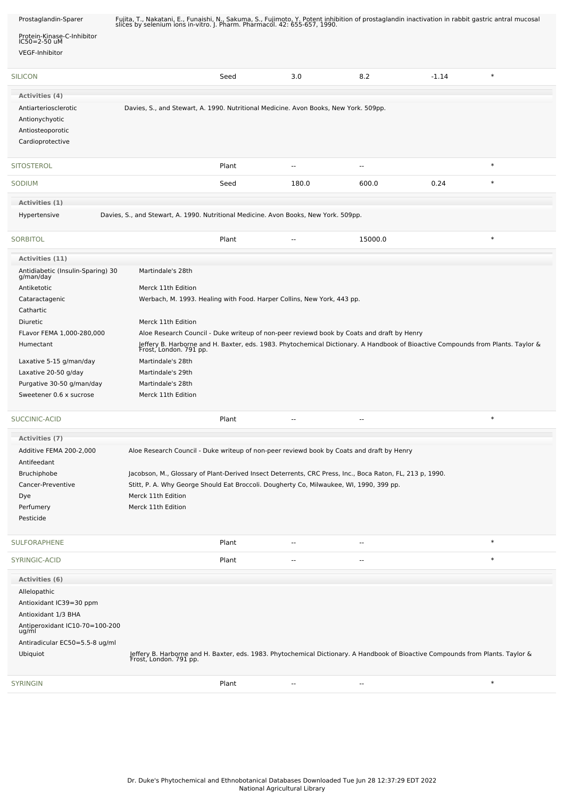| Prostaglandin-Sparer                           | Fujita, T., Nakatani, E., Funaishi, N., Sakuma, S., Fujimoto, Y. Potent inhibition of prostaglandin inactivation in rabbit gastric antral mucosal<br>slices by selenium ions in-vitro. J. Pharm. Pharmacol. 42: 655-657, 1990. |       |                          |                                                                                                                                                           |         |        |  |
|------------------------------------------------|--------------------------------------------------------------------------------------------------------------------------------------------------------------------------------------------------------------------------------|-------|--------------------------|-----------------------------------------------------------------------------------------------------------------------------------------------------------|---------|--------|--|
| Protein-Kinase-C-Inhibitor<br>IC50=2-50 uM     |                                                                                                                                                                                                                                |       |                          |                                                                                                                                                           |         |        |  |
| VEGF-Inhibitor                                 |                                                                                                                                                                                                                                |       |                          |                                                                                                                                                           |         |        |  |
|                                                |                                                                                                                                                                                                                                |       |                          |                                                                                                                                                           |         |        |  |
| <b>SILICON</b>                                 |                                                                                                                                                                                                                                | Seed  | 3.0                      | 8.2                                                                                                                                                       | $-1.14$ | $\ast$ |  |
| Activities (4)                                 |                                                                                                                                                                                                                                |       |                          |                                                                                                                                                           |         |        |  |
| Antiarteriosclerotic                           | Davies, S., and Stewart, A. 1990. Nutritional Medicine. Avon Books, New York. 509pp.                                                                                                                                           |       |                          |                                                                                                                                                           |         |        |  |
| Antionychyotic                                 |                                                                                                                                                                                                                                |       |                          |                                                                                                                                                           |         |        |  |
| Antiosteoporotic                               |                                                                                                                                                                                                                                |       |                          |                                                                                                                                                           |         |        |  |
| Cardioprotective                               |                                                                                                                                                                                                                                |       |                          |                                                                                                                                                           |         |        |  |
| <b>SITOSTEROL</b>                              |                                                                                                                                                                                                                                | Plant | $\sim$                   | $\overline{\phantom{a}}$                                                                                                                                  |         | $\ast$ |  |
| SODIUM                                         |                                                                                                                                                                                                                                | Seed  | 180.0                    | 600.0                                                                                                                                                     | 0.24    | $\ast$ |  |
| Activities (1)                                 |                                                                                                                                                                                                                                |       |                          |                                                                                                                                                           |         |        |  |
| Hypertensive                                   | Davies, S., and Stewart, A. 1990. Nutritional Medicine. Avon Books, New York. 509pp.                                                                                                                                           |       |                          |                                                                                                                                                           |         |        |  |
|                                                |                                                                                                                                                                                                                                |       |                          |                                                                                                                                                           |         |        |  |
| <b>SORBITOL</b>                                |                                                                                                                                                                                                                                | Plant |                          | 15000.0                                                                                                                                                   |         | $\ast$ |  |
| Activities (11)                                |                                                                                                                                                                                                                                |       |                          |                                                                                                                                                           |         |        |  |
| Antidiabetic (Insulin-Sparing) 30<br>g/man/day | Martindale's 28th                                                                                                                                                                                                              |       |                          |                                                                                                                                                           |         |        |  |
| Antiketotic                                    | Merck 11th Edition                                                                                                                                                                                                             |       |                          |                                                                                                                                                           |         |        |  |
| Cataractagenic                                 | Werbach, M. 1993. Healing with Food. Harper Collins, New York, 443 pp.                                                                                                                                                         |       |                          |                                                                                                                                                           |         |        |  |
| Cathartic                                      |                                                                                                                                                                                                                                |       |                          |                                                                                                                                                           |         |        |  |
| Diuretic                                       | Merck 11th Edition                                                                                                                                                                                                             |       |                          |                                                                                                                                                           |         |        |  |
| FLavor FEMA 1,000-280,000                      |                                                                                                                                                                                                                                |       |                          | Aloe Research Council - Duke writeup of non-peer reviewd book by Coats and draft by Henry                                                                 |         |        |  |
| Humectant                                      |                                                                                                                                                                                                                                |       |                          | Jeffery B. Harborne and H. Baxter, eds. 1983. Phytochemical Dictionary. A Handbook of Bioactive Compounds from Plants. Taylor &<br>Frost, London. 791 pp. |         |        |  |
| Laxative 5-15 g/man/day                        | Martindale's 28th                                                                                                                                                                                                              |       |                          |                                                                                                                                                           |         |        |  |
| Laxative 20-50 g/day                           | Martindale's 29th                                                                                                                                                                                                              |       |                          |                                                                                                                                                           |         |        |  |
| Purgative 30-50 g/man/day                      | Martindale's 28th                                                                                                                                                                                                              |       |                          |                                                                                                                                                           |         |        |  |
| Sweetener 0.6 x sucrose                        | Merck 11th Edition                                                                                                                                                                                                             |       |                          |                                                                                                                                                           |         |        |  |
| SUCCINIC-ACID                                  |                                                                                                                                                                                                                                | Plant | $\overline{\phantom{a}}$ | --                                                                                                                                                        |         | $\ast$ |  |
| Activities (7)                                 |                                                                                                                                                                                                                                |       |                          |                                                                                                                                                           |         |        |  |
| Additive FEMA 200-2,000                        | Aloe Research Council - Duke writeup of non-peer reviewd book by Coats and draft by Henry                                                                                                                                      |       |                          |                                                                                                                                                           |         |        |  |
| Antifeedant                                    |                                                                                                                                                                                                                                |       |                          |                                                                                                                                                           |         |        |  |
| Bruchiphobe                                    | Jacobson, M., Glossary of Plant-Derived Insect Deterrents, CRC Press, Inc., Boca Raton, FL, 213 p, 1990.                                                                                                                       |       |                          |                                                                                                                                                           |         |        |  |
| Cancer-Preventive                              | Stitt, P. A. Why George Should Eat Broccoli. Dougherty Co, Milwaukee, WI, 1990, 399 pp.                                                                                                                                        |       |                          |                                                                                                                                                           |         |        |  |
| Dye                                            | Merck 11th Edition                                                                                                                                                                                                             |       |                          |                                                                                                                                                           |         |        |  |
| Perfumery<br>Pesticide                         | Merck 11th Edition                                                                                                                                                                                                             |       |                          |                                                                                                                                                           |         |        |  |
|                                                |                                                                                                                                                                                                                                |       |                          |                                                                                                                                                           |         |        |  |
| SULFORAPHENE                                   |                                                                                                                                                                                                                                | Plant | --                       | --                                                                                                                                                        |         | $\ast$ |  |
| SYRINGIC-ACID                                  |                                                                                                                                                                                                                                | Plant | --                       |                                                                                                                                                           |         | $\ast$ |  |
| <b>Activities (6)</b>                          |                                                                                                                                                                                                                                |       |                          |                                                                                                                                                           |         |        |  |
| Allelopathic                                   |                                                                                                                                                                                                                                |       |                          |                                                                                                                                                           |         |        |  |
| Antioxidant IC39=30 ppm                        |                                                                                                                                                                                                                                |       |                          |                                                                                                                                                           |         |        |  |
| Antioxidant 1/3 BHA                            |                                                                                                                                                                                                                                |       |                          |                                                                                                                                                           |         |        |  |
| Antiperoxidant IC10-70=100-200<br>ug/ml        |                                                                                                                                                                                                                                |       |                          |                                                                                                                                                           |         |        |  |
| Antiradicular EC50=5.5-8 ug/ml                 |                                                                                                                                                                                                                                |       |                          |                                                                                                                                                           |         |        |  |
| Ubiquiot                                       | Jeffery B. Harborne and H. Baxter, eds. 1983. Phytochemical Dictionary. A Handbook of Bioactive Compounds from Plants. Taylor &<br>Frost, London. 791 pp.                                                                      |       |                          |                                                                                                                                                           |         |        |  |
|                                                |                                                                                                                                                                                                                                |       |                          |                                                                                                                                                           |         | $\ast$ |  |
| <b>SYRINGIN</b>                                |                                                                                                                                                                                                                                | Plant |                          | --                                                                                                                                                        |         |        |  |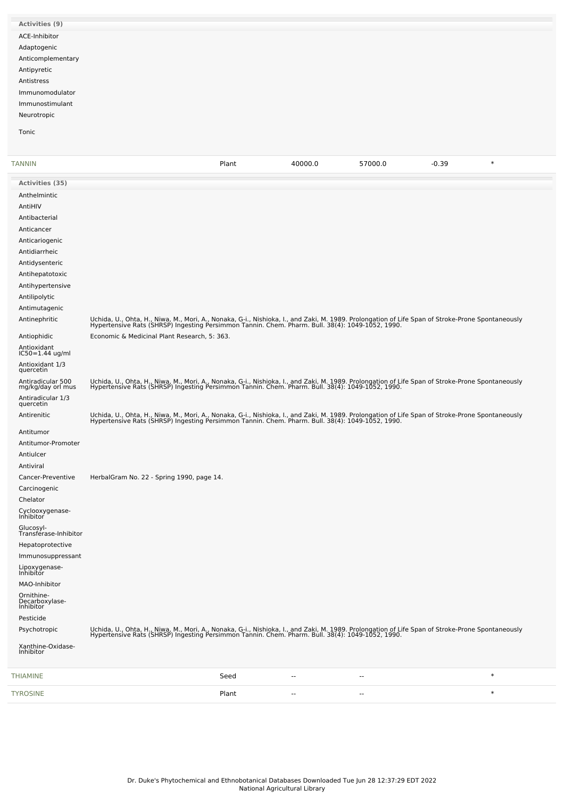| Activities (9)    |  |
|-------------------|--|
| ACE-Inhibitor     |  |
| Adaptogenic       |  |
| Anticomplementary |  |
| Antipyretic       |  |
| Antistress        |  |
| Immunomodulator   |  |
| Immunostimulant   |  |
| Neurotropic       |  |
| Tonic             |  |

| TANNIN                                        |                                                                                                                                                                                                                                   | Plant | 40000.0                  | 57000.0                  | $-0.39$ | $\ast$ |
|-----------------------------------------------|-----------------------------------------------------------------------------------------------------------------------------------------------------------------------------------------------------------------------------------|-------|--------------------------|--------------------------|---------|--------|
| <b>Activities (35)</b>                        |                                                                                                                                                                                                                                   |       |                          |                          |         |        |
| Anthelmintic                                  |                                                                                                                                                                                                                                   |       |                          |                          |         |        |
| AntiHIV                                       |                                                                                                                                                                                                                                   |       |                          |                          |         |        |
| Antibacterial                                 |                                                                                                                                                                                                                                   |       |                          |                          |         |        |
| Anticancer                                    |                                                                                                                                                                                                                                   |       |                          |                          |         |        |
| Anticariogenic                                |                                                                                                                                                                                                                                   |       |                          |                          |         |        |
| Antidiarrheic                                 |                                                                                                                                                                                                                                   |       |                          |                          |         |        |
| Antidysenteric                                |                                                                                                                                                                                                                                   |       |                          |                          |         |        |
| Antihepatotoxic                               |                                                                                                                                                                                                                                   |       |                          |                          |         |        |
| Antihypertensive                              |                                                                                                                                                                                                                                   |       |                          |                          |         |        |
| Antilipolytic                                 |                                                                                                                                                                                                                                   |       |                          |                          |         |        |
| Antimutagenic                                 |                                                                                                                                                                                                                                   |       |                          |                          |         |        |
| Antinephritic                                 | Uchida, U., Ohta, H., Niwa, M., Mori, A., Nonaka, G-i., Nishioka, I., and Zaki, M. 1989. Prolongation of Life Span of Stroke-Prone Spontaneously<br>Hypertensive Rats (SHRSP) Ingesting Persimmon Tannin. Chem. Pharm. Bull. 38(4 |       |                          |                          |         |        |
| Antiophidic                                   | Economic & Medicinal Plant Research, 5: 363.                                                                                                                                                                                      |       |                          |                          |         |        |
| Antioxidant<br>IC50=1.44 ug/ml                |                                                                                                                                                                                                                                   |       |                          |                          |         |        |
| Antioxidant 1/3<br>quercetin                  |                                                                                                                                                                                                                                   |       |                          |                          |         |        |
| Antiradicular 500<br>mg/kg/day orl mus        | Uchida, U., Ohta, H., Niwa, M., Mori, A., Nonaka, G-i., Nishioka, I., and Zaki, M. 1989. Prolongation of Life Span of Stroke-Prone Spontaneously<br>Hypertensive Rats (SHRSP) Ingesting Persimmon Tannin. Chem. Pharm. Bull. 38(4 |       |                          |                          |         |        |
| Antiradicular 1/3<br>quercetin                |                                                                                                                                                                                                                                   |       |                          |                          |         |        |
| Antirenitic                                   | Uchida, U., Ohta, H., Niwa, M., Mori, A., Nonaka, G-i., Nishioka, I., and Zaki, M. 1989. Prolongation of Life Span of Stroke-Prone Spontaneously<br>Hypertensive Rats (SHRSP) Ingesting Persimmon Tannin. Chem. Pharm. Bull. 38(4 |       |                          |                          |         |        |
| Antitumor                                     |                                                                                                                                                                                                                                   |       |                          |                          |         |        |
| Antitumor-Promoter                            |                                                                                                                                                                                                                                   |       |                          |                          |         |        |
| Antiulcer                                     |                                                                                                                                                                                                                                   |       |                          |                          |         |        |
| Antiviral                                     |                                                                                                                                                                                                                                   |       |                          |                          |         |        |
| Cancer-Preventive                             | HerbalGram No. 22 - Spring 1990, page 14.                                                                                                                                                                                         |       |                          |                          |         |        |
| Carcinogenic                                  |                                                                                                                                                                                                                                   |       |                          |                          |         |        |
| Chelator                                      |                                                                                                                                                                                                                                   |       |                          |                          |         |        |
| Cyclooxygenase-<br>Inhibitor                  |                                                                                                                                                                                                                                   |       |                          |                          |         |        |
| Glucosyl-<br>Transférase-Inhibitor            |                                                                                                                                                                                                                                   |       |                          |                          |         |        |
| Hepatoprotective                              |                                                                                                                                                                                                                                   |       |                          |                          |         |        |
| Immunosuppressant<br>Lipoxygenase-            |                                                                                                                                                                                                                                   |       |                          |                          |         |        |
| Inhibitor                                     |                                                                                                                                                                                                                                   |       |                          |                          |         |        |
| MAO-Inhibitor<br>Ornithine-<br>Decarboxylase- |                                                                                                                                                                                                                                   |       |                          |                          |         |        |
| Inhibitor                                     |                                                                                                                                                                                                                                   |       |                          |                          |         |        |
| Pesticide                                     |                                                                                                                                                                                                                                   |       |                          |                          |         |        |
| Psychotropic                                  | Uchida, U., Ohta, H., Niwa, M., Mori, A., Nonaka, G-i., Nishioka, I., and Zaki, M. 1989. Prolongation of Life Span of Stroke-Prone Spontaneously<br>Hypertensive Rats (SHRSP) Ingesting Persimmon Tannin. Chem. Pharm. Bull. 38(4 |       |                          |                          |         |        |
| Xanthine-Oxidase-<br>Inhibitor                |                                                                                                                                                                                                                                   |       |                          |                          |         |        |
| THIAMINE                                      |                                                                                                                                                                                                                                   | Seed  | --                       | $-$                      |         | $\ast$ |
| TYROSINE                                      |                                                                                                                                                                                                                                   | Plant | $\overline{\phantom{m}}$ | $\overline{\phantom{m}}$ |         | $\ast$ |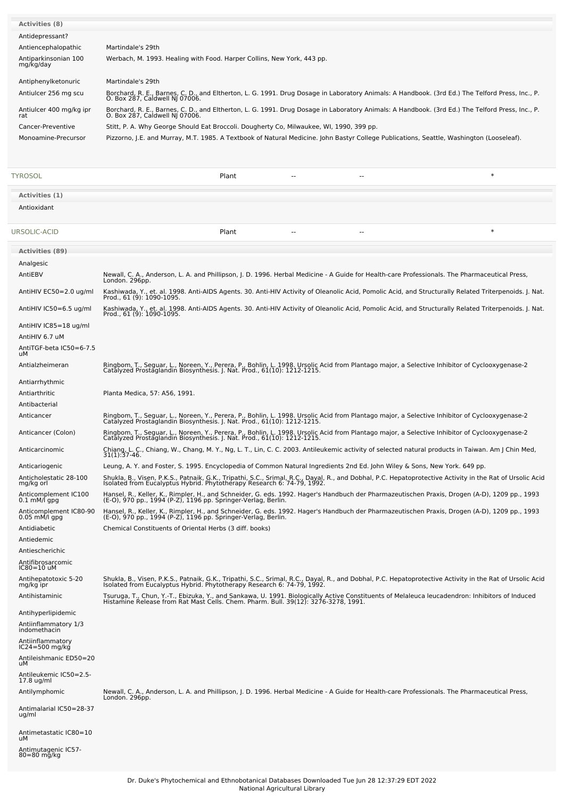| <b>Activities (8)</b>                    |                                                                                                                                                                                                                                     |
|------------------------------------------|-------------------------------------------------------------------------------------------------------------------------------------------------------------------------------------------------------------------------------------|
| Antidepressant?                          |                                                                                                                                                                                                                                     |
| Antiencephalopathic                      | Martindale's 29th                                                                                                                                                                                                                   |
| Antiparkinsonian 100<br>mg/kg/day        | Werbach, M. 1993. Healing with Food. Harper Collins, New York, 443 pp.                                                                                                                                                              |
|                                          |                                                                                                                                                                                                                                     |
| Antiphenylketonuric                      | Martindale's 29th                                                                                                                                                                                                                   |
| Antiulcer 256 mg scu                     | Borchard, R. E., Barnes, C. D., and Eltherton, L. G. 1991. Drug Dosage in Laboratory Animals: A Handbook. (3rd Ed.) The Telford Press, Inc., P.<br>O. Box 287, Caldwell NJ 07006.                                                   |
| Antiulcer 400 mg/kg ipr                  | Borchard, R. E., Barnes, C. D., and Eltherton, L. G. 1991. Drug Dosage in Laboratory Animals: A Handbook. (3rd Ed.) The Telford Press, Inc., P.                                                                                     |
| rat                                      | O. Box 287, Caldwell NJ 07006.                                                                                                                                                                                                      |
| Cancer-Preventive<br>Monoamine-Precursor | Stitt, P. A. Why George Should Eat Broccoli. Dougherty Co, Milwaukee, WI, 1990, 399 pp.<br>Pizzorno, J.E. and Murray, M.T. 1985. A Textbook of Natural Medicine. John Bastyr College Publications, Seattle, Washington (Looseleaf). |
|                                          |                                                                                                                                                                                                                                     |
|                                          |                                                                                                                                                                                                                                     |
|                                          | $\ast$                                                                                                                                                                                                                              |
| TYROSOL                                  | Plant<br>$\sim$ $\sim$<br>$\sim$                                                                                                                                                                                                    |
| Activities (1)                           |                                                                                                                                                                                                                                     |
| Antioxidant                              |                                                                                                                                                                                                                                     |
|                                          |                                                                                                                                                                                                                                     |
| URSOLIC-ACID                             | $\ast$<br>Plant                                                                                                                                                                                                                     |
|                                          |                                                                                                                                                                                                                                     |
| <b>Activities (89)</b>                   |                                                                                                                                                                                                                                     |
| Analgesic                                |                                                                                                                                                                                                                                     |
| AntiEBV                                  | Newall, C. A., Anderson, L. A. and Phillipson, J. D. 1996. Herbal Medicine - A Guide for Health-care Professionals. The Pharmaceutical Press,<br>London. 296pp.                                                                     |
| AntiHIV EC50=2.0 ug/ml                   | Kashiwada, Y., et. al. 1998. Anti-AIDS Agents. 30. Anti-HIV Activity of Oleanolic Acid, Pomolic Acid, and Structurally Related Triterpenoids. J. Nat.                                                                               |
|                                          | Prod., 61 (9): 1090-1095.                                                                                                                                                                                                           |
| AntiHIV IC50=6.5 ug/ml                   | Kashiwada, Y., et. al. 1998. Anti-AIDS Agents. 30. Anti-HIV Activity of Oleanolic Acid, Pomolic Acid, and Structurally Related Triterpenoids. J. Nat.<br>Prod., 61 (9): 1090-1095.                                                  |
| AntiHIV IC85=18 ug/ml                    |                                                                                                                                                                                                                                     |
| AntiHIV 6.7 uM                           |                                                                                                                                                                                                                                     |
| AntiTGF-beta IC50=6-7.5<br>uМ            |                                                                                                                                                                                                                                     |
| Antialzheimeran                          |                                                                                                                                                                                                                                     |
|                                          | Ringbom, T., Seguar, L., Noreen, Y., Perera, P., Bohlin, L. 1998. Ursolic Acid from Plantago major, a Selective Inhibitor of Cyclooxygenase-2<br>Catalyzed Prostaglandin Biosynthesis. J. Nat. Prod., 61(10): 1212-1215.            |
| Antiarrhythmic                           |                                                                                                                                                                                                                                     |
| Antiarthritic                            | Planta Medica, 57: A56, 1991.                                                                                                                                                                                                       |
| Antibacterial                            |                                                                                                                                                                                                                                     |
| Anticancer                               | Ringbom, T., Seguar, L., Noreen, Y., Perera, P., Bohlin, L. 1998. Ursolic Acid from Plantago major, a Selective Inhibitor of Cyclooxygenase-2<br>Catalyzed Prostaglandin Biosynthesis. J. Nat. Prod., 61(10): 1212-1215.            |
| Anticancer (Colon)                       | Ringbom, T., Seguar, L., Noreen, Y., Perera, P., Bohlin, L. 1998. Ursolic Acid from Plantago major, a Selective Inhibitor of Cyclooxygenase-2<br>Catalyzed Prostaglandin Biosynthesis. J. Nat. Prod., 61(10): 1212-1215             |
| Anticarcinomic                           | Chiang, L. C., Chiang, W., Chang, M. Y., Ng, L. T., Lin, C. C. 2003. Antileukemic activity of selected natural products in Taiwan. Am J Chin Med,<br>31(1):37-46.                                                                   |
|                                          |                                                                                                                                                                                                                                     |
| Anticariogenic                           | Leung, A. Y. and Foster, S. 1995. Encyclopedia of Common Natural Ingredients 2nd Ed. John Wiley & Sons, New York. 649 pp.                                                                                                           |
| Anticholestatic 28-100<br>mg/kg orl      | Shukla, B., Visen, P.K.S., Patnaik, G.K., Tripathi, S.C., Srimal, R.C., Dayal, R., and Dobhal, P.C. Hepatoprotective Activity in the Rat of Ursolic Acid<br>Isolated from Eucalyptus Hybrid. Phytotherapy Research 6: 74-79, 1992   |
| Anticomplement IC100<br>0.1 mM/l gpg     | Hansel, R., Keller, K., Rimpler, H., and Schneider, G. eds. 1992. Hager's Handbuch der Pharmazeutischen Praxis, Drogen (A-D), 1209 pp., 1993<br>(E-O), 970 pp., 1994 (P-Z), 1196 pp. Springer-Verlag, Berlin.                       |
| Anticomplement IC80-90                   |                                                                                                                                                                                                                                     |
| $0.05$ mM/l gpg                          | Hansel, R., Keller, K., Rimpler, H., and Schneider, G. eds. 1992. Hager's Handbuch der Pharmazeutischen Praxis, Drogen (A-D), 1209 pp., 1993<br>(E-O), 970 pp., 1994 (P-Z), 1196 pp. Springer-Verlag, Berlin.                       |
| Antidiabetic                             | Chemical Constituents of Oriental Herbs (3 diff. books)                                                                                                                                                                             |
| Antiedemic                               |                                                                                                                                                                                                                                     |
| Antiescherichic                          |                                                                                                                                                                                                                                     |
| Antifibrosarcomic<br>IC80=10 uM          |                                                                                                                                                                                                                                     |
| Antihepatotoxic 5-20                     | Shukla, B., Visen, P.K.S., Patnaik, G.K., Tripathi, S.C., Srimal, R.C., Dayal, R., and Dobhal, P.C. Hepatoprotective Activity in the Rat of Ursolic Acid<br>Isolated from Eucalyptus Hybrid. Phytotherapy Research 6: 74-79, 1992   |
| mg/kg ipr<br>Antihistaminic              |                                                                                                                                                                                                                                     |
|                                          | Tsuruga, T., Chun, Y.-T., Ebizuka, Y., and Sankawa, U. 1991. Biologically Active Constituents of Melaleuca leucadendron: Inhibitors of Induced<br>Histamine Release from Rat Mast Cells. Chem. Pharm. Bull. 39(12): 3276-3278, 19   |
| Antihyperlipidemic                       |                                                                                                                                                                                                                                     |
| Antiinflammatory 1/3<br>indomethacin     |                                                                                                                                                                                                                                     |
| Antiinflammatory                         |                                                                                                                                                                                                                                     |
| IC24=500 mg/kg                           |                                                                                                                                                                                                                                     |
| Antileishmanic ED50=20<br>uМ             |                                                                                                                                                                                                                                     |
| Antileukemic IC50=2.5-                   |                                                                                                                                                                                                                                     |
| 17.8 ug/ml<br>Antilymphomic              | Newall, C. A., Anderson, L. A. and Phillipson, J. D. 1996. Herbal Medicine - A Guide for Health-care Professionals. The Pharmaceutical Press,                                                                                       |
|                                          | London. 296pp.                                                                                                                                                                                                                      |
| Antimalarial IC50=28-37<br>ug/ml         |                                                                                                                                                                                                                                     |
|                                          |                                                                                                                                                                                                                                     |
| Antimetastatic IC80=10<br>uМ             |                                                                                                                                                                                                                                     |
| Antimutagenic IC57-                      |                                                                                                                                                                                                                                     |
| 80=80 mg/kg                              |                                                                                                                                                                                                                                     |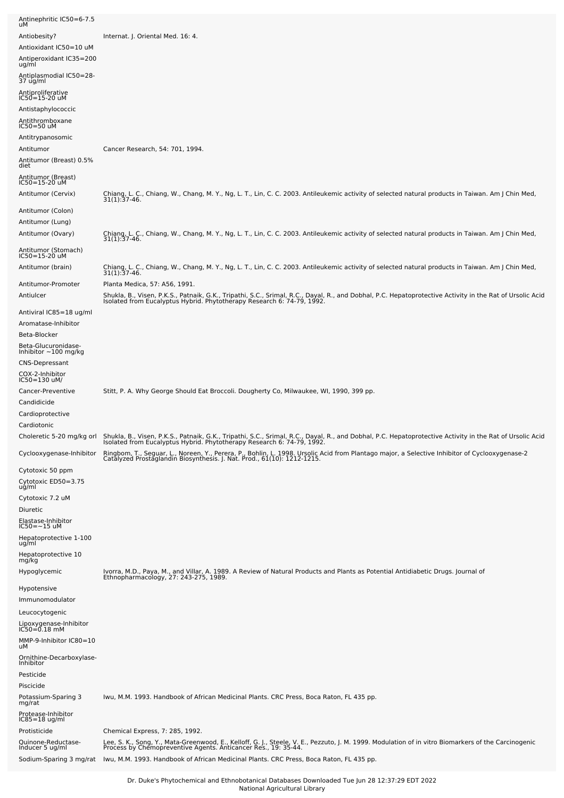| Antinephritic IC50=6-7.5<br>uМ                                                                                |                                                                                                                                                                                                                                                                                                                  |
|---------------------------------------------------------------------------------------------------------------|------------------------------------------------------------------------------------------------------------------------------------------------------------------------------------------------------------------------------------------------------------------------------------------------------------------|
| Antiobesity?<br>Antioxidant IC50=10 uM<br>Antiperoxidant IC35=200<br>ug/ml                                    | Internat. J. Oriental Med. 16: 4.                                                                                                                                                                                                                                                                                |
| Antiplasmodial IC50=28-<br>37 ug/ml                                                                           |                                                                                                                                                                                                                                                                                                                  |
| Antiproliferative<br>IC50=15-20 uM<br>Antistaphylococcic<br>Antithromboxane<br>IC50=50 uM<br>Antitrypanosomic |                                                                                                                                                                                                                                                                                                                  |
| Antitumor<br>Antitumor (Breast) 0.5%<br>diet                                                                  | Cancer Research, 54: 701, 1994.                                                                                                                                                                                                                                                                                  |
| Antitumor (Breast)<br>IC50=15-20 uM                                                                           |                                                                                                                                                                                                                                                                                                                  |
| Antitumor (Cervix)                                                                                            | Chiang, L. C., Chiang, W., Chang, M. Y., Ng, L. T., Lin, C. C. 2003. Antileukemic activity of selected natural products in Taiwan. Am J Chin Med, 31(1):37-46.                                                                                                                                                   |
| Antitumor (Colon)<br>Antitumor (Lung)<br>Antitumor (Ovary)                                                    | Chiang, L. C., Chiang, W., Chang, M. Y., Ng, L. T., Lin, C. C. 2003. Antileukemic activity of selected natural products in Taiwan. Am J Chin Med,                                                                                                                                                                |
| Antitumor (Stomach)<br>IC50=15-20 uM                                                                          | $31(1)$ : 37-46.                                                                                                                                                                                                                                                                                                 |
| Antitumor (brain)                                                                                             | Chiang, L. C., Chiang, W., Chang, M. Y., Ng, L. T., Lin, C. C. 2003. Antileukemic activity of selected natural products in Taiwan. Am J Chin Med,<br>31(1):37-46.                                                                                                                                                |
| Antitumor-Promoter<br>Antiulcer                                                                               | Planta Medica, 57: A56, 1991.<br>Shukla, B., Visen, P.K.S., Patnaik, G.K., Tripathi, S.C., Srimal, R.C., Dayal, R., and Dobhal, P.C. Hepatoprotective Activity in the Rat of Ursolic Acid<br>Isolated from Eucalyptus Hybrid. Phytotherapy Research 6: 74-79, 1992.                                              |
| Antiviral IC85=18 ug/ml                                                                                       |                                                                                                                                                                                                                                                                                                                  |
| Aromatase-Inhibitor<br>Beta-Blocker                                                                           |                                                                                                                                                                                                                                                                                                                  |
| Beta-Glucuronidase-<br>Inhibitor $\sim$ 100 mg/kg                                                             |                                                                                                                                                                                                                                                                                                                  |
| <b>CNS-Depressant</b><br>COX-2-Inhibitor<br>IC50=130 uM/                                                      |                                                                                                                                                                                                                                                                                                                  |
| Cancer-Preventive<br>Candidicide                                                                              | Stitt, P. A. Why George Should Eat Broccoli. Dougherty Co, Milwaukee, WI, 1990, 399 pp.                                                                                                                                                                                                                          |
| Cardioprotective<br>Cardiotonic                                                                               |                                                                                                                                                                                                                                                                                                                  |
|                                                                                                               | Choleretic 5-20 mg/kg orl Shukla, B., Visen, P.K.S., Patnaik, G.K., Tripathi, S.C., Srimal, R.C., Dayal, R., and Dobhal, P.C. Hepatoprotective Activity in the Rat of Ursolic Acid<br>Isolated from Eucalyptus Hybrid. Phytothera                                                                                |
| Cyclooxygenase-Inhibitor<br>Cytotoxic 50 ppm                                                                  | Ringbom, T., Seguar, L., Noreen, Y., Perera, P., Bohlin, L. 1998. Ursolic Acid from Plantago major, a Selective Inhibitor of Cyclooxygenase-2<br>Catalyzed Prostaglandin Biosynthesis. J. Nat. Prod., 61(10): 1212-1215.                                                                                         |
| Cytotoxic ED50=3.75<br>ug/ml<br>Cytotoxic 7.2 uM                                                              |                                                                                                                                                                                                                                                                                                                  |
| Diuretic                                                                                                      |                                                                                                                                                                                                                                                                                                                  |
| Elastase-Inhibitor<br>IC50=~15 uM                                                                             |                                                                                                                                                                                                                                                                                                                  |
| Hepatoprotective 1-100<br>ug/ml                                                                               |                                                                                                                                                                                                                                                                                                                  |
| Hepatoprotective 10<br>mg/kg                                                                                  |                                                                                                                                                                                                                                                                                                                  |
| Hypoglycemic                                                                                                  | Ivorra, M.D., Paya, M., and Villar, A. 1989. A Review of Natural Products and Plants as Potential Antidiabetic Drugs. Journal of<br>Ethnopharmacology, 27: 243-275, 1989.                                                                                                                                        |
| Hypotensive<br>Immunomodulator<br>Leucocytogenic<br>Lipoxygenase-Inhibitor<br>IC50=0.18 mM                    |                                                                                                                                                                                                                                                                                                                  |
| MMP-9-Inhibitor IC80=10<br>uМ                                                                                 |                                                                                                                                                                                                                                                                                                                  |
| Ornithine-Decarboxylase-<br>Inhibitor                                                                         |                                                                                                                                                                                                                                                                                                                  |
| Pesticide<br>Piscicide                                                                                        |                                                                                                                                                                                                                                                                                                                  |
| Potassium-Sparing 3<br>mg/rat<br>Protease-Inhibitor<br>IC85=18 ug/ml                                          | Iwu, M.M. 1993. Handbook of African Medicinal Plants. CRC Press, Boca Raton, FL 435 pp.                                                                                                                                                                                                                          |
| Protisticide                                                                                                  | Chemical Express, 7: 285, 1992.                                                                                                                                                                                                                                                                                  |
| Quinone-Reductase-<br>Inducer 5 ug/ml<br>Sodium-Sparing 3 mg/rat                                              | Lee, S. K., Song, Y., Mata-Greenwood, E., Kelloff, G. J., Steele, V. E., Pezzuto, J. M. 1999. Modulation of in vitro Biomarkers of the Carcinogenic<br>Process by Chemopreventive Agents. Anticancer Res., 19: 35-44.<br>Iwu, M.M. 1993. Handbook of African Medicinal Plants. CRC Press, Boca Raton, FL 435 pp. |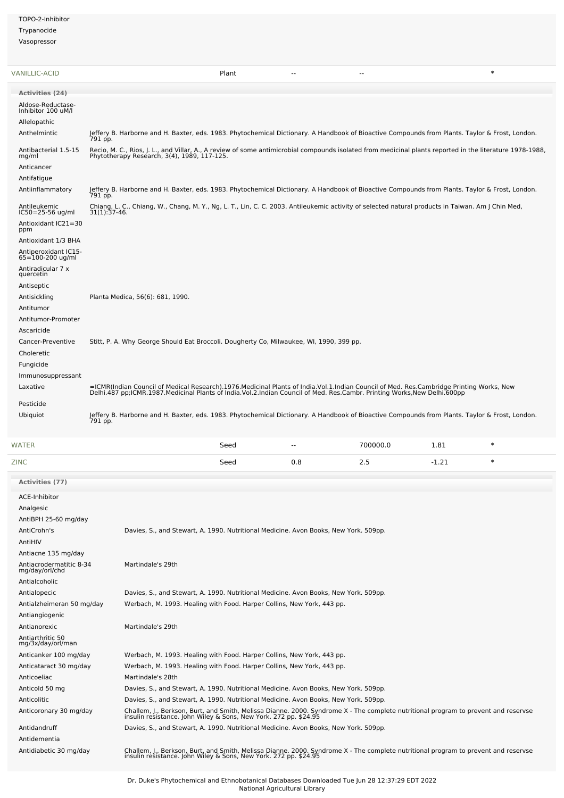TOPO-2-Inhibitor **Trynanocide** Vasopressor

[VANILLIC-ACID](file:///phytochem/chemicals/show/17792) Plant -- -- \* **Activities (24)** Aldose-Reductase-Inhibitor 100 uM/l Allelopathic Anthelmintic Jeffery B. Harborne and H. Baxter, eds. 1983. Phytochemical Dictionary. A Handbook of Bioactive Compounds from Plants. Taylor & Frost, London.<br>791 pp. 791 pp. Antibacterial 1.5-15 mg/ml Recio, M. C., Rios, J. L., and Villar, A., A review of some antimicrobial compounds isolated from medicinal plants reported in the literature 1978-1988,<br>Phytotherapy Research, 3(4), 1989, 117-125. Anticancer Antifatigue Antiinflammatory Jeffery B. Harborne and H. Baxter, eds. 1983. Phytochemical Dictionary. A Handbook of Bioactive Compounds from Plants. Taylor & Frost, London.<br>791 pp. 791 pp. Antileukemic IC50=25-56 ug/ml Chiang, L. C., Chiang, W., Chang, M. Y., Ng, L. T., Lin, C. C. 2003. Antileukemic activity of selected natural products in Taiwan. Am JChin Med, 31(1):37-46. Antioxidant IC21=30 ppm Antioxidant 1/3 BHA Antiperoxidant IC15- 65=100-200 ug/ml Antiradicular <sup>7</sup> <sup>x</sup> quercetin Antiseptic Antisickling Planta Medica, 56(6): 681, 1990. Antitumor Antitumor-Promoter Ascaricide Cancer-Preventive Stitt, P. A. Why George Should Eat Broccoli. Dougherty Co, Milwaukee, WI, 1990, 399 pp. Choleretic Fungicide Immunosuppressant =ICMR(Indian Council of Medical Research).1976.Medicinal Plants of India.Vol.1.Indian Council of Med. Res.Cambridge Printing Works, New<br>Delhi.487 pp;ICMR.1987.Medicinal Plants of India.Vol.2.Indian Council of Med. Res.Camb Pesticide Ubiquiot Jeffery B. Harborne and H. Baxter, eds. 1983. Phytochemical Dictionary. A Handbook of Bioactive Compounds from Plants. Taylor & Frost, London.<br>791 pp.

| <b>WATER</b> | Seed | $\sim$ | 700000.0 | 1.81            |  |
|--------------|------|--------|----------|-----------------|--|
| <b>ZINC</b>  | Seed | 0.8    | ر . ے    | ົາ-<br>.<br>$-$ |  |

**Activities (77)** ACE-Inhibitor Analgesic AntiBPH 25-60 mg/day AntiCrohn's Davies, S., and Stewart, A. 1990. Nutritional Medicine. Avon Books, New York. 509pp. AntiHIV Antiacne 135 mg/day Antiacrodermatitic 8-34 mg/day/orl/chd Martindale's 29th Antialcoholic Antialopecic Davies, S., and Stewart, A. 1990. Nutritional Medicine. Avon Books, New York. 509pp. Antialzheimeran 50 mg/day Werbach, M. 1993. Healing with Food. Harper Collins, New York, 443 pp. Antiangiogenic Antianorexic Martindale's 29th Antiarthritic <sup>50</sup> mg/3x/day/orl/man Anticanker 100 mg/day Werbach, M. 1993. Healing with Food. Harper Collins, New York, 443 pp. Anticataract 30 mg/day Werbach, M. 1993. Healing with Food. Harper Collins, New York, 443 pp. Anticoeliac Martindale's 28th Anticold 50 mg Davies, S., and Stewart, A. 1990. Nutritional Medicine. Avon Books, New York. 509pp. Anticolitic Davies, S., and Stewart, A. 1990. Nutritional Medicine. Avon Books, New York. 509pp. Anticoronary 30 mg/day Challem, J., Berkson, Burt, and Smith, Melissa Dianne. 2000. Syndrome X - The complete nutritional program to prevent and reservse insulin resistance. John Wiley & Sons, New York. 272 pp. \$24.95 Antidandruff Davies, S., and Stewart, A. 1990. Nutritional Medicine. Avon Books, New York. 509pp. Antidementia Antidiabetic 30 mg/day Challem, J., Berkson, Burt, and Smith, Melissa Dianne. 2000. Syndrome X - The complete nutritional program to prevent and reservse insulin resistance. John Wiley & Sons, New York. 272 pp. \$24.95